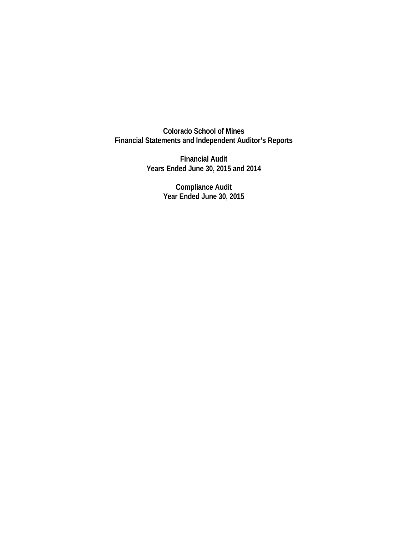**Colorado School of Mines Financial Statements and Independent Auditor's Reports** 

> **Financial Audit Years Ended June 30, 2015 and 2014**

> > **Compliance Audit Year Ended June 30, 2015**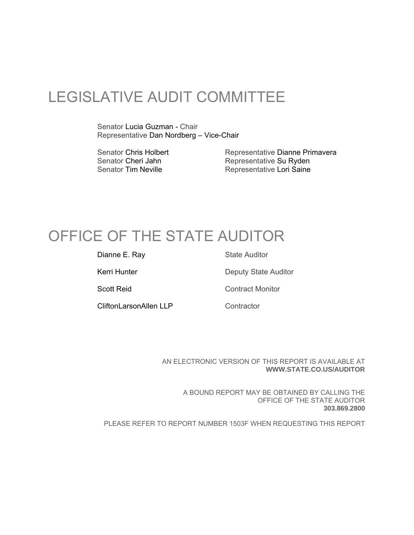# LEGISLATIVE AUDIT COMMITTEE

Senator Lucia Guzman - Chair Representative Dan Nordberg – Vice-Chair

Senator Chris Holbert Representative Dianne Primavera<br>
Senator Cheri Jahn Representative Su Ryden Senator Cheri Jahn Representative Su Ryden<br>
Senator Tim Neville Representative Lori Saine Representative Lori Saine

# OFFICE OF THE STATE AUDITOR

CliftonLarsonAllen LLP Contractor

Dianne E. Ray State Auditor

Kerri Hunter **Deputy State Auditor** Deputy State Auditor

Scott Reid Contract Monitor

AN ELECTRONIC VERSION OF THIS REPORT IS AVAILABLE AT **WWW.STATE.CO.US/AUDITOR**

A BOUND REPORT MAY BE OBTAINED BY CALLING THE OFFICE OF THE STATE AUDITOR **303.869.2800**

PLEASE REFER TO REPORT NUMBER 1503F WHEN REQUESTING THIS REPORT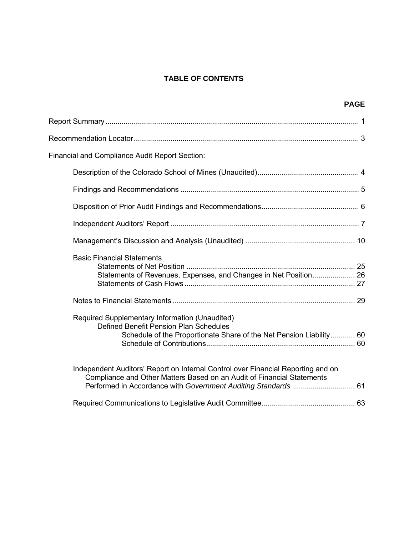## **TABLE OF CONTENTS**

|                                                                                                                                                                                                                              | <b>PAGE</b> |
|------------------------------------------------------------------------------------------------------------------------------------------------------------------------------------------------------------------------------|-------------|
|                                                                                                                                                                                                                              |             |
|                                                                                                                                                                                                                              |             |
| Financial and Compliance Audit Report Section:                                                                                                                                                                               |             |
|                                                                                                                                                                                                                              |             |
|                                                                                                                                                                                                                              |             |
|                                                                                                                                                                                                                              |             |
|                                                                                                                                                                                                                              |             |
|                                                                                                                                                                                                                              |             |
| <b>Basic Financial Statements</b><br>Statements of Revenues, Expenses, and Changes in Net Position 26                                                                                                                        |             |
|                                                                                                                                                                                                                              |             |
| Required Supplementary Information (Unaudited)<br>Defined Benefit Pension Plan Schedules<br>Schedule of the Proportionate Share of the Net Pension Liability 60                                                              |             |
| Independent Auditors' Report on Internal Control over Financial Reporting and on<br>Compliance and Other Matters Based on an Audit of Financial Statements<br>Performed in Accordance with Government Auditing Standards  61 |             |
|                                                                                                                                                                                                                              |             |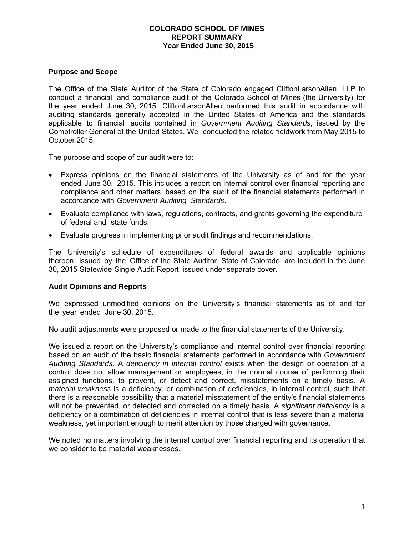#### **COLORADO SCHOOL OF MINES REPORT SUMMARY Year Ended June 30, 2015**

#### **Purpose and Scope**

The Office of the State Auditor of the State of Colorado engaged CliftonLarsonAllen, LLP to conduct a financial and compliance audit of the Colorado School of Mines (the University) for the year ended June 30, 2015. CliftonLarsonAllen performed this audit in accordance with auditing standards generally accepted in the United States of America and the standards applicable to financial audits contained in *Government Auditing Standards*, issued by the Comptroller General of the United States. We conducted the related fieldwork from May 2015 to October 2015.

The purpose and scope of our audit were to:

- Express opinions on the financial statements of the University as of and for the year ended June 30, 2015. This includes a report on internal control over financial reporting and compliance and other matters based on the audit of the financial statements performed in accordance with *Government Auditing Standards*.
- Evaluate compliance with laws, regulations, contracts, and grants governing the expenditure of federal and state funds.
- Evaluate progress in implementing prior audit findings and recommendations.

The University's schedule of expenditures of federal awards and applicable opinions thereon, issued by the Office of the State Auditor, State of Colorado, are included in the June 30, 2015 Statewide Single Audit Report issued under separate cover.

## **Audit Opinions and Reports**

We expressed unmodified opinions on the University's financial statements as of and for the year ended June 30, 2015.

No audit adjustments were proposed or made to the financial statements of the University.

We issued a report on the University's compliance and internal control over financial reporting based on an audit of the basic financial statements performed in accordance with *Government Auditing Standards.* A *deficiency in internal control* exists when the design or operation of a control does not allow management or employees, in the normal course of performing their assigned functions, to prevent, or detect and correct, misstatements on a timely basis. A *material weakness* is a deficiency, or combination of deficiencies, in internal control, such that there is a reasonable possibility that a material misstatement of the entity's financial statements will not be prevented, or detected and corrected on a timely basis. A *significant deficiency* is a deficiency or a combination of deficiencies in internal control that is less severe than a material weakness, yet important enough to merit attention by those charged with governance.

We noted no matters involving the internal control over financial reporting and its operation that we consider to be material weaknesses.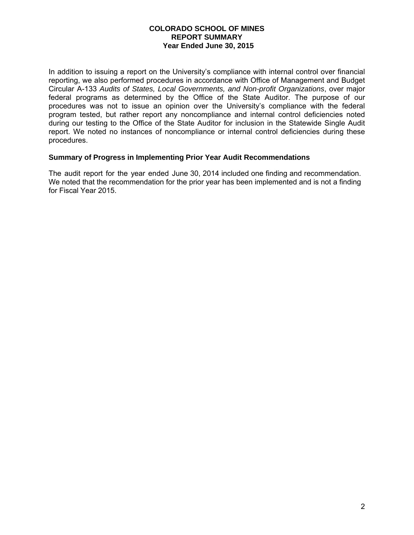#### **COLORADO SCHOOL OF MINES REPORT SUMMARY Year Ended June 30, 2015**

In addition to issuing a report on the University's compliance with internal control over financial reporting, we also performed procedures in accordance with Office of Management and Budget Circular A-133 *Audits of States, Local Governments, and Non-profit Organizations*, over major federal programs as determined by the Office of the State Auditor. The purpose of our procedures was not to issue an opinion over the University's compliance with the federal program tested, but rather report any noncompliance and internal control deficiencies noted during our testing to the Office of the State Auditor for inclusion in the Statewide Single Audit report. We noted no instances of noncompliance or internal control deficiencies during these procedures.

#### **Summary of Progress in Implementing Prior Year Audit Recommendations**

The audit report for the year ended June 30, 2014 included one finding and recommendation. We noted that the recommendation for the prior year has been implemented and is not a finding for Fiscal Year 2015.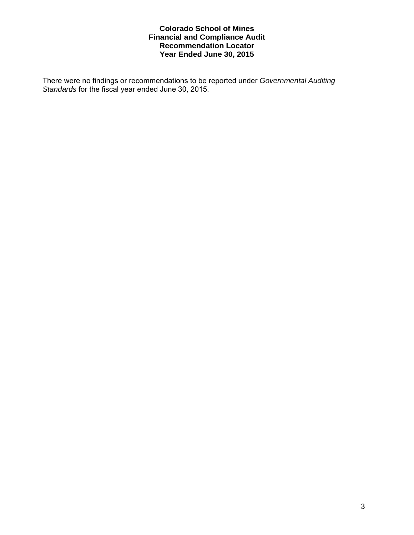## **Colorado School of Mines Financial and Compliance Audit Recommendation Locator Year Ended June 30, 2015**

There were no findings or recommendations to be reported under *Governmental Auditing Standards* for the fiscal year ended June 30, 2015.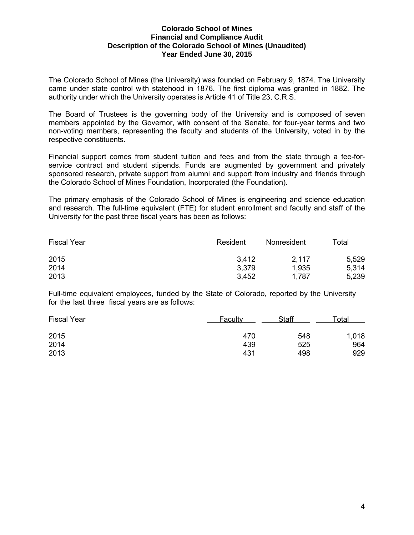#### **Colorado School of Mines Financial and Compliance Audit Description of the Colorado School of Mines (Unaudited) Year Ended June 30, 2015**

The Colorado School of Mines (the University) was founded on February 9, 1874. The University came under state control with statehood in 1876. The first diploma was granted in 1882. The authority under which the University operates is Article 41 of Title 23, C.R.S.

The Board of Trustees is the governing body of the University and is composed of seven members appointed by the Governor, with consent of the Senate, for four-year terms and two non-voting members, representing the faculty and students of the University, voted in by the respective constituents.

Financial support comes from student tuition and fees and from the state through a fee-forservice contract and student stipends. Funds are augmented by government and privately sponsored research, private support from alumni and support from industry and friends through the Colorado School of Mines Foundation, Incorporated (the Foundation).

The primary emphasis of the Colorado School of Mines is engineering and science education and research. The full-time equivalent (FTE) for student enrollment and faculty and staff of the University for the past three fiscal years has been as follows:

| <b>Fiscal Year</b> | Resident | Nonresident | Total |
|--------------------|----------|-------------|-------|
| 2015               | 3,412    | 2,117       | 5,529 |
| 2014               | 3,379    | 1,935       | 5,314 |
| 2013               | 3,452    | 1,787       | 5,239 |

Full-time equivalent employees, funded by the State of Colorado, reported by the University for the last three fiscal years are as follows:

| <b>Fiscal Year</b> | Faculty | Staff | Total |
|--------------------|---------|-------|-------|
| 2015               | 470     | 548   | 1,018 |
| 2014               | 439     | 525   | 964   |
| 2013               | 431     | 498   | 929   |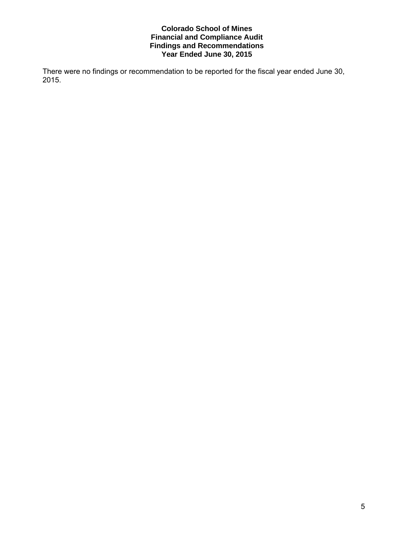#### **Colorado School of Mines Financial and Compliance Audit Findings and Recommendations Year Ended June 30, 2015**

There were no findings or recommendation to be reported for the fiscal year ended June 30, 2015.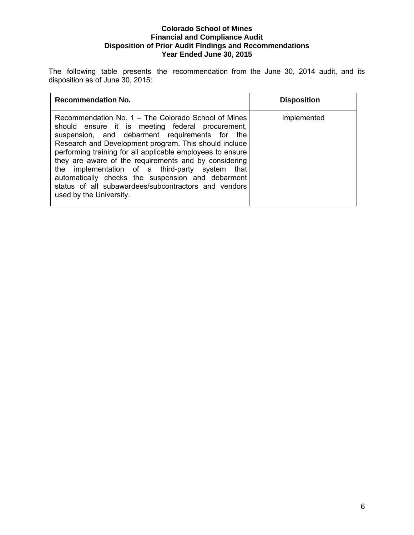#### **Colorado School of Mines Financial and Compliance Audit Disposition of Prior Audit Findings and Recommendations Year Ended June 30, 2015**

The following table presents the recommendation from the June 30, 2014 audit, and its disposition as of June 30, 2015:

| <b>Recommendation No.</b>                                                                                                                                                                                                                                                                                                                                                                                                                                                                                                               | <b>Disposition</b> |
|-----------------------------------------------------------------------------------------------------------------------------------------------------------------------------------------------------------------------------------------------------------------------------------------------------------------------------------------------------------------------------------------------------------------------------------------------------------------------------------------------------------------------------------------|--------------------|
| Recommendation No. 1 – The Colorado School of Mines<br>should ensure it is meeting federal procurement,<br>suspension, and debarment requirements for the<br>Research and Development program. This should include<br>performing training for all applicable employees to ensure<br>they are aware of the requirements and by considering<br>the implementation of a third-party system<br>that<br>automatically checks the suspension and debarment<br>status of all subawardees/subcontractors and vendors<br>used by the University. | Implemented        |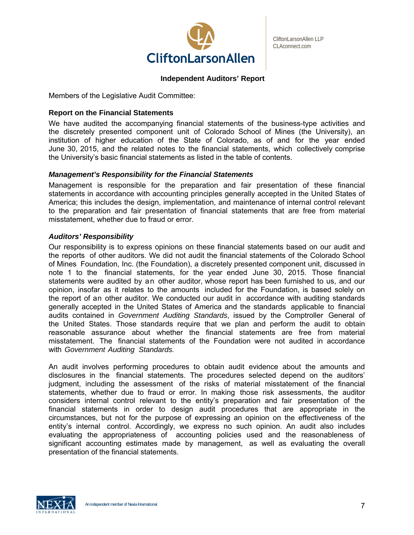

CliftonLarsonAllen LLP CLAconnect.com

#### **Independent Auditors' Report**

Members of the Legislative Audit Committee:

#### **Report on the Financial Statements**

We have audited the accompanying financial statements of the business-type activities and the discretely presented component unit of Colorado School of Mines (the University), an institution of higher education of the State of Colorado, as of and for the year ended June 30, 2015, and the related notes to the financial statements, which collectively comprise the University's basic financial statements as listed in the table of contents.

#### *Management's Responsibility for the Financial Statements*

Management is responsible for the preparation and fair presentation of these financial statements in accordance with accounting principles generally accepted in the United States of America; this includes the design, implementation, and maintenance of internal control relevant to the preparation and fair presentation of financial statements that are free from material misstatement, whether due to fraud or error.

#### *Auditors' Responsibility*

Our responsibility is to express opinions on these financial statements based on our audit and the reports of other auditors. We did not audit the financial statements of the Colorado School of Mines Foundation, Inc. (the Foundation), a discretely presented component unit, discussed in note 1 to the financial statements, for the year ended June 30, 2015. Those financial statements were audited by an other auditor, whose report has been furnished to us, and our opinion, insofar as it relates to the amounts included for the Foundation, is based solely on the report of an other auditor. We conducted our audit in accordance with auditing standards generally accepted in the United States of America and the standards applicable to financial audits contained in *Government Auditing Standards*, issued by the Comptroller General of the United States. Those standards require that we plan and perform the audit to obtain reasonable assurance about whether the financial statements are free from material misstatement. The financial statements of the Foundation were not audited in accordance with *Government Auditing Standards.*

An audit involves performing procedures to obtain audit evidence about the amounts and disclosures in the financial statements. The procedures selected depend on the auditors' judgment, including the assessment of the risks of material misstatement of the financial statements, whether due to fraud or error. In making those risk assessments, the auditor considers internal control relevant to the entity's preparation and fair presentation of the financial statements in order to design audit procedures that are appropriate in the circumstances, but not for the purpose of expressing an opinion on the effectiveness of the entity's internal control. Accordingly, we express no such opinion. An audit also includes evaluating the appropriateness of accounting policies used and the reasonableness of significant accounting estimates made by management, as well as evaluating the overall presentation of the financial statements.

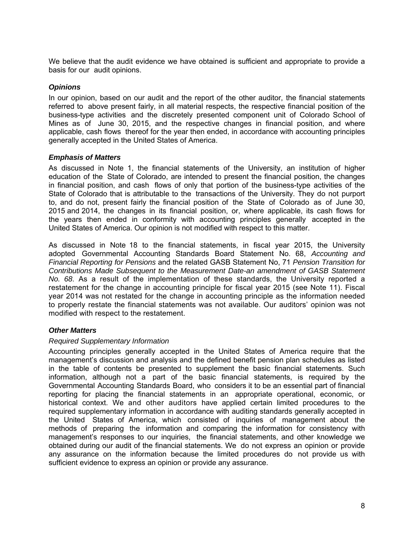We believe that the audit evidence we have obtained is sufficient and appropriate to provide a basis for our audit opinions.

#### *Opinions*

In our opinion, based on our audit and the report of the other auditor, the financial statements referred to above present fairly, in all material respects, the respective financial position of the business-type activities and the discretely presented component unit of Colorado School of Mines as of June 30, 2015, and the respective changes in financial position, and where applicable, cash flows thereof for the year then ended, in accordance with accounting principles generally accepted in the United States of America.

#### *Emphasis of Matters*

As discussed in Note 1, the financial statements of the University, an institution of higher education of the State of Colorado, are intended to present the financial position, the changes in financial position, and cash flows of only that portion of the business-type activities of the State of Colorado that is attributable to the transactions of the University. They do not purport to, and do not, present fairly the financial position of the State of Colorado as of June 30, 2015 and 2014, the changes in its financial position, or, where applicable, its cash flows for the years then ended in conformity with accounting principles generally accepted in the United States of America. Our opinion is not modified with respect to this matter.

As discussed in Note 18 to the financial statements, in fiscal year 2015, the University adopted Governmental Accounting Standards Board Statement No. 68, *Accounting and Financial Reporting for Pensions* and the related GASB Statement No, 71 *Pension Transition for Contributions Made Subsequent to the Measurement Date-an amendment of GASB Statement No. 68*. As a result of the implementation of these standards, the University reported a restatement for the change in accounting principle for fiscal year 2015 (see Note 11). Fiscal year 2014 was not restated for the change in accounting principle as the information needed to properly restate the financial statements was not available. Our auditors' opinion was not modified with respect to the restatement.

## *Other Matters*

#### *Required Supplementary Information*

Accounting principles generally accepted in the United States of America require that the management's discussion and analysis and the defined benefit pension plan schedules as listed in the table of contents be presented to supplement the basic financial statements. Such information, although not a part of the basic financial statements, is required by the Governmental Accounting Standards Board, who considers it to be an essential part of financial reporting for placing the financial statements in an appropriate operational, economic, or historical context. We and other auditors have applied certain limited procedures to the required supplementary information in accordance with auditing standards generally accepted in the United States of America, which consisted of inquiries of management about the methods of preparing the information and comparing the information for consistency with management's responses to our inquiries, the financial statements, and other knowledge we obtained during our audit of the financial statements. We do not express an opinion or provide any assurance on the information because the limited procedures do not provide us with sufficient evidence to express an opinion or provide any assurance.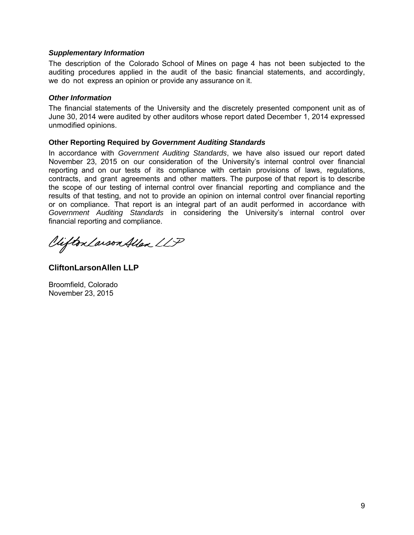#### *Supplementary Information*

The description of the Colorado School of Mines on page 4 has not been subjected to the auditing procedures applied in the audit of the basic financial statements, and accordingly, we do not express an opinion or provide any assurance on it.

#### *Other Information*

The financial statements of the University and the discretely presented component unit as of June 30, 2014 were audited by other auditors whose report dated December 1, 2014 expressed unmodified opinions.

#### **Other Reporting Required by** *Government Auditing Standards*

In accordance with *Government Auditing Standards*, we have also issued our report dated November 23, 2015 on our consideration of the University's internal control over financial reporting and on our tests of its compliance with certain provisions of laws, regulations, contracts, and grant agreements and other matters. The purpose of that report is to describe the scope of our testing of internal control over financial reporting and compliance and the results of that testing, and not to provide an opinion on internal control over financial reporting or on compliance. That report is an integral part of an audit performed in accordance with *Government Auditing Standards* in considering the University's internal control over financial reporting and compliance.

Viifton Larson Allen LLP

**CliftonLarsonAllen LLP** 

Broomfield, Colorado November 23, 2015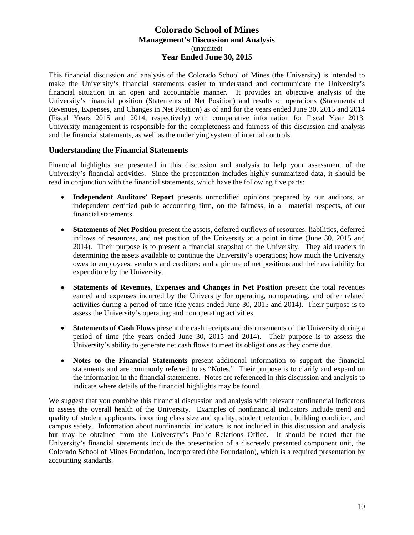This financial discussion and analysis of the Colorado School of Mines (the University) is intended to make the University's financial statements easier to understand and communicate the University's financial situation in an open and accountable manner. It provides an objective analysis of the University's financial position (Statements of Net Position) and results of operations (Statements of Revenues, Expenses, and Changes in Net Position) as of and for the years ended June 30, 2015 and 2014 (Fiscal Years 2015 and 2014, respectively) with comparative information for Fiscal Year 2013. University management is responsible for the completeness and fairness of this discussion and analysis and the financial statements, as well as the underlying system of internal controls.

#### **Understanding the Financial Statements**

Financial highlights are presented in this discussion and analysis to help your assessment of the University's financial activities. Since the presentation includes highly summarized data, it should be read in conjunction with the financial statements, which have the following five parts:

- **Independent Auditors' Report** presents unmodified opinions prepared by our auditors, an independent certified public accounting firm, on the fairness, in all material respects, of our financial statements.
- **Statements of Net Position** present the assets, deferred outflows of resources, liabilities, deferred inflows of resources, and net position of the University at a point in time (June 30, 2015 and 2014). Their purpose is to present a financial snapshot of the University. They aid readers in determining the assets available to continue the University's operations; how much the University owes to employees, vendors and creditors; and a picture of net positions and their availability for expenditure by the University.
- **Statements of Revenues, Expenses and Changes in Net Position** present the total revenues earned and expenses incurred by the University for operating, nonoperating, and other related activities during a period of time (the years ended June 30, 2015 and 2014). Their purpose is to assess the University's operating and nonoperating activities.
- **Statements of Cash Flows** present the cash receipts and disbursements of the University during a period of time (the years ended June 30, 2015 and 2014). Their purpose is to assess the University's ability to generate net cash flows to meet its obligations as they come due.
- **Notes to the Financial Statements** present additional information to support the financial statements and are commonly referred to as "Notes." Their purpose is to clarify and expand on the information in the financial statements. Notes are referenced in this discussion and analysis to indicate where details of the financial highlights may be found.

We suggest that you combine this financial discussion and analysis with relevant nonfinancial indicators to assess the overall health of the University. Examples of nonfinancial indicators include trend and quality of student applicants, incoming class size and quality, student retention, building condition, and campus safety. Information about nonfinancial indicators is not included in this discussion and analysis but may be obtained from the University's Public Relations Office. It should be noted that the University's financial statements include the presentation of a discretely presented component unit, the Colorado School of Mines Foundation, Incorporated (the Foundation), which is a required presentation by accounting standards.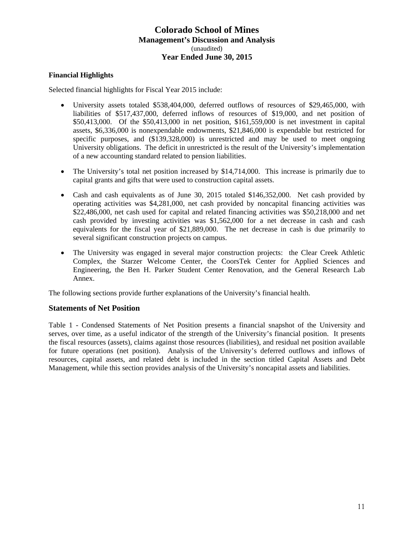#### **Financial Highlights**

Selected financial highlights for Fiscal Year 2015 include:

- University assets totaled \$538,404,000, deferred outflows of resources of \$29,465,000, with liabilities of \$517,437,000, deferred inflows of resources of \$19,000, and net position of \$50,413,000. Of the \$50,413,000 in net position, \$161,559,000 is net investment in capital assets, \$6,336,000 is nonexpendable endowments, \$21,846,000 is expendable but restricted for specific purposes, and (\$139,328,000) is unrestricted and may be used to meet ongoing University obligations. The deficit in unrestricted is the result of the University's implementation of a new accounting standard related to pension liabilities.
- The University's total net position increased by \$14,714,000. This increase is primarily due to capital grants and gifts that were used to construction capital assets.
- Cash and cash equivalents as of June 30, 2015 totaled \$146,352,000. Net cash provided by operating activities was \$4,281,000, net cash provided by noncapital financing activities was \$22,486,000, net cash used for capital and related financing activities was \$50,218,000 and net cash provided by investing activities was \$1,562,000 for a net decrease in cash and cash equivalents for the fiscal year of \$21,889,000. The net decrease in cash is due primarily to several significant construction projects on campus.
- The University was engaged in several major construction projects: the Clear Creek Athletic Complex, the Starzer Welcome Center, the CoorsTek Center for Applied Sciences and Engineering, the Ben H. Parker Student Center Renovation, and the General Research Lab Annex.

The following sections provide further explanations of the University's financial health.

## **Statements of Net Position**

Table 1 - Condensed Statements of Net Position presents a financial snapshot of the University and serves, over time, as a useful indicator of the strength of the University's financial position. It presents the fiscal resources (assets), claims against those resources (liabilities), and residual net position available for future operations (net position). Analysis of the University's deferred outflows and inflows of resources, capital assets, and related debt is included in the section titled Capital Assets and Debt Management, while this section provides analysis of the University's noncapital assets and liabilities.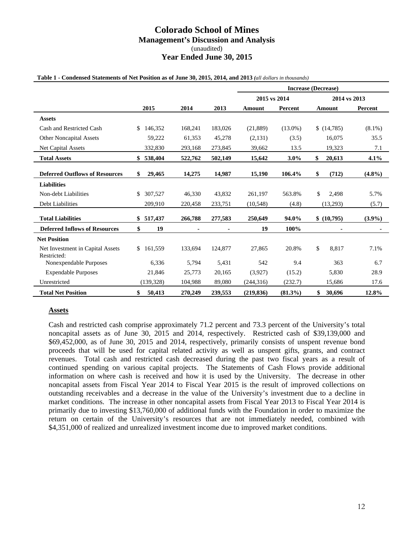## **Increase (Decrease) 2015 vs 2014 2014 vs 2013 2015 2014 2013 Amount Percent Amount Percent Assets**  Cash and Restricted Cash \$ 146,352 168,241 183,026 (21,889) (13.0%) \$ (14,785) (8.1%) Other Noncapital Assets 59,222 61,353 45,278 (2,131) (3.5) 16,075 35.5 Net Capital Assets 332,830 293,168 273,845 39,662 13.5 19,323 7.1 **Total Assets \$ 538,404 522,762 502,149 15,642 3.0% \$ 20,613 4.1% Deferred Outflows of Resources \$ 29,465 14,275 14,987 15,190 106.4% \$ (712) (4.8%) Liabilities**  Non-debt Liabilities \$ 307,527 46,330 43,832 261,197 563.8% \$ 2,498 5.7% Debt Liabilities 209,910 220,458 233,751 (10,548) (4.8) (13,293) (5.7) **Total Liabilities \$ 517,437 266,788 277,583 250,649 94.0% \$ (10,795) (3.9%) Deferred Inflows of Resources \$ 19 - - 19 100% - - Net Position**  Net Investment in Capital Assets \$ 161,559 133,694 124,877 27,865 20.8% \$ 8,817 7.1% Restricted: Nonexpendable Purposes 6,336 5,794 5,431 542 9.4 363 6.7 Expendable Purposes 21,846 25,773 20,165 (3,927) (15.2) 5,830 28.9 Unrestricted (139,328) 104,988 89,080 (244,316) (232.7) 15,686 17.6 **Total Net Position \$ 50,413 270,249 239,553 (219,836) (81.3%) \$ 30,696 12.8%**

#### **Table 1 - Condensed Statements of Net Position as of June 30, 2015, 2014, and 2013** *(all dollars in thousands)*

#### **Assets**

Cash and restricted cash comprise approximately 71.2 percent and 73.3 percent of the University's total noncapital assets as of June 30, 2015 and 2014, respectively. Restricted cash of \$39,139,000 and \$69,452,000, as of June 30, 2015 and 2014, respectively, primarily consists of unspent revenue bond proceeds that will be used for capital related activity as well as unspent gifts, grants, and contract revenues. Total cash and restricted cash decreased during the past two fiscal years as a result of continued spending on various capital projects. The Statements of Cash Flows provide additional information on where cash is received and how it is used by the University. The decrease in other noncapital assets from Fiscal Year 2014 to Fiscal Year 2015 is the result of improved collections on outstanding receivables and a decrease in the value of the University's investment due to a decline in market conditions. The increase in other noncapital assets from Fiscal Year 2013 to Fiscal Year 2014 is primarily due to investing \$13,760,000 of additional funds with the Foundation in order to maximize the return on certain of the University's resources that are not immediately needed, combined with \$4,351,000 of realized and unrealized investment income due to improved market conditions.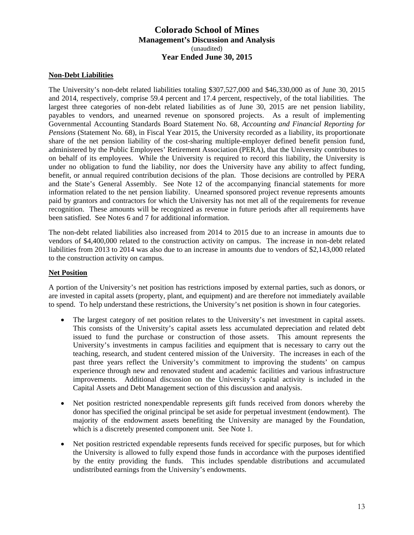#### **Non-Debt Liabilities**

The University's non-debt related liabilities totaling \$307,527,000 and \$46,330,000 as of June 30, 2015 and 2014, respectively, comprise 59.4 percent and 17.4 percent, respectively, of the total liabilities. The largest three categories of non-debt related liabilities as of June 30, 2015 are net pension liability, payables to vendors, and unearned revenue on sponsored projects. As a result of implementing Governmental Accounting Standards Board Statement No. 68, *Accounting and Financial Reporting for Pensions* (Statement No. 68), in Fiscal Year 2015, the University recorded as a liability, its proportionate share of the net pension liability of the cost-sharing multiple-employer defined benefit pension fund, administered by the Public Employees' Retirement Association (PERA), that the University contributes to on behalf of its employees. While the University is required to record this liability, the University is under no obligation to fund the liability, nor does the University have any ability to affect funding, benefit, or annual required contribution decisions of the plan. Those decisions are controlled by PERA and the State's General Assembly. See Note 12 of the accompanying financial statements for more information related to the net pension liability. Unearned sponsored project revenue represents amounts paid by grantors and contractors for which the University has not met all of the requirements for revenue recognition. These amounts will be recognized as revenue in future periods after all requirements have been satisfied. See Notes 6 and 7 for additional information.

The non-debt related liabilities also increased from 2014 to 2015 due to an increase in amounts due to vendors of \$4,400,000 related to the construction activity on campus. The increase in non-debt related liabilities from 2013 to 2014 was also due to an increase in amounts due to vendors of \$2,143,000 related to the construction activity on campus.

## **Net Position**

A portion of the University's net position has restrictions imposed by external parties, such as donors, or are invested in capital assets (property, plant, and equipment) and are therefore not immediately available to spend. To help understand these restrictions, the University's net position is shown in four categories.

- The largest category of net position relates to the University's net investment in capital assets. This consists of the University's capital assets less accumulated depreciation and related debt issued to fund the purchase or construction of those assets. This amount represents the University's investments in campus facilities and equipment that is necessary to carry out the teaching, research, and student centered mission of the University. The increases in each of the past three years reflect the University's commitment to improving the students' on campus experience through new and renovated student and academic facilities and various infrastructure improvements. Additional discussion on the University's capital activity is included in the Capital Assets and Debt Management section of this discussion and analysis.
- Net position restricted nonexpendable represents gift funds received from donors whereby the donor has specified the original principal be set aside for perpetual investment (endowment). The majority of the endowment assets benefiting the University are managed by the Foundation, which is a discretely presented component unit. See Note 1.
- Net position restricted expendable represents funds received for specific purposes, but for which the University is allowed to fully expend those funds in accordance with the purposes identified by the entity providing the funds. This includes spendable distributions and accumulated undistributed earnings from the University's endowments.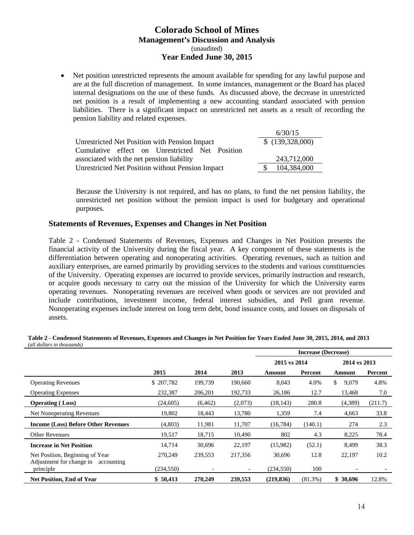Net position unrestricted represents the amount available for spending for any lawful purpose and are at the full discretion of management. In some instances, management or the Board has placed internal designations on the use of these funds. As discussed above, the decrease in unrestricted net position is a result of implementing a new accounting standard associated with pension liabilities. There is a significant impact on unrestricted net assets as a result of recording the pension liability and related expenses.

|                                                  | 6/30/15                      |
|--------------------------------------------------|------------------------------|
| Unrestricted Net Position with Pension Impact    | \$(139,328,000)              |
| Cumulative effect on Unrestricted Net Position   |                              |
| associated with the net pension liability        | 243,712,000                  |
| Unrestricted Net Position without Pension Impact | 104,384,000<br>$\mathcal{L}$ |

Because the University is not required, and has no plans, to fund the net pension liability, the unrestricted net position without the pension impact is used for budgetary and operational purposes.

#### **Statements of Revenues, Expenses and Changes in Net Position**

Table 2 - Condensed Statements of Revenues, Expenses and Changes in Net Position presents the financial activity of the University during the fiscal year. A key component of these statements is the differentiation between operating and nonoperating activities. Operating revenues, such as tuition and auxiliary enterprises, are earned primarily by providing services to the students and various constituencies of the University. Operating expenses are incurred to provide services, primarily instruction and research, or acquire goods necessary to carry out the mission of the University for which the University earns operating revenues. Nonoperating revenues are received when goods or services are not provided and include contributions, investment income, federal interest subsidies, and Pell grant revenue. Nonoperating expenses include interest on long term debt, bond issuance costs, and losses on disposals of assets.

|                                                                           |            |                          |                          |              | <b>Increase (Decrease)</b> |              |         |
|---------------------------------------------------------------------------|------------|--------------------------|--------------------------|--------------|----------------------------|--------------|---------|
|                                                                           |            |                          |                          | 2015 vs 2014 |                            | 2014 vs 2013 |         |
|                                                                           | 2015       | 2014                     | 2013                     | Amount       | Percent                    | Amount       | Percent |
| <b>Operating Revenues</b>                                                 | \$207,782  | 199,739                  | 190.660                  | 8,043        | 4.0%                       | \$.<br>9,079 | 4.8%    |
| <b>Operating Expenses</b>                                                 | 232,387    | 206,201                  | 192,733                  | 26,186       | 12.7                       | 13,468       | 7.0     |
| <b>Operating</b> (Loss)                                                   | (24,605)   | (6, 462)                 | (2,073)                  | (18, 143)    | 280.8                      | (4,389)      | (211.7) |
| Net Nonoperating Revenues                                                 | 19,802     | 18,443                   | 13,780                   | 1,359        | 7.4                        | 4,663        | 33.8    |
| <b>Income (Loss) Before Other Revenues</b>                                | (4,803)    | 11,981                   | 11,707                   | (16, 784)    | (140.1)                    | 274          | 2.3     |
| <b>Other Revenues</b>                                                     | 19,517     | 18,715                   | 10,490                   | 802          | 4.3                        | 8,225        | 78.4    |
| <b>Increase in Net Position</b>                                           | 14,714     | 30,696                   | 22,197                   | (15,982)     | (52.1)                     | 8,499        | 38.3    |
| Net Position, Beginning of Year<br>Adjustment for change in<br>accounting | 270,249    | 239,553                  | 217,356                  | 30,696       | 12.8                       | 22,197       | 10.2    |
| principle                                                                 | (234, 550) | $\overline{\phantom{a}}$ | $\overline{\phantom{a}}$ | (234, 550)   | 100                        |              |         |
| <b>Net Position, End of Year</b>                                          | \$50,413   | 270,249                  | 239,553                  | (219, 836)   | $(81.3\%)$                 | \$30,696     | 12.8%   |

**Table 2 - Condensed Statements of Revenues, Expenses and Changes in Net Position for Years Ended June 30, 2015, 2014, and 2013**  *(all dollars in thousands)*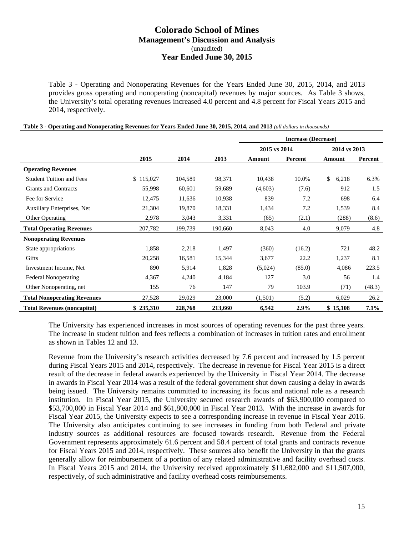Table 3 - Operating and Nonoperating Revenues for the Years Ended June 30, 2015, 2014, and 2013 provides gross operating and nonoperating (noncapital) revenues by major sources. As Table 3 shows, the University's total operating revenues increased 4.0 percent and 4.8 percent for Fiscal Years 2015 and 2014, respectively.

|--|

|                                    |           |         |         | <b>Increase (Decrease)</b> |         |              |         |
|------------------------------------|-----------|---------|---------|----------------------------|---------|--------------|---------|
|                                    |           |         |         | 2015 vs 2014               |         | 2014 vs 2013 |         |
|                                    | 2015      | 2014    | 2013    | Amount                     | Percent | Amount       | Percent |
| <b>Operating Revenues</b>          |           |         |         |                            |         |              |         |
| <b>Student Tuition and Fees</b>    | \$115,027 | 104,589 | 98,371  | 10,438                     | 10.0%   | \$<br>6,218  | 6.3%    |
| <b>Grants and Contracts</b>        | 55,998    | 60,601  | 59,689  | (4,603)                    | (7.6)   | 912          | 1.5     |
| Fee for Service                    | 12,475    | 11,636  | 10,938  | 839                        | 7.2     | 698          | 6.4     |
| <b>Auxiliary Enterprises, Net</b>  | 21,304    | 19,870  | 18,331  | 1,434                      | 7.2     | 1,539        | 8.4     |
| Other Operating                    | 2,978     | 3,043   | 3,331   | (65)                       | (2.1)   | (288)        | (8.6)   |
| <b>Total Operating Revenues</b>    | 207,782   | 199,739 | 190,660 | 8,043                      | 4.0     | 9,079        | 4.8     |
| <b>Nonoperating Revenues</b>       |           |         |         |                            |         |              |         |
| State appropriations               | 1,858     | 2,218   | 1,497   | (360)                      | (16.2)  | 721          | 48.2    |
| Gifts                              | 20,258    | 16,581  | 15,344  | 3,677                      | 22.2    | 1,237        | 8.1     |
| Investment Income, Net             | 890       | 5,914   | 1,828   | (5,024)                    | (85.0)  | 4,086        | 223.5   |
| <b>Federal Nonoperating</b>        | 4,367     | 4,240   | 4,184   | 127                        | 3.0     | 56           | 1.4     |
| Other Nonoperating, net            | 155       | 76      | 147     | 79                         | 103.9   | (71)         | (48.3)  |
| <b>Total Nonoperating Revenues</b> | 27,528    | 29,029  | 23,000  | (1,501)                    | (5.2)   | 6,029        | 26.2    |
| <b>Total Revenues (noncapital)</b> | \$235,310 | 228,768 | 213,660 | 6,542                      | 2.9%    | \$15,108     | 7.1%    |

The University has experienced increases in most sources of operating revenues for the past three years. The increase in student tuition and fees reflects a combination of increases in tuition rates and enrollment as shown in Tables 12 and 13.

Revenue from the University's research activities decreased by 7.6 percent and increased by 1.5 percent during Fiscal Years 2015 and 2014, respectively. The decrease in revenue for Fiscal Year 2015 is a direct result of the decrease in federal awards experienced by the University in Fiscal Year 2014. The decrease in awards in Fiscal Year 2014 was a result of the federal government shut down causing a delay in awards being issued. The University remains committed to increasing its focus and national role as a research institution. In Fiscal Year 2015, the University secured research awards of \$63,900,000 compared to \$53,700,000 in Fiscal Year 2014 and \$61,800,000 in Fiscal Year 2013. With the increase in awards for Fiscal Year 2015, the University expects to see a corresponding increase in revenue in Fiscal Year 2016. The University also anticipates continuing to see increases in funding from both Federal and private industry sources as additional resources are focused towards research. Revenue from the Federal Government represents approximately 61.6 percent and 58.4 percent of total grants and contracts revenue for Fiscal Years 2015 and 2014, respectively. These sources also benefit the University in that the grants generally allow for reimbursement of a portion of any related administrative and facility overhead costs. In Fiscal Years 2015 and 2014, the University received approximately \$11,682,000 and \$11,507,000, respectively, of such administrative and facility overhead costs reimbursements.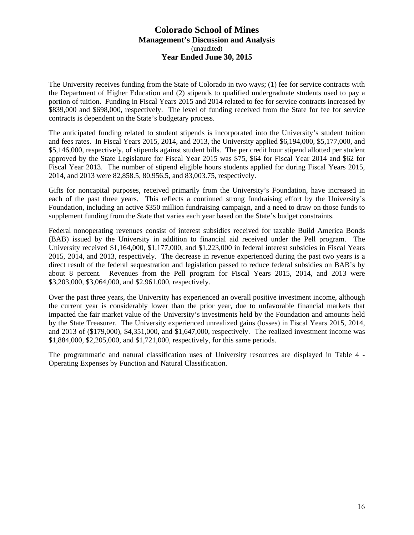The University receives funding from the State of Colorado in two ways; (1) fee for service contracts with the Department of Higher Education and (2) stipends to qualified undergraduate students used to pay a portion of tuition. Funding in Fiscal Years 2015 and 2014 related to fee for service contracts increased by \$839,000 and \$698,000, respectively. The level of funding received from the State for fee for service contracts is dependent on the State's budgetary process.

The anticipated funding related to student stipends is incorporated into the University's student tuition and fees rates. In Fiscal Years 2015, 2014, and 2013, the University applied \$6,194,000, \$5,177,000, and \$5,146,000, respectively, of stipends against student bills. The per credit hour stipend allotted per student approved by the State Legislature for Fiscal Year 2015 was \$75, \$64 for Fiscal Year 2014 and \$62 for Fiscal Year 2013. The number of stipend eligible hours students applied for during Fiscal Years 2015, 2014, and 2013 were 82,858.5, 80,956.5, and 83,003.75, respectively.

Gifts for noncapital purposes, received primarily from the University's Foundation, have increased in each of the past three years. This reflects a continued strong fundraising effort by the University's Foundation, including an active \$350 million fundraising campaign, and a need to draw on those funds to supplement funding from the State that varies each year based on the State's budget constraints.

Federal nonoperating revenues consist of interest subsidies received for taxable Build America Bonds (BAB) issued by the University in addition to financial aid received under the Pell program. The University received \$1,164,000, \$1,177,000, and \$1,223,000 in federal interest subsidies in Fiscal Years 2015, 2014, and 2013, respectively. The decrease in revenue experienced during the past two years is a direct result of the federal sequestration and legislation passed to reduce federal subsidies on BAB's by about 8 percent. Revenues from the Pell program for Fiscal Years 2015, 2014, and 2013 were \$3,203,000, \$3,064,000, and \$2,961,000, respectively.

Over the past three years, the University has experienced an overall positive investment income, although the current year is considerably lower than the prior year, due to unfavorable financial markets that impacted the fair market value of the University's investments held by the Foundation and amounts held by the State Treasurer. The University experienced unrealized gains (losses) in Fiscal Years 2015, 2014, and 2013 of (\$179,000), \$4,351,000, and \$1,647,000, respectively. The realized investment income was \$1,884,000, \$2,205,000, and \$1,721,000, respectively, for this same periods.

The programmatic and natural classification uses of University resources are displayed in Table 4 **-** Operating Expenses by Function and Natural Classification.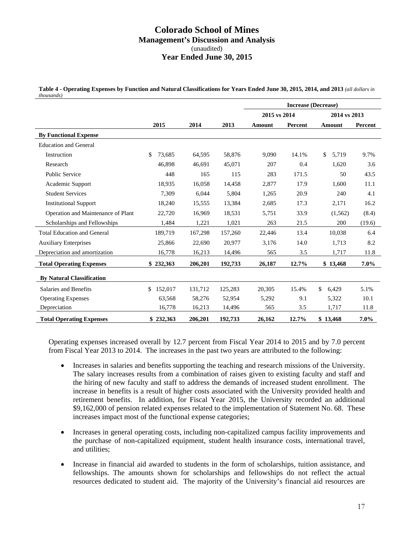**Table 4 - Operating Expenses by Function and Natural Classifications for Years Ended June 30, 2015, 2014, and 2013** *(all dollars in thousands)*

|                                    |               |         |         | <b>Increase (Decrease)</b> |         |               |         |
|------------------------------------|---------------|---------|---------|----------------------------|---------|---------------|---------|
|                                    |               |         |         | 2015 vs 2014               |         | 2014 vs 2013  |         |
|                                    | 2015          | 2014    | 2013    | Amount                     | Percent | <b>Amount</b> | Percent |
| <b>By Functional Expense</b>       |               |         |         |                            |         |               |         |
| <b>Education and General</b>       |               |         |         |                            |         |               |         |
| Instruction                        | \$<br>73,685  | 64,595  | 58,876  | 9,090                      | 14.1%   | \$<br>5,719   | 9.7%    |
| Research                           | 46,898        | 46,691  | 45,071  | 207                        | 0.4     | 1,620         | 3.6     |
| <b>Public Service</b>              | 448           | 165     | 115     | 283                        | 171.5   | 50            | 43.5    |
| Academic Support                   | 18,935        | 16,058  | 14,458  | 2,877                      | 17.9    | 1,600         | 11.1    |
| <b>Student Services</b>            | 7,309         | 6,044   | 5,804   | 1,265                      | 20.9    | 240           | 4.1     |
| <b>Institutional Support</b>       | 18,240        | 15,555  | 13,384  | 2,685                      | 17.3    | 2,171         | 16.2    |
| Operation and Maintenance of Plant | 22,720        | 16,969  | 18,531  | 5,751                      | 33.9    | (1,562)       | (8.4)   |
| Scholarships and Fellowships       | 1,484         | 1,221   | 1,021   | 263                        | 21.5    | 200           | (19.6)  |
| <b>Total Education and General</b> | 189,719       | 167,298 | 157,260 | 22,446                     | 13.4    | 10,038        | 6.4     |
| <b>Auxiliary Enterprises</b>       | 25,866        | 22,690  | 20,977  | 3,176                      | 14.0    | 1,713         | 8.2     |
| Depreciation and amortization      | 16,778        | 16,213  | 14,496  | 565                        | 3.5     | 1,717         | 11.8    |
| <b>Total Operating Expenses</b>    | \$232,363     | 206,201 | 192,733 | 26,187                     | 12.7%   | \$13,468      | 7.0%    |
| <b>By Natural Classification</b>   |               |         |         |                            |         |               |         |
| Salaries and Benefits              | \$<br>152,017 | 131,712 | 125,283 | 20,305                     | 15.4%   | \$<br>6,429   | 5.1%    |
| <b>Operating Expenses</b>          | 63,568        | 58,276  | 52,954  | 5,292                      | 9.1     | 5,322         | 10.1    |
| Depreciation                       | 16,778        | 16,213  | 14,496  | 565                        | 3.5     | 1,717         | 11.8    |
| <b>Total Operating Expenses</b>    | \$232,363     | 206,201 | 192,733 | 26,162                     | 12.7%   | \$13,468      | 7.0%    |

Operating expenses increased overall by 12.7 percent from Fiscal Year 2014 to 2015 and by 7.0 percent from Fiscal Year 2013 to 2014. The increases in the past two years are attributed to the following:

- Increases in salaries and benefits supporting the teaching and research missions of the University. The salary increases results from a combination of raises given to existing faculty and staff and the hiring of new faculty and staff to address the demands of increased student enrollment. The increase in benefits is a result of higher costs associated with the University provided health and retirement benefits. In addition, for Fiscal Year 2015, the University recorded an additional \$9,162,000 of pension related expenses related to the implementation of Statement No. 68. These increases impact most of the functional expense categories;
- Increases in general operating costs, including non-capitalized campus facility improvements and the purchase of non-capitalized equipment, student health insurance costs, international travel, and utilities;
- Increase in financial aid awarded to students in the form of scholarships, tuition assistance, and fellowships. The amounts shown for scholarships and fellowships do not reflect the actual resources dedicated to student aid. The majority of the University's financial aid resources are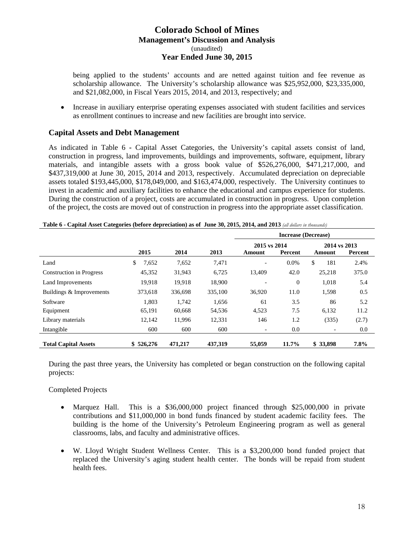being applied to the students' accounts and are netted against tuition and fee revenue as scholarship allowance. The University's scholarship allowance was \$25,952,000, \$23,335,000, and \$21,082,000, in Fiscal Years 2015, 2014, and 2013, respectively; and

 Increase in auxiliary enterprise operating expenses associated with student facilities and services as enrollment continues to increase and new facilities are brought into service.

## **Capital Assets and Debt Management**

As indicated in Table 6 **-** Capital Asset Categories, the University's capital assets consist of land, construction in progress, land improvements, buildings and improvements, software, equipment, library materials, and intangible assets with a gross book value of \$526,276,000, \$471,217,000, and \$437,319,000 at June 30, 2015, 2014 and 2013, respectively. Accumulated depreciation on depreciable assets totaled \$193,445,000, \$178,049,000, and \$163,474,000, respectively. The University continues to invest in academic and auxiliary facilities to enhance the educational and campus experience for students. During the construction of a project, costs are accumulated in construction in progress. Upon completion of the project, the costs are moved out of construction in progress into the appropriate asset classification.

|                                 |             |         |         | <b>Increase (Decrease)</b> |              |                          |         |
|---------------------------------|-------------|---------|---------|----------------------------|--------------|--------------------------|---------|
|                                 |             |         |         | 2015 vs 2014               |              | 2014 vs 2013             |         |
|                                 | 2015        | 2014    | 2013    | Amount                     | Percent      | Amount                   | Percent |
| Land                            | \$<br>7,652 | 7,652   | 7,471   | $\overline{\phantom{a}}$   | $0.0\%$      | \$<br>181                | 2.4%    |
| <b>Construction in Progress</b> | 45,352      | 31,943  | 6,725   | 13,409                     | 42.0         | 25,218                   | 375.0   |
| Land Improvements               | 19,918      | 19,918  | 18,900  | $\overline{\phantom{a}}$   | $\mathbf{0}$ | 1,018                    | 5.4     |
| Buildings & Improvements        | 373,618     | 336,698 | 335,100 | 36,920                     | 11.0         | 1,598                    | 0.5     |
| Software                        | 1,803       | 1,742   | 1,656   | 61                         | 3.5          | 86                       | 5.2     |
| Equipment                       | 65,191      | 60.668  | 54,536  | 4,523                      | 7.5          | 6,132                    | 11.2    |
| Library materials               | 12,142      | 11,996  | 12,331  | 146                        | 1.2          | (335)                    | (2.7)   |
| Intangible                      | 600         | 600     | 600     | $\overline{\phantom{a}}$   | 0.0          | $\overline{\phantom{a}}$ | 0.0     |
| <b>Total Capital Assets</b>     | \$526,276   | 471,217 | 437,319 | 55,059                     | 11.7%        | \$33,898                 | 7.8%    |

|  |  |  |  | Table 6 - Capital Asset Categories (before depreciation) as of June 30, 2015, 2014, and 2013 (all dollars in thousands) |
|--|--|--|--|-------------------------------------------------------------------------------------------------------------------------|
|  |  |  |  |                                                                                                                         |

During the past three years, the University has completed or began construction on the following capital projects:

Completed Projects

- Marquez Hall. This is a \$36,000,000 project financed through \$25,000,000 in private contributions and \$11,000,000 in bond funds financed by student academic facility fees. The building is the home of the University's Petroleum Engineering program as well as general classrooms, labs, and faculty and administrative offices.
- W. Lloyd Wright Student Wellness Center. This is a \$3,200,000 bond funded project that replaced the University's aging student health center. The bonds will be repaid from student health fees.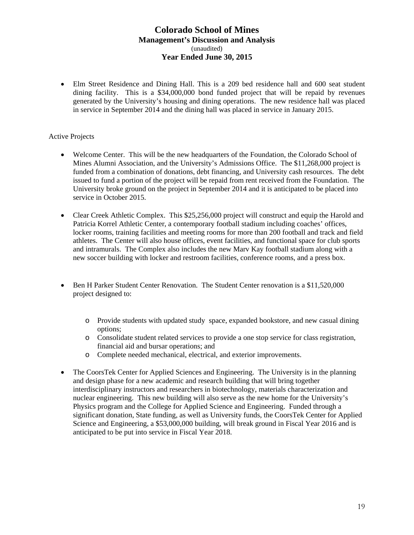Elm Street Residence and Dining Hall. This is a 209 bed residence hall and 600 seat student dining facility. This is a \$34,000,000 bond funded project that will be repaid by revenues generated by the University's housing and dining operations. The new residence hall was placed in service in September 2014 and the dining hall was placed in service in January 2015.

#### Active Projects

- Welcome Center. This will be the new headquarters of the Foundation, the Colorado School of Mines Alumni Association, and the University's Admissions Office. The \$11,268,000 project is funded from a combination of donations, debt financing, and University cash resources. The debt issued to fund a portion of the project will be repaid from rent received from the Foundation. The University broke ground on the project in September 2014 and it is anticipated to be placed into service in October 2015.
- Clear Creek Athletic Complex. This \$25,256,000 project will construct and equip the Harold and Patricia Korrel Athletic Center, a contemporary football stadium including coaches' offices, locker rooms, training facilities and meeting rooms for more than 200 football and track and field athletes. The Center will also house offices, event facilities, and functional space for club sports and intramurals. The Complex also includes the new Marv Kay football stadium along with a new soccer building with locker and restroom facilities, conference rooms, and a press box.
- Ben H Parker Student Center Renovation. The Student Center renovation is a \$11,520,000 project designed to:
	- o Provide students with updated study space, expanded bookstore, and new casual dining options;
	- o Consolidate student related services to provide a one stop service for class registration, financial aid and bursar operations; and
	- o Complete needed mechanical, electrical, and exterior improvements.
- The CoorsTek Center for Applied Sciences and Engineering. The University is in the planning and design phase for a new academic and research building that will bring together interdisciplinary instructors and researchers in biotechnology, materials characterization and nuclear engineering. This new building will also serve as the new home for the University's Physics program and the College for Applied Science and Engineering. Funded through a significant donation, State funding, as well as University funds, the CoorsTek Center for Applied Science and Engineering, a \$53,000,000 building, will break ground in Fiscal Year 2016 and is anticipated to be put into service in Fiscal Year 2018.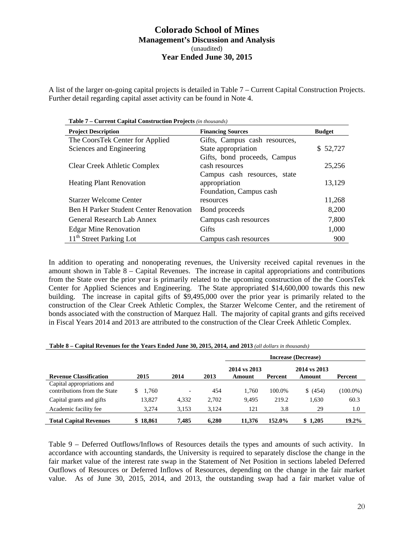A list of the larger on-going capital projects is detailed in Table 7 – Current Capital Construction Projects. Further detail regarding capital asset activity can be found in Note 4.

**Table 7 – Current Capital Construction Projects** *(in thousands)*

| <b>Table <math>t -</math>Current Capital Construction I rojects</b> ( <i>in mousunus</i> ) |                               |               |  |  |  |  |
|--------------------------------------------------------------------------------------------|-------------------------------|---------------|--|--|--|--|
| <b>Project Description</b>                                                                 | <b>Financing Sources</b>      | <b>Budget</b> |  |  |  |  |
| The CoorsTek Center for Applied                                                            | Gifts, Campus cash resources, |               |  |  |  |  |
| Sciences and Engineering                                                                   | State appropriation           | \$52,727      |  |  |  |  |
|                                                                                            | Gifts, bond proceeds, Campus  |               |  |  |  |  |
| Clear Creek Athletic Complex                                                               | cash resources                | 25,256        |  |  |  |  |
|                                                                                            | Campus cash resources, state  |               |  |  |  |  |
| <b>Heating Plant Renovation</b>                                                            | appropriation                 | 13,129        |  |  |  |  |
|                                                                                            | Foundation, Campus cash       |               |  |  |  |  |
| <b>Starzer Welcome Center</b>                                                              | resources                     | 11,268        |  |  |  |  |
| <b>Ben H Parker Student Center Renovation</b>                                              | Bond proceeds                 | 8,200         |  |  |  |  |
| <b>General Research Lab Annex</b>                                                          | Campus cash resources         | 7,800         |  |  |  |  |
| <b>Edgar Mine Renovation</b>                                                               | Gifts                         | 1,000         |  |  |  |  |
| 11 <sup>th</sup> Street Parking Lot                                                        | Campus cash resources         | 900           |  |  |  |  |

In addition to operating and nonoperating revenues, the University received capital revenues in the amount shown in Table 8 – Capital Revenues. The increase in capital appropriations and contributions from the State over the prior year is primarily related to the upcoming construction of the the CoorsTek Center for Applied Sciences and Engineering. The State appropriated \$14,600,000 towards this new building. The increase in capital gifts of \$9,495,000 over the prior year is primarily related to the construction of the Clear Creek Athletic Complex, the Starzer Welcome Center, and the retirement of bonds associated with the construction of Marquez Hall. The majority of capital grants and gifts received in Fiscal Years 2014 and 2013 are attributed to the construction of the Clear Creek Athletic Complex.

| Table 8 – Capital Revenues for the Years Ended June 30, 2015, 2014, and 2013 (all dollars in thousands) |
|---------------------------------------------------------------------------------------------------------|
|---------------------------------------------------------------------------------------------------------|

|                                                            |          |       |       | <b>Increase (Decrease)</b> |         |                        |             |
|------------------------------------------------------------|----------|-------|-------|----------------------------|---------|------------------------|-------------|
| <b>Revenue Classification</b>                              | 2015     | 2014  | 2013  | 2014 vs 2013<br>Amount     | Percent | 2014 vs 2013<br>Amount | Percent     |
| Capital appropriations and<br>contributions from the State | 1,760    | ۰     | 454   | l.760                      | 100.0%  | \$ (454)               | $(100.0\%)$ |
| Capital grants and gifts                                   | 13,827   | 4,332 | 2.702 | 9,495                      | 219.2   | 1,630                  | 60.3        |
| Academic facility fee                                      | 3,274    | 3,153 | 3,124 | 121                        | 3.8     | 29                     | 1.0         |
| <b>Total Capital Revenues</b>                              | \$18,861 | 7,485 | 6,280 | 11,376                     | 152.0%  | \$1,205                | 19.2%       |

Table 9 – Deferred Outflows/Inflows of Resources details the types and amounts of such activity. In accordance with accounting standards, the University is required to separately disclose the change in the fair market value of the interest rate swap in the Statement of Net Position in sections labeled Deferred Outflows of Resources or Deferred Inflows of Resources, depending on the change in the fair market value. As of June 30, 2015, 2014, and 2013, the outstanding swap had a fair market value of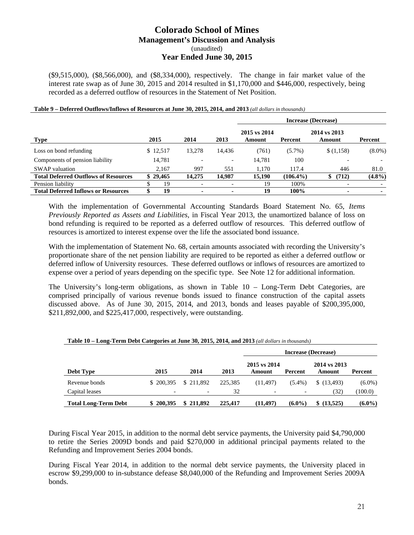(\$9,515,000), (\$8,566,000), and (\$8,334,000), respectively. The change in fair market value of the interest rate swap as of June 30, 2015 and 2014 resulted in \$1,170,000 and \$446,000, respectively, being recorded as a deferred outflow of resources in the Statement of Net Position.

| Table 9 – Deferred Outflows/Inflows of Resources at June 30, 2015, 2014, and 2013 (all dollars in thousands) |
|--------------------------------------------------------------------------------------------------------------|
|--------------------------------------------------------------------------------------------------------------|

|                                             |    |          |        |                          | <b>Increase (Decrease)</b> |             |                        |           |
|---------------------------------------------|----|----------|--------|--------------------------|----------------------------|-------------|------------------------|-----------|
| <b>Type</b>                                 |    | 2015     | 2014   | 2013                     | 2015 vs 2014<br>Amount     | Percent     | 2014 vs 2013<br>Amount | Percent   |
| Loss on bond refunding                      |    | \$12,517 | 13,278 | 14.436                   | (761)                      | $(5.7\%)$   | \$(1,158)              | $(8.0\%)$ |
| Components of pension liability             |    | 14,781   |        | $\overline{\phantom{a}}$ | 14,781                     | 100         |                        |           |
| <b>SWAP</b> valuation                       |    | 2.167    | 997    | 551                      | 1.170                      | 117.4       | 446                    | 81.0      |
| <b>Total Deferred Outflows of Resources</b> |    | \$29.465 | 14,275 | 14.987                   | 15.190                     | $(106.4\%)$ | \$(712)                | $(4.8\%)$ |
| Pension liability                           |    | 19       |        | $\overline{\phantom{a}}$ | 19                         | 100%        |                        |           |
| <b>Total Deferred Inflows or Resources</b>  | JD | 19       |        | ۰                        | 19                         | 100%        | $\blacksquare$         |           |

With the implementation of Governmental Accounting Standards Board Statement No. 65, *Items Previously Reported as Assets and Liabilities,* in Fiscal Year 2013, the unamortized balance of loss on bond refunding is required to be reported as a deferred outflow of resources. This deferred outflow of resources is amortized to interest expense over the life the associated bond issuance.

With the implementation of Statement No. 68, certain amounts associated with recording the University's proportionate share of the net pension liability are required to be reported as either a deferred outflow or deferred inflow of University resources. These deferred outflows or inflows of resources are amortized to expense over a period of years depending on the specific type. See Note 12 for additional information.

The University's long-term obligations, as shown in Table 10 – Long-Term Debt Categories, are comprised principally of various revenue bonds issued to finance construction of the capital assets discussed above. As of June 30, 2015, 2014, and 2013, bonds and leases payable of \$200,395,000, \$211,892,000, and \$225,417,000, respectively, were outstanding.

|                             |                          |                          |         |                          |                          | <b>Increase (Decrease)</b> |           |
|-----------------------------|--------------------------|--------------------------|---------|--------------------------|--------------------------|----------------------------|-----------|
| <b>Debt Type</b>            | 2015                     | 2014                     | 2013    | 2015 vs 2014<br>Amount   | Percent                  | 2014 vs 2013<br>Amount     | Percent   |
| Revenue bonds               | \$200,395                | \$211,892                | 225,385 | (11, 497)                | $(5.4\%)$                | \$(13, 493)                | $(6.0\%)$ |
| Capital leases              | $\overline{\phantom{a}}$ | $\overline{\phantom{a}}$ | 32      | $\overline{\phantom{a}}$ | $\overline{\phantom{0}}$ | (32)                       | (100.0)   |
| <b>Total Long-Term Debt</b> | \$200.395                | \$211.892                | 225,417 | (11.497)                 | $(6.0\%)$                | \$(13.525)                 | $(6.0\%)$ |

**Table 10 – Long-Term Debt Categories at June 30, 2015, 2014, and 2013** *(all dollars in thousands)*

During Fiscal Year 2015, in addition to the normal debt service payments, the University paid \$4,790,000 to retire the Series 2009D bonds and paid \$270,000 in additional principal payments related to the Refunding and Improvement Series 2004 bonds.

During Fiscal Year 2014, in addition to the normal debt service payments, the University placed in escrow \$9,299,000 to in-substance defease \$8,040,000 of the Refunding and Improvement Series 2009A bonds.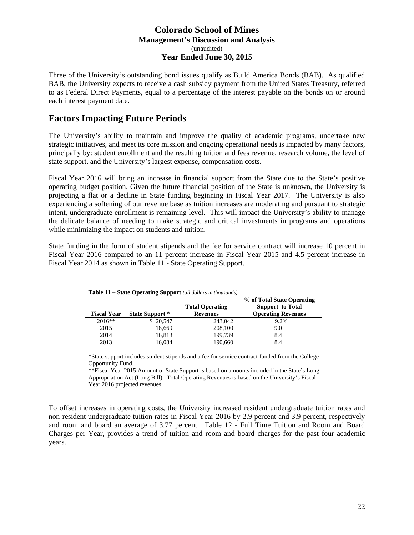Three of the University's outstanding bond issues qualify as Build America Bonds (BAB). As qualified BAB, the University expects to receive a cash subsidy payment from the United States Treasury, referred to as Federal Direct Payments, equal to a percentage of the interest payable on the bonds on or around each interest payment date.

## **Factors Impacting Future Periods**

The University's ability to maintain and improve the quality of academic programs, undertake new strategic initiatives, and meet its core mission and ongoing operational needs is impacted by many factors, principally by: student enrollment and the resulting tuition and fees revenue, research volume, the level of state support, and the University's largest expense, compensation costs.

Fiscal Year 2016 will bring an increase in financial support from the State due to the State's positive operating budget position. Given the future financial position of the State is unknown, the University is projecting a flat or a decline in State funding beginning in Fiscal Year 2017. The University is also experiencing a softening of our revenue base as tuition increases are moderating and pursuant to strategic intent, undergraduate enrollment is remaining level. This will impact the University's ability to manage the delicate balance of needing to make strategic and critical investments in programs and operations while minimizing the impact on students and tuition.

State funding in the form of student stipends and the fee for service contract will increase 10 percent in Fiscal Year 2016 compared to an 11 percent increase in Fiscal Year 2015 and 4.5 percent increase in Fiscal Year 2014 as shown in Table 11 **-** State Operating Support.

|                    |                        | <b>Rapic 11 – State Operating Support</b> (an abusing in mousumas) |                                                                                    |
|--------------------|------------------------|--------------------------------------------------------------------|------------------------------------------------------------------------------------|
| <b>Fiscal Year</b> | <b>State Support</b> * | <b>Total Operating</b><br><b>Revenues</b>                          | % of Total State Operating<br><b>Support to Total</b><br><b>Operating Revenues</b> |
| $2016**$           | \$ 20,547              | 243,042                                                            | 9.2%                                                                               |
| 2015               | 18,669                 | 208,100                                                            | 9.0                                                                                |
| 2014               | 16,813                 | 199,739                                                            | 8.4                                                                                |
| 2013               | 16.084                 | 190,660                                                            | 8.4                                                                                |

**Table 11 – State Operating Support** *(all dollars in thousands)*

\*State support includes student stipends and a fee for service contract funded from the College Opportunity Fund.

\*\*Fiscal Year 2015 Amount of State Support is based on amounts included in the State's Long Appropriation Act (Long Bill). Total Operating Revenues is based on the University's Fiscal Year 2016 projected revenues.

To offset increases in operating costs, the University increased resident undergraduate tuition rates and non-resident undergraduate tuition rates in Fiscal Year 2016 by 2.9 percent and 3.9 percent, respectively and room and board an average of 3.77 percent. Table 12 **-** Full Time Tuition and Room and Board Charges per Year, provides a trend of tuition and room and board charges for the past four academic years.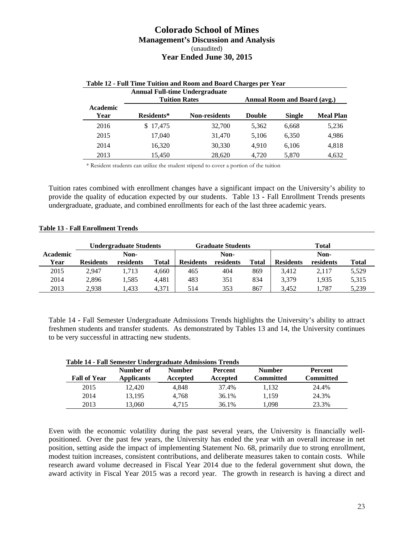|                  | <b>Annual Full-time Undergraduate</b><br><b>Tuition Rates</b> |                      |               | <b>Annual Room and Board (avg.)</b> |                  |
|------------------|---------------------------------------------------------------|----------------------|---------------|-------------------------------------|------------------|
| Academic<br>Year | Residents*                                                    | <b>Non-residents</b> | <b>Double</b> | <b>Single</b>                       | <b>Meal Plan</b> |
| 2016             | \$17.475                                                      | 32,700               | 5,362         | 6,668                               | 5,236            |
| 2015             | 17,040                                                        | 31,470               | 5,106         | 6,350                               | 4,986            |
| 2014             | 16,320                                                        | 30,330               | 4.910         | 6,106                               | 4,818            |
| 2013             | 15,450                                                        | 28,620               | 4.720         | 5,870                               | 4,632            |

## **Table 12 - Full Time Tuition and Room and Board Charges per Year**

\* Resident students can utilize the student stipend to cover a portion of the tuition

Tuition rates combined with enrollment changes have a significant impact on the University's ability to provide the quality of education expected by our students. Table 13 **-** Fall Enrollment Trends presents undergraduate, graduate, and combined enrollments for each of the last three academic years.

|          | <b>Undergraduate Students</b> |           |              | <b>Graduate Students</b> |           |       |                  | Total     |       |
|----------|-------------------------------|-----------|--------------|--------------------------|-----------|-------|------------------|-----------|-------|
| Academic |                               | Non-      |              |                          | Non-      |       |                  | Non-      |       |
| Year     | <b>Residents</b>              | residents | <b>Total</b> | <b>Residents</b>         | residents | Total | <b>Residents</b> | residents | Total |
| 2015     | 2.947                         | .713      | 4.660        | 465                      | 404       | 869   | 3.412            | 2,117     | 5,529 |
| 2014     | 2,896                         | 1.585     | 4.481        | 483                      | 351       | 834   | 3,379            | 1.935     | 5,315 |
| 2013     | 2,938                         | .433      | 4.371        | 514                      | 353       | 867   | 3.452            | .787      | 5,239 |

#### **Table 13 - Fall Enrollment Trends**

Table 14 **-** Fall Semester Undergraduate Admissions Trends highlights the University's ability to attract freshmen students and transfer students. As demonstrated by Tables 13 and 14, the University continues to be very successful in attracting new students.

| <b>Table 14 - Fall Semester Undergraduate Admissions Trends</b> |                   |               |                |                  |                |  |  |
|-----------------------------------------------------------------|-------------------|---------------|----------------|------------------|----------------|--|--|
|                                                                 | Number of         | <b>Number</b> | <b>Percent</b> | <b>Number</b>    | <b>Percent</b> |  |  |
| <b>Fall of Year</b>                                             | <b>Applicants</b> | Accepted      | Accepted       | <b>Committed</b> | Committed      |  |  |
| 2015                                                            | 12.420            | 4.848         | 37.4%          | 1.132            | 24.4%          |  |  |
| 2014                                                            | 13.195            | 4.768         | 36.1%          | 1.159            | 24.3%          |  |  |
| 2013                                                            | 13.060            | 4.715         | 36.1%          | 1.098            | 23.3%          |  |  |

Even with the economic volatility during the past several years, the University is financially wellpositioned. Over the past few years, the University has ended the year with an overall increase in net position, setting aside the impact of implementing Statement No. 68, primarily due to strong enrollment, modest tuition increases, consistent contributions, and deliberate measures taken to contain costs. While research award volume decreased in Fiscal Year 2014 due to the federal government shut down, the award activity in Fiscal Year 2015 was a record year. The growth in research is having a direct and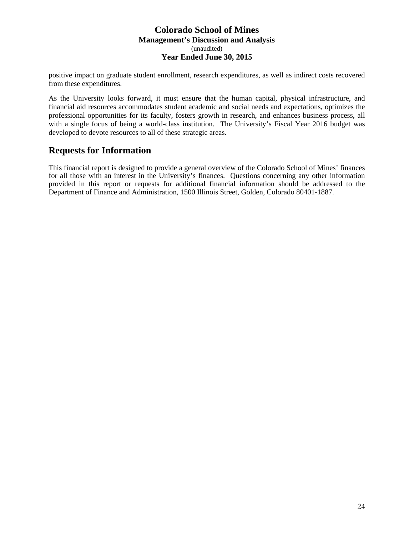positive impact on graduate student enrollment, research expenditures, as well as indirect costs recovered from these expenditures.

As the University looks forward, it must ensure that the human capital, physical infrastructure, and financial aid resources accommodates student academic and social needs and expectations, optimizes the professional opportunities for its faculty, fosters growth in research, and enhances business process, all with a single focus of being a world-class institution. The University's Fiscal Year 2016 budget was developed to devote resources to all of these strategic areas.

## **Requests for Information**

This financial report is designed to provide a general overview of the Colorado School of Mines' finances for all those with an interest in the University's finances. Questions concerning any other information provided in this report or requests for additional financial information should be addressed to the Department of Finance and Administration, 1500 Illinois Street, Golden, Colorado 80401-1887.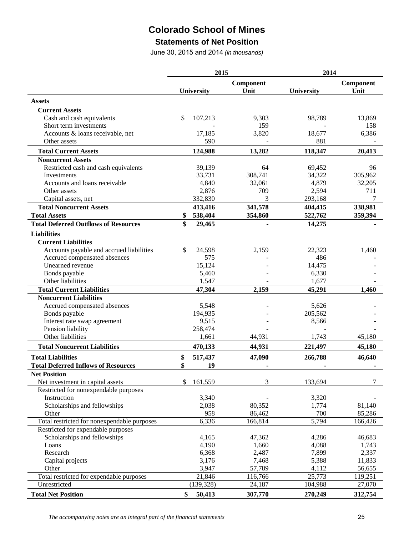## **Colorado School of Mines Statements of Net Position**

June 30, 2015 and 2014 *(in thousands)*

|                                             | 2015 |                   | 2014             |                   |                  |
|---------------------------------------------|------|-------------------|------------------|-------------------|------------------|
|                                             |      |                   | Component        |                   | Component        |
|                                             |      | <b>University</b> | Unit             | <b>University</b> | Unit             |
| <b>Assets</b>                               |      |                   |                  |                   |                  |
| <b>Current Assets</b>                       |      |                   |                  |                   |                  |
| Cash and cash equivalents                   | \$   | 107,213           | 9,303            | 98,789            | 13,869           |
| Short term investments                      |      |                   | 159              |                   | 158              |
| Accounts & loans receivable, net            |      | 17,185            | 3,820            | 18,677            | 6,386            |
| Other assets                                |      | 590               |                  | 881               |                  |
| <b>Total Current Assets</b>                 |      | 124,988           | 13,282           | 118,347           | 20,413           |
| <b>Noncurrent Assets</b>                    |      |                   |                  |                   |                  |
| Restricted cash and cash equivalents        |      | 39,139            | 64               | 69,452            | 96               |
| Investments                                 |      | 33,731            | 308,741          | 34,322            | 305,962          |
| Accounts and loans receivable               |      | 4,840             | 32,061           | 4,879             | 32,205           |
| Other assets                                |      | 2,876             | 709              | 2,594             | 711              |
| Capital assets, net                         |      | 332,830           | 3                | 293,168           | 7                |
| <b>Total Noncurrent Assets</b>              |      | 413,416           | 341,578          | 404,415           | 338,981          |
| <b>Total Assets</b>                         | \$   | 538,404           | 354,860          | 522,762           | 359,394          |
| <b>Total Deferred Outflows of Resources</b> | \$   | 29,465            |                  | 14,275            |                  |
| <b>Liabilities</b>                          |      |                   |                  |                   |                  |
| <b>Current Liabilities</b>                  |      |                   |                  |                   |                  |
| Accounts payable and accrued liabilities    | \$   | 24,598            | 2,159            | 22,323            | 1,460            |
| Accrued compensated absences                |      | 575               |                  | 486               |                  |
| Unearned revenue                            |      | 15,124            |                  | 14,475            |                  |
| Bonds payable                               |      | 5,460             |                  | 6,330             |                  |
| Other liabilities                           |      | 1,547             |                  | 1,677             |                  |
| <b>Total Current Liabilities</b>            |      | 47,304            | 2,159            | 45,291            | 1,460            |
| <b>Noncurrent Liabilities</b>               |      |                   |                  |                   |                  |
| Accrued compensated absences                |      | 5,548             |                  | 5,626             |                  |
| Bonds payable                               |      | 194,935           |                  | 205,562           |                  |
| Interest rate swap agreement                |      | 9,515             |                  | 8,566             |                  |
| Pension liability<br>Other liabilities      |      | 258,474<br>1,661  |                  |                   |                  |
|                                             |      |                   | 44,931           | 1,743             | 45,180           |
| <b>Total Noncurrent Liabilities</b>         |      | 470,133           | 44,931           | 221,497           | 45,180           |
| <b>Total Liabilities</b>                    | \$   | 517,437           | 47,090           | 266,788           | 46,640           |
| <b>Total Deferred Inflows of Resources</b>  | \$   | 19                |                  |                   |                  |
| <b>Net Position</b>                         |      |                   |                  |                   |                  |
| Net investment in capital assets            | \$   | 161,559           | 3                | 133,694           | 7                |
| Restricted for nonexpendable purposes       |      |                   |                  |                   |                  |
| Instruction                                 |      | 3,340             |                  | 3,320             |                  |
| Scholarships and fellowships<br>Other       |      | 2,038<br>958      | 80,352<br>86,462 | 1,774<br>700      | 81,140<br>85,286 |
| Total restricted for nonexpendable purposes |      | 6,336             | 166,814          | 5,794             | 166,426          |
| Restricted for expendable purposes          |      |                   |                  |                   |                  |
| Scholarships and fellowships                |      | 4,165             | 47,362           | 4,286             | 46,683           |
| Loans                                       |      | 4,190             | 1,660            | 4,088             | 1,743            |
| Research                                    |      | 6,368             | 2,487            | 7,899             | 2,337            |
| Capital projects                            |      | 3,176             | 7,468            | 5,388             | 11,833           |
| Other                                       |      | 3,947             | 57,789           | 4,112             | 56,655           |
| Total restricted for expendable purposes    |      | 21,846            | 116,766          | 25,773            | 119,251          |
| Unrestricted                                |      | (139, 328)        | 24,187           | 104,988           | 27,070           |
| <b>Total Net Position</b>                   | \$   | 50,413            | 307,770          | 270,249           | 312,754          |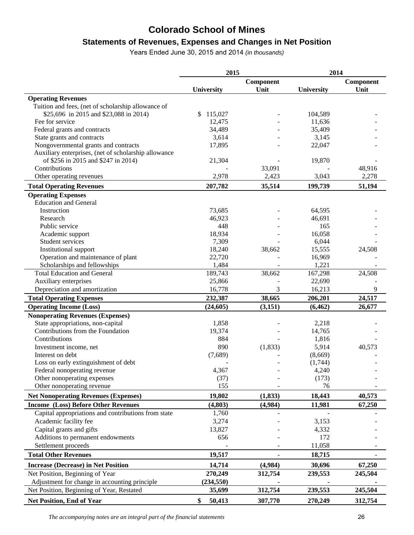## **Statements of Revenues, Expenses and Changes in Net Position**

Years Ended June 30, 2015 and 2014 *(in thousands)*

|                                                      | 2015          |           | 2014              |           |  |
|------------------------------------------------------|---------------|-----------|-------------------|-----------|--|
|                                                      |               | Component |                   | Component |  |
|                                                      | University    | Unit      | <b>University</b> | Unit      |  |
| <b>Operating Revenues</b>                            |               |           |                   |           |  |
| Tuition and fees, (net of scholarship allowance of   |               |           |                   |           |  |
| \$25,696 in 2015 and \$23,088 in 2014)               | 115,027<br>\$ |           | 104,589           |           |  |
| Fee for service                                      | 12,475        |           | 11,636            |           |  |
| Federal grants and contracts                         | 34,489        |           | 35,409            |           |  |
| State grants and contracts                           | 3,614         |           | 3,145             |           |  |
| Nongovernmental grants and contracts                 | 17,895        |           | 22,047            |           |  |
| Auxiliary enterprises, (net of scholarship allowance |               |           |                   |           |  |
| of \$256 in 2015 and \$247 in 2014)                  | 21,304        |           | 19,870            |           |  |
| Contributions                                        |               | 33,091    |                   | 48,916    |  |
| Other operating revenues                             | 2,978         | 2,423     | 3,043             | 2,278     |  |
| <b>Total Operating Revenues</b>                      | 207,782       | 35,514    | 199,739           | 51,194    |  |
| <b>Operating Expenses</b>                            |               |           |                   |           |  |
| <b>Education and General</b>                         |               |           |                   |           |  |
| Instruction                                          | 73,685        |           | 64,595            |           |  |
| Research                                             | 46,923        |           | 46,691            |           |  |
| Public service                                       | 448           |           | 165               |           |  |
| Academic support                                     | 18,934        |           | 16,058            |           |  |
| Student services                                     | 7,309         |           | 6,044             |           |  |
| Institutional support                                | 18,240        | 38,662    | 15,555            | 24,508    |  |
| Operation and maintenance of plant                   | 22,720        |           | 16,969            |           |  |
| Scholarships and fellowships                         | 1,484         |           | 1,221             |           |  |
| <b>Total Education and General</b>                   | 189,743       | 38,662    | 167,298           | 24,508    |  |
| Auxiliary enterprises                                | 25,866        |           | 22,690            |           |  |
| Depreciation and amortization                        | 16,778        | 3         | 16,213            | 9         |  |
| <b>Total Operating Expenses</b>                      | 232,387       | 38,665    | 206,201           | 24,517    |  |
| <b>Operating Income (Loss)</b>                       | (24, 605)     | (3,151)   | (6, 462)          | 26,677    |  |
| <b>Nonoperating Revenues (Expenses)</b>              |               |           |                   |           |  |
| State appropriations, non-capital                    | 1,858         |           | 2,218             |           |  |
| Contributions from the Foundation                    | 19,374        |           | 14,765            |           |  |
| Contributions                                        | 884           |           | 1,816             |           |  |
| Investment income, net                               | 890           | (1, 833)  | 5,914             | 40,573    |  |
| Interest on debt                                     | (7,689)       |           | (8,669)           |           |  |
| Loss on early extinguishment of debt                 |               |           | (1,744)           |           |  |
| Federal nonoperating revenue                         | 4,367         |           | 4,240             |           |  |
| Other nonoperating expenses                          | (37)          |           | (173)             |           |  |
| Other nonoperating revenue                           | 155           |           | 76                |           |  |
| <b>Net Nonoperating Revenues (Expenses)</b>          | 19,802        | (1, 833)  | 18,443            | 40,573    |  |
| <b>Income (Loss) Before Other Revenues</b>           | (4, 803)      | (4,984)   | 11,981            | 67,250    |  |
| Capital appropriations and contributions from state  | 1,760         |           |                   |           |  |
| Academic facility fee                                | 3,274         |           | 3,153             |           |  |
| Capital grants and gifts                             | 13,827        |           | 4,332             |           |  |
| Additions to permanent endowments                    | 656           |           | 172               |           |  |
| Settlement proceeds                                  |               |           | 11,058            |           |  |
| <b>Total Other Revenues</b>                          | 19,517        |           | 18,715            |           |  |
| <b>Increase (Decrease) in Net Position</b>           | 14,714        | (4,984)   | 30,696            | 67,250    |  |
| Net Position, Beginning of Year                      | 270,249       | 312,754   | 239,553           | 245,504   |  |
| Adjustment for change in accounting principle        | (234, 550)    |           |                   |           |  |
| Net Position, Beginning of Year, Restated            | 35,699        | 312,754   | 239,553           | 245,504   |  |
| Net Position, End of Year                            | \$<br>50,413  | 307,770   | 270,249           | 312,754   |  |

*The accompanying notes are an integral part of the financial statements* 26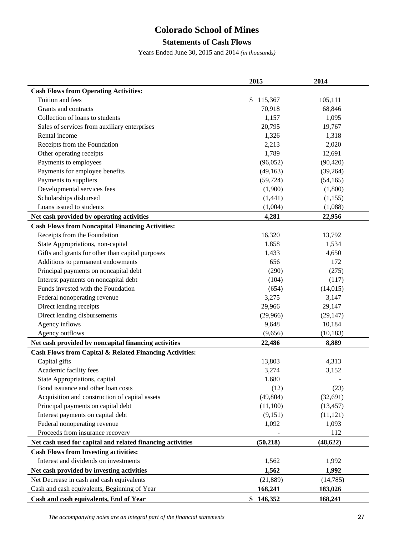## **Statements of Cash Flows**

Years Ended June 30, 2015 and 2014 *(in thousands)*

|                                                                    | 2015          | 2014      |
|--------------------------------------------------------------------|---------------|-----------|
| <b>Cash Flows from Operating Activities:</b>                       |               |           |
| Tuition and fees                                                   | \$<br>115,367 | 105,111   |
| Grants and contracts                                               | 70,918        | 68,846    |
| Collection of loans to students                                    | 1,157         | 1,095     |
| Sales of services from auxiliary enterprises                       | 20,795        | 19,767    |
| Rental income                                                      | 1,326         | 1,318     |
| Receipts from the Foundation                                       | 2,213         | 2,020     |
| Other operating receipts                                           | 1,789         | 12,691    |
| Payments to employees                                              | (96,052)      | (90, 420) |
| Payments for employee benefits                                     | (49, 163)     | (39,264)  |
| Payments to suppliers                                              | (59, 724)     | (54, 165) |
| Developmental services fees                                        | (1,900)       | (1,800)   |
| Scholarships disbursed                                             | (1,441)       | (1,155)   |
| Loans issued to students                                           | (1,004)       | (1,088)   |
| Net cash provided by operating activities                          | 4,281         | 22,956    |
| <b>Cash Flows from Noncapital Financing Activities:</b>            |               |           |
| Receipts from the Foundation                                       | 16,320        | 13,792    |
| State Appropriations, non-capital                                  | 1,858         | 1,534     |
| Gifts and grants for other than capital purposes                   | 1,433         | 4,650     |
| Additions to permanent endowments                                  | 656           | 172       |
| Principal payments on noncapital debt                              | (290)         | (275)     |
| Interest payments on noncapital debt                               | (104)         | (117)     |
| Funds invested with the Foundation                                 | (654)         | (14, 015) |
| Federal nonoperating revenue                                       | 3,275         | 3,147     |
| Direct lending receipts                                            | 29,966        | 29,147    |
| Direct lending disbursements                                       | (29,966)      | (29, 147) |
| Agency inflows                                                     | 9,648         | 10,184    |
| Agency outflows                                                    | (9,656)       | (10, 183) |
| Net cash provided by noncapital financing activities               | 22,486        | 8,889     |
| <b>Cash Flows from Capital &amp; Related Financing Activities:</b> |               |           |
| Capital gifts                                                      | 13,803        | 4,313     |
| Academic facility fees                                             | 3,274         | 3,152     |
| State Appropriations, capital                                      | 1,680         |           |
| Bond issuance and other loan costs                                 | (12)          | (23)      |
| Acquisition and construction of capital assets                     | (49, 804)     | (32, 691) |
| Principal payments on capital debt                                 | (11,100)      | (13, 457) |
| Interest payments on capital debt                                  | (9,151)       | (11, 121) |
| Federal nonoperating revenue                                       | 1,092         | 1,093     |
| Proceeds from insurance recovery                                   |               | 112       |
| Net cash used for capital and related financing activities         | (50, 218)     | (48, 622) |
| <b>Cash Flows from Investing activities:</b>                       |               |           |
| Interest and dividends on investments                              | 1,562         | 1,992     |
| Net cash provided by investing activities                          | 1,562         | 1,992     |
| Net Decrease in cash and cash equivalents                          | (21,889)      | (14,785)  |
| Cash and cash equivalents, Beginning of Year                       | 168,241       | 183,026   |
| Cash and cash equivalents, End of Year                             | \$<br>146,352 | 168,241   |
|                                                                    |               |           |

*The accompanying notes are an integral part of the financial statements* 27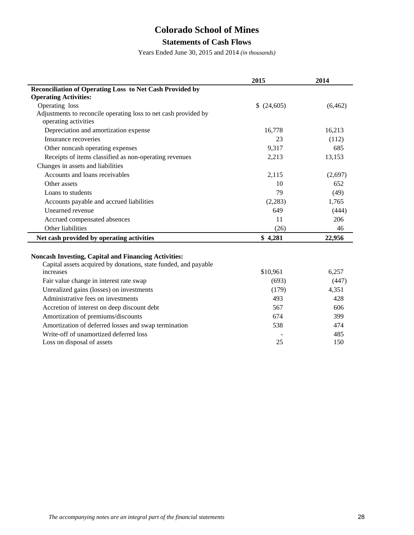## **Statements of Cash Flows**

Years Ended June 30, 2015 and 2014 *(in thousands)*

|                                                                                                                                | 2015       | 2014     |
|--------------------------------------------------------------------------------------------------------------------------------|------------|----------|
| Reconciliation of Operating Loss to Net Cash Provided by                                                                       |            |          |
| <b>Operating Activities:</b>                                                                                                   |            |          |
| Operating loss                                                                                                                 | \$(24,605) | (6, 462) |
| Adjustments to reconcile operating loss to net cash provided by                                                                |            |          |
| operating activities                                                                                                           |            |          |
| Depreciation and amortization expense                                                                                          | 16,778     | 16,213   |
| Insurance recoveries                                                                                                           | 23         | (112)    |
| Other noncash operating expenses                                                                                               | 9,317      | 685      |
| Receipts of items classified as non-operating revenues                                                                         | 2,213      | 13,153   |
| Changes in assets and liabilities                                                                                              |            |          |
| Accounts and loans receivables                                                                                                 | 2,115      | (2,697)  |
| Other assets                                                                                                                   | 10         | 652      |
| Loans to students                                                                                                              | 79         | (49)     |
| Accounts payable and accrued liabilities                                                                                       | (2,283)    | 1,765    |
| Unearned revenue                                                                                                               | 649        | (444)    |
| Accrued compensated absences                                                                                                   | 11         | 206      |
| Other liabilities                                                                                                              | (26)       | 46       |
| Net cash provided by operating activities                                                                                      | \$4,281    | 22,956   |
| <b>Noncash Investing, Capital and Financing Activities:</b><br>Capital assets acquired by donations, state funded, and payable |            |          |
| increases                                                                                                                      | \$10,961   | 6,257    |
| Fair value change in interest rate swap                                                                                        | (693)      | (447)    |
| Unrealized gains (losses) on investments                                                                                       | (179)      | 4,351    |
| Administrative fees on investments                                                                                             | 493        | 428      |
| Accretion of interest on deep discount debt                                                                                    | 567        | 606      |
| Amortization of premiums/discounts                                                                                             | 674        | 399      |
| Amortization of deferred losses and swap termination                                                                           |            | 474      |
|                                                                                                                                | 538        |          |
| Write-off of unamortized deferred loss                                                                                         |            | 485      |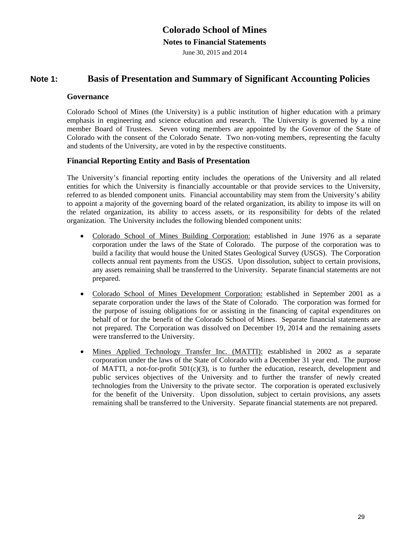#### **Notes to Financial Statements**

June 30, 2015 and 2014

## **Note 1: Basis of Presentation and Summary of Significant Accounting Policies**

#### **Governance**

Colorado School of Mines (the University) is a public institution of higher education with a primary emphasis in engineering and science education and research. The University is governed by a nine member Board of Trustees. Seven voting members are appointed by the Governor of the State of Colorado with the consent of the Colorado Senate. Two non-voting members, representing the faculty and students of the University, are voted in by the respective constituents.

## **Financial Reporting Entity and Basis of Presentation**

The University's financial reporting entity includes the operations of the University and all related entities for which the University is financially accountable or that provide services to the University, referred to as blended component units. Financial accountability may stem from the University's ability to appoint a majority of the governing board of the related organization, its ability to impose its will on the related organization, its ability to access assets, or its responsibility for debts of the related organization. The University includes the following blended component units:

- Colorado School of Mines Building Corporation: established in June 1976 as a separate corporation under the laws of the State of Colorado. The purpose of the corporation was to build a facility that would house the United States Geological Survey (USGS). The Corporation collects annual rent payments from the USGS. Upon dissolution, subject to certain provisions, any assets remaining shall be transferred to the University. Separate financial statements are not prepared.
- Colorado School of Mines Development Corporation: established in September 2001 as a separate corporation under the laws of the State of Colorado. The corporation was formed for the purpose of issuing obligations for or assisting in the financing of capital expenditures on behalf of or for the benefit of the Colorado School of Mines. Separate financial statements are not prepared. The Corporation was dissolved on December 19, 2014 and the remaining assets were transferred to the University.
- Mines Applied Technology Transfer Inc. (MATTI): established in 2002 as a separate corporation under the laws of the State of Colorado with a December 31 year end. The purpose of MATTI, a not-for-profit  $501(c)(3)$ , is to further the education, research, development and public services objectives of the University and to further the transfer of newly created technologies from the University to the private sector. The corporation is operated exclusively for the benefit of the University. Upon dissolution, subject to certain provisions, any assets remaining shall be transferred to the University. Separate financial statements are not prepared.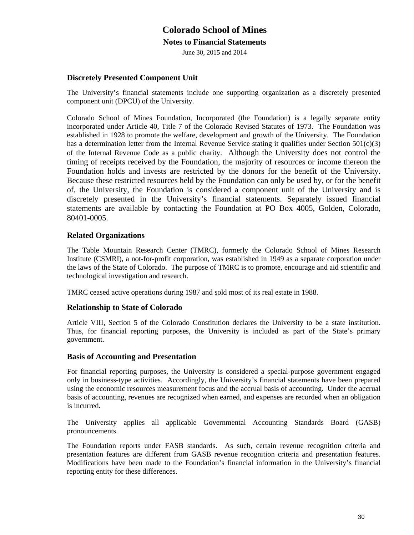#### **Notes to Financial Statements**

June 30, 2015 and 2014

## **Discretely Presented Component Unit**

The University's financial statements include one supporting organization as a discretely presented component unit (DPCU) of the University.

Colorado School of Mines Foundation, Incorporated (the Foundation) is a legally separate entity incorporated under Article 40, Title 7 of the Colorado Revised Statutes of 1973. The Foundation was established in 1928 to promote the welfare, development and growth of the University. The Foundation has a determination letter from the Internal Revenue Service stating it qualifies under Section  $501(c)(3)$ of the Internal Revenue Code as a public charity. Although the University does not control the timing of receipts received by the Foundation, the majority of resources or income thereon the Foundation holds and invests are restricted by the donors for the benefit of the University. Because these restricted resources held by the Foundation can only be used by, or for the benefit of, the University, the Foundation is considered a component unit of the University and is discretely presented in the University's financial statements. Separately issued financial statements are available by contacting the Foundation at PO Box 4005, Golden, Colorado, 80401-0005.

## **Related Organizations**

The Table Mountain Research Center (TMRC), formerly the Colorado School of Mines Research Institute (CSMRI), a not-for-profit corporation, was established in 1949 as a separate corporation under the laws of the State of Colorado. The purpose of TMRC is to promote, encourage and aid scientific and technological investigation and research.

TMRC ceased active operations during 1987 and sold most of its real estate in 1988.

## **Relationship to State of Colorado**

Article VIII, Section 5 of the Colorado Constitution declares the University to be a state institution. Thus, for financial reporting purposes, the University is included as part of the State's primary government.

## **Basis of Accounting and Presentation**

For financial reporting purposes, the University is considered a special-purpose government engaged only in business-type activities. Accordingly, the University's financial statements have been prepared using the economic resources measurement focus and the accrual basis of accounting. Under the accrual basis of accounting, revenues are recognized when earned, and expenses are recorded when an obligation is incurred.

The University applies all applicable Governmental Accounting Standards Board (GASB) pronouncements.

The Foundation reports under FASB standards. As such, certain revenue recognition criteria and presentation features are different from GASB revenue recognition criteria and presentation features. Modifications have been made to the Foundation's financial information in the University's financial reporting entity for these differences.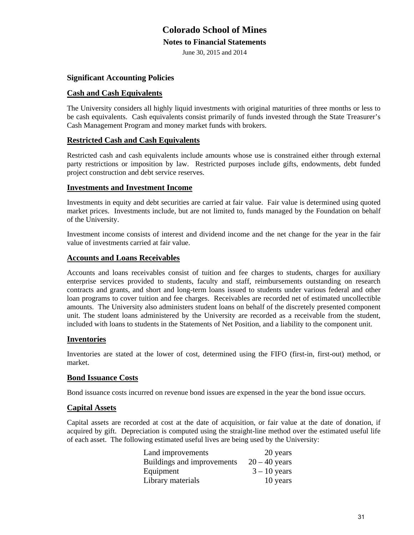#### **Notes to Financial Statements**

June 30, 2015 and 2014

## **Significant Accounting Policies**

## **Cash and Cash Equivalents**

The University considers all highly liquid investments with original maturities of three months or less to be cash equivalents. Cash equivalents consist primarily of funds invested through the State Treasurer's Cash Management Program and money market funds with brokers.

## **Restricted Cash and Cash Equivalents**

Restricted cash and cash equivalents include amounts whose use is constrained either through external party restrictions or imposition by law. Restricted purposes include gifts, endowments, debt funded project construction and debt service reserves.

## **Investments and Investment Income**

Investments in equity and debt securities are carried at fair value. Fair value is determined using quoted market prices. Investments include, but are not limited to, funds managed by the Foundation on behalf of the University.

Investment income consists of interest and dividend income and the net change for the year in the fair value of investments carried at fair value.

## **Accounts and Loans Receivables**

Accounts and loans receivables consist of tuition and fee charges to students, charges for auxiliary enterprise services provided to students, faculty and staff, reimbursements outstanding on research contracts and grants, and short and long-term loans issued to students under various federal and other loan programs to cover tuition and fee charges. Receivables are recorded net of estimated uncollectible amounts. The University also administers student loans on behalf of the discretely presented component unit. The student loans administered by the University are recorded as a receivable from the student, included with loans to students in the Statements of Net Position, and a liability to the component unit.

## **Inventories**

Inventories are stated at the lower of cost, determined using the FIFO (first-in, first-out) method, or market.

## **Bond Issuance Costs**

Bond issuance costs incurred on revenue bond issues are expensed in the year the bond issue occurs.

## **Capital Assets**

Capital assets are recorded at cost at the date of acquisition, or fair value at the date of donation, if acquired by gift. Depreciation is computed using the straight-line method over the estimated useful life of each asset. The following estimated useful lives are being used by the University:

| Land improvements          | 20 years        |
|----------------------------|-----------------|
| Buildings and improvements | $20 - 40$ years |
| Equipment                  | $3 - 10$ years  |
| Library materials          | 10 years        |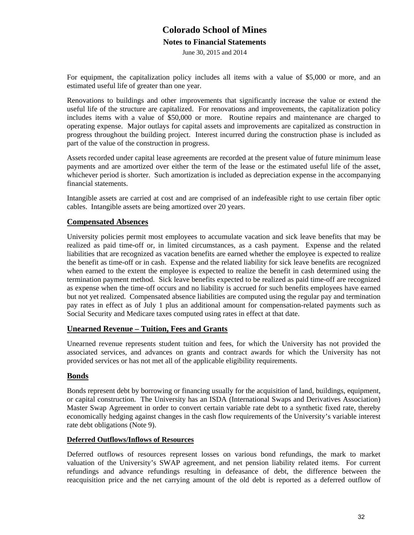June 30, 2015 and 2014

For equipment, the capitalization policy includes all items with a value of \$5,000 or more, and an estimated useful life of greater than one year.

Renovations to buildings and other improvements that significantly increase the value or extend the useful life of the structure are capitalized. For renovations and improvements, the capitalization policy includes items with a value of \$50,000 or more. Routine repairs and maintenance are charged to operating expense. Major outlays for capital assets and improvements are capitalized as construction in progress throughout the building project. Interest incurred during the construction phase is included as part of the value of the construction in progress.

Assets recorded under capital lease agreements are recorded at the present value of future minimum lease payments and are amortized over either the term of the lease or the estimated useful life of the asset, whichever period is shorter. Such amortization is included as depreciation expense in the accompanying financial statements.

Intangible assets are carried at cost and are comprised of an indefeasible right to use certain fiber optic cables. Intangible assets are being amortized over 20 years.

## **Compensated Absences**

University policies permit most employees to accumulate vacation and sick leave benefits that may be realized as paid time-off or, in limited circumstances, as a cash payment. Expense and the related liabilities that are recognized as vacation benefits are earned whether the employee is expected to realize the benefit as time-off or in cash. Expense and the related liability for sick leave benefits are recognized when earned to the extent the employee is expected to realize the benefit in cash determined using the termination payment method. Sick leave benefits expected to be realized as paid time-off are recognized as expense when the time-off occurs and no liability is accrued for such benefits employees have earned but not yet realized. Compensated absence liabilities are computed using the regular pay and termination pay rates in effect as of July 1 plus an additional amount for compensation-related payments such as Social Security and Medicare taxes computed using rates in effect at that date.

## **Unearned Revenue – Tuition, Fees and Grants**

Unearned revenue represents student tuition and fees, for which the University has not provided the associated services, and advances on grants and contract awards for which the University has not provided services or has not met all of the applicable eligibility requirements.

## **Bonds**

Bonds represent debt by borrowing or financing usually for the acquisition of land, buildings, equipment, or capital construction. The University has an ISDA (International Swaps and Derivatives Association) Master Swap Agreement in order to convert certain variable rate debt to a synthetic fixed rate, thereby economically hedging against changes in the cash flow requirements of the University's variable interest rate debt obligations (Note 9).

#### **Deferred Outflows/Inflows of Resources**

Deferred outflows of resources represent losses on various bond refundings, the mark to market valuation of the University's SWAP agreement, and net pension liability related items. For current refundings and advance refundings resulting in defeasance of debt, the difference between the reacquisition price and the net carrying amount of the old debt is reported as a deferred outflow of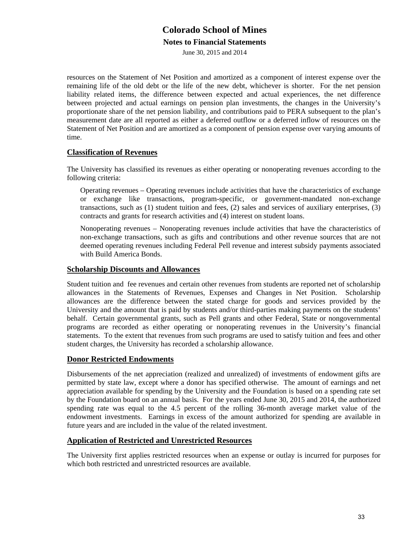June 30, 2015 and 2014

resources on the Statement of Net Position and amortized as a component of interest expense over the remaining life of the old debt or the life of the new debt, whichever is shorter. For the net pension liability related items, the difference between expected and actual experiences, the net difference between projected and actual earnings on pension plan investments, the changes in the University's proportionate share of the net pension liability, and contributions paid to PERA subsequent to the plan's measurement date are all reported as either a deferred outflow or a deferred inflow of resources on the Statement of Net Position and are amortized as a component of pension expense over varying amounts of time.

## **Classification of Revenues**

The University has classified its revenues as either operating or nonoperating revenues according to the following criteria:

Operating revenues – Operating revenues include activities that have the characteristics of exchange or exchange like transactions, program-specific, or government-mandated non-exchange transactions, such as (1) student tuition and fees, (2) sales and services of auxiliary enterprises, (3) contracts and grants for research activities and (4) interest on student loans.

Nonoperating revenues – Nonoperating revenues include activities that have the characteristics of non-exchange transactions, such as gifts and contributions and other revenue sources that are not deemed operating revenues including Federal Pell revenue and interest subsidy payments associated with Build America Bonds.

## **Scholarship Discounts and Allowances**

Student tuition and fee revenues and certain other revenues from students are reported net of scholarship allowances in the Statements of Revenues, Expenses and Changes in Net Position. Scholarship allowances are the difference between the stated charge for goods and services provided by the University and the amount that is paid by students and/or third-parties making payments on the students' behalf. Certain governmental grants, such as Pell grants and other Federal, State or nongovernmental programs are recorded as either operating or nonoperating revenues in the University's financial statements. To the extent that revenues from such programs are used to satisfy tuition and fees and other student charges, the University has recorded a scholarship allowance.

## **Donor Restricted Endowments**

Disbursements of the net appreciation (realized and unrealized) of investments of endowment gifts are permitted by state law, except where a donor has specified otherwise. The amount of earnings and net appreciation available for spending by the University and the Foundation is based on a spending rate set by the Foundation board on an annual basis. For the years ended June 30, 2015 and 2014, the authorized spending rate was equal to the 4.5 percent of the rolling 36-month average market value of the endowment investments. Earnings in excess of the amount authorized for spending are available in future years and are included in the value of the related investment.

## **Application of Restricted and Unrestricted Resources**

The University first applies restricted resources when an expense or outlay is incurred for purposes for which both restricted and unrestricted resources are available.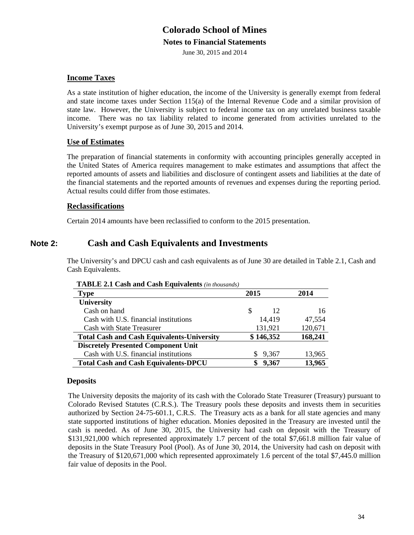June 30, 2015 and 2014

## **Income Taxes**

As a state institution of higher education, the income of the University is generally exempt from federal and state income taxes under Section 115(a) of the Internal Revenue Code and a similar provision of state law. However, the University is subject to federal income tax on any unrelated business taxable income. There was no tax liability related to income generated from activities unrelated to the University's exempt purpose as of June 30, 2015 and 2014.

## **Use of Estimates**

The preparation of financial statements in conformity with accounting principles generally accepted in the United States of America requires management to make estimates and assumptions that affect the reported amounts of assets and liabilities and disclosure of contingent assets and liabilities at the date of the financial statements and the reported amounts of revenues and expenses during the reporting period. Actual results could differ from those estimates.

## **Reclassifications**

Certain 2014 amounts have been reclassified to conform to the 2015 presentation.

## **Note 2: Cash and Cash Equivalents and Investments**

The University's and DPCU cash and cash equivalents as of June 30 are detailed in Table 2.1, Cash and Cash Equivalents.

| <b>TABLE 2.1 Cash and Cash Equivalents</b> (in thousands) |      |           |         |
|-----------------------------------------------------------|------|-----------|---------|
| <b>Type</b>                                               | 2015 |           | 2014    |
| <b>University</b>                                         |      |           |         |
| Cash on hand                                              | S    | 12        | 16      |
| Cash with U.S. financial institutions                     |      | 14,419    | 47,554  |
| <b>Cash with State Treasurer</b>                          |      | 131,921   | 120,671 |
| <b>Total Cash and Cash Equivalents-University</b>         |      | \$146,352 | 168,241 |
| <b>Discretely Presented Component Unit</b>                |      |           |         |
| Cash with U.S. financial institutions                     | S.   | 9,367     | 13,965  |
| <b>Total Cash and Cash Equivalents-DPCU</b>               |      | 9,367     | 13,965  |

**TABLE 2.1 Cash and Cash Equivalents** *(in thousands)*

## **Deposits**

The University deposits the majority of its cash with the Colorado State Treasurer (Treasury) pursuant to Colorado Revised Statutes (C.R.S.). The Treasury pools these deposits and invests them in securities authorized by Section 24-75-601.1, C.R.S. The Treasury acts as a bank for all state agencies and many state supported institutions of higher education. Monies deposited in the Treasury are invested until the cash is needed. As of June 30, 2015, the University had cash on deposit with the Treasury of \$131,921,000 which represented approximately 1.7 percent of the total \$7,661.8 million fair value of deposits in the State Treasury Pool (Pool). As of June 30, 2014, the University had cash on deposit with the Treasury of \$120,671,000 which represented approximately 1.6 percent of the total \$7,445.0 million fair value of deposits in the Pool.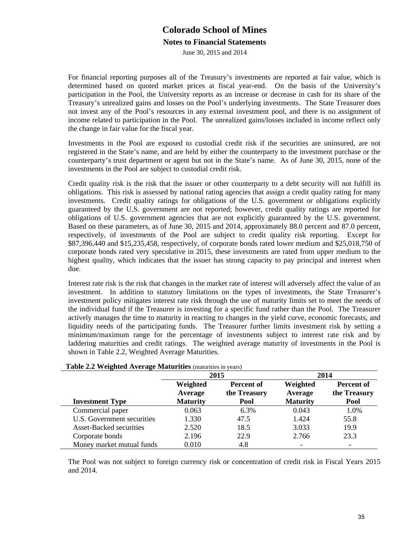June 30, 2015 and 2014

For financial reporting purposes all of the Treasury's investments are reported at fair value, which is determined based on quoted market prices at fiscal year-end. On the basis of the University's participation in the Pool, the University reports as an increase or decrease in cash for its share of the Treasury's unrealized gains and losses on the Pool's underlying investments. The State Treasurer does not invest any of the Pool's resources in any external investment pool, and there is no assignment of income related to participation in the Pool. The unrealized gains/losses included in income reflect only the change in fair value for the fiscal year.

Investments in the Pool are exposed to custodial credit risk if the securities are uninsured, are not registered in the State's name, and are held by either the counterparty to the investment purchase or the counterparty's trust department or agent but not in the State's name. As of June 30, 2015, none of the investments in the Pool are subject to custodial credit risk.

Credit quality risk is the risk that the issuer or other counterparty to a debt security will not fulfill its obligations. This risk is assessed by national rating agencies that assign a credit quality rating for many investments. Credit quality ratings for obligations of the U.S. government or obligations explicitly guaranteed by the U.S. government are not reported; however, credit quality ratings are reported for obligations of U.S. government agencies that are not explicitly guaranteed by the U.S. government. Based on these parameters, as of June 30, 2015 and 2014, approximately 88.0 percent and 87.0 percent, respectively, of investments of the Pool are subject to credit quality risk reporting. Except for \$87,396,440 and \$15,235,458, respectively, of corporate bonds rated lower medium and \$25,018,750 of corporate bonds rated very speculative in 2015, these investments are rated from upper medium to the highest quality, which indicates that the issuer has strong capacity to pay principal and interest when due.

Interest rate risk is the risk that changes in the market rate of interest will adversely affect the value of an investment. In addition to statutory limitations on the types of investments, the State Treasurer's investment policy mitigates interest rate risk through the use of maturity limits set to meet the needs of the individual fund if the Treasurer is investing for a specific fund rather than the Pool. The Treasurer actively manages the time to maturity in reacting to changes in the yield curve, economic forecasts, and liquidity needs of the participating funds. The Treasurer further limits investment risk by setting a minimum/maximum range for the percentage of investments subject to interest rate risk and by laddering maturities and credit ratings. The weighted average maturity of investments in the Pool is shown in Table 2.2, Weighted Average Maturities.

| <b>Table 2.2</b> IT eighted <i>IXVIage Maturities</i> (maturities in years) |                     |                            |                     |                                   |
|-----------------------------------------------------------------------------|---------------------|----------------------------|---------------------|-----------------------------------|
|                                                                             | 2015                |                            |                     | 2014                              |
|                                                                             | Weighted<br>Average | Percent of<br>the Treasury | Weighted<br>Average | <b>Percent of</b><br>the Treasury |
| <b>Investment Type</b>                                                      | <b>Maturity</b>     | Pool                       | <b>Maturity</b>     | Pool                              |
| Commercial paper                                                            | 0.063               | 6.3%                       | 0.043               | 1.0%                              |
| U.S. Government securities                                                  | 1.330               | 47.5                       | 1.424               | 55.8                              |
| <b>Asset-Backed securities</b>                                              | 2.520               | 18.5                       | 3.033               | 19.9                              |
| Corporate bonds                                                             | 2.196               | 22.9                       | 2.766               | 23.3                              |
| Money market mutual funds                                                   | 0.010               | 4.8                        |                     | $\overline{\phantom{0}}$          |

#### **Table 2.2 Weighted Average Maturities** (maturities in years)

The Pool was not subject to foreign currency risk or concentration of credit risk in Fiscal Years 2015 and 2014.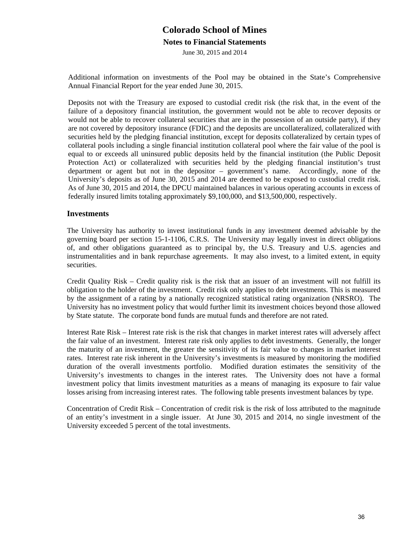June 30, 2015 and 2014

Additional information on investments of the Pool may be obtained in the State's Comprehensive Annual Financial Report for the year ended June 30, 2015.

Deposits not with the Treasury are exposed to custodial credit risk (the risk that, in the event of the failure of a depository financial institution, the government would not be able to recover deposits or would not be able to recover collateral securities that are in the possession of an outside party), if they are not covered by depository insurance (FDIC) and the deposits are uncollateralized, collateralized with securities held by the pledging financial institution, except for deposits collateralized by certain types of collateral pools including a single financial institution collateral pool where the fair value of the pool is equal to or exceeds all uninsured public deposits held by the financial institution (the Public Deposit Protection Act) or collateralized with securities held by the pledging financial institution's trust department or agent but not in the depositor – government's name. Accordingly, none of the University's deposits as of June 30, 2015 and 2014 are deemed to be exposed to custodial credit risk. As of June 30, 2015 and 2014, the DPCU maintained balances in various operating accounts in excess of federally insured limits totaling approximately \$9,100,000, and \$13,500,000, respectively.

## **Investments**

The University has authority to invest institutional funds in any investment deemed advisable by the governing board per section 15-1-1106, C.R.S. The University may legally invest in direct obligations of, and other obligations guaranteed as to principal by, the U.S. Treasury and U.S. agencies and instrumentalities and in bank repurchase agreements. It may also invest, to a limited extent, in equity securities.

Credit Quality Risk – Credit quality risk is the risk that an issuer of an investment will not fulfill its obligation to the holder of the investment. Credit risk only applies to debt investments. This is measured by the assignment of a rating by a nationally recognized statistical rating organization (NRSRO). The University has no investment policy that would further limit its investment choices beyond those allowed by State statute. The corporate bond funds are mutual funds and therefore are not rated.

Interest Rate Risk – Interest rate risk is the risk that changes in market interest rates will adversely affect the fair value of an investment. Interest rate risk only applies to debt investments. Generally, the longer the maturity of an investment, the greater the sensitivity of its fair value to changes in market interest rates. Interest rate risk inherent in the University's investments is measured by monitoring the modified duration of the overall investments portfolio. Modified duration estimates the sensitivity of the University's investments to changes in the interest rates. The University does not have a formal investment policy that limits investment maturities as a means of managing its exposure to fair value losses arising from increasing interest rates. The following table presents investment balances by type.

Concentration of Credit Risk – Concentration of credit risk is the risk of loss attributed to the magnitude of an entity's investment in a single issuer. At June 30, 2015 and 2014, no single investment of the University exceeded 5 percent of the total investments.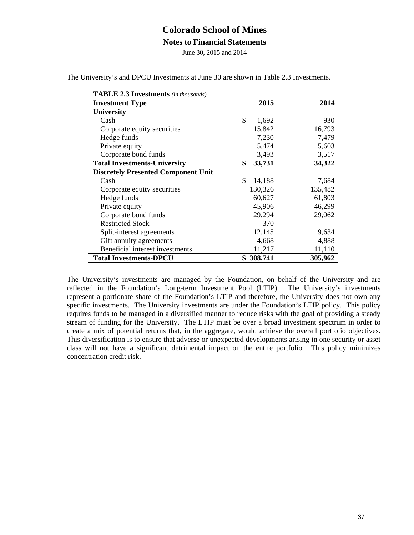#### **Notes to Financial Statements**

June 30, 2015 and 2014

The University's and DPCU Investments at June 30 are shown in Table 2.3 Investments.

| <b>TABLE 2.3 Investments</b> (in thousands) |               |         |
|---------------------------------------------|---------------|---------|
| <b>Investment Type</b>                      | 2015          | 2014    |
| <b>University</b>                           |               |         |
| Cash                                        | \$<br>1,692   | 930     |
| Corporate equity securities                 | 15,842        | 16,793  |
| Hedge funds                                 | 7,230         | 7,479   |
| Private equity                              | 5,474         | 5,603   |
| Corporate bond funds                        | 3,493         | 3,517   |
| <b>Total Investments-University</b>         | \$<br>33,731  | 34,322  |
| <b>Discretely Presented Component Unit</b>  |               |         |
| Cash                                        | \$<br>14,188  | 7,684   |
| Corporate equity securities                 | 130,326       | 135,482 |
| Hedge funds                                 | 60,627        | 61,803  |
| Private equity                              | 45,906        | 46,299  |
| Corporate bond funds                        | 29,294        | 29,062  |
| <b>Restricted Stock</b>                     | 370           |         |
| Split-interest agreements                   | 12,145        | 9,634   |
| Gift annuity agreements                     | 4,668         | 4,888   |
| Beneficial interest investments             | 11,217        | 11,110  |
| <b>Total Investments-DPCU</b>               | 308,741<br>\$ | 305,962 |

The University's investments are managed by the Foundation, on behalf of the University and are reflected in the Foundation's Long-term Investment Pool (LTIP). The University's investments represent a portionate share of the Foundation's LTIP and therefore, the University does not own any specific investments. The University investments are under the Foundation's LTIP policy. This policy requires funds to be managed in a diversified manner to reduce risks with the goal of providing a steady stream of funding for the University. The LTIP must be over a broad investment spectrum in order to create a mix of potential returns that, in the aggregate, would achieve the overall portfolio objectives. This diversification is to ensure that adverse or unexpected developments arising in one security or asset class will not have a significant detrimental impact on the entire portfolio. This policy minimizes concentration credit risk.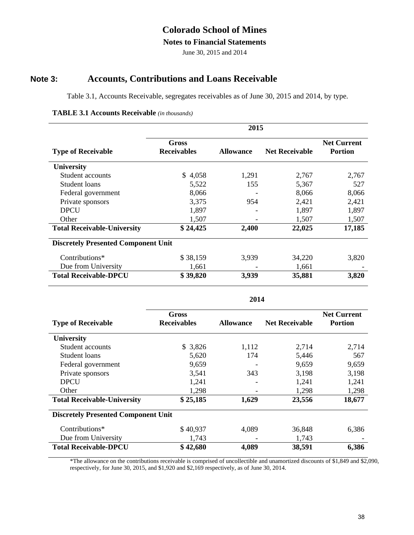#### **Notes to Financial Statements**

June 30, 2015 and 2014

## **Note 3: Accounts, Contributions and Loans Receivable**

Table 3.1, Accounts Receivable, segregates receivables as of June 30, 2015 and 2014, by type.

#### **TABLE 3.1 Accounts Receivable** *(in thousands)*

| <b>Type of Receivable</b>                  | 2015                        |                  |                       |                                      |
|--------------------------------------------|-----------------------------|------------------|-----------------------|--------------------------------------|
|                                            | Gross<br><b>Receivables</b> | <b>Allowance</b> | <b>Net Receivable</b> | <b>Net Current</b><br><b>Portion</b> |
| <b>University</b>                          |                             |                  |                       |                                      |
| Student accounts                           | \$4,058                     | 1,291            | 2,767                 | 2,767                                |
| Student loans                              | 5,522                       | 155              | 5,367                 | 527                                  |
| Federal government                         | 8,066                       |                  | 8,066                 | 8,066                                |
| Private sponsors                           | 3,375                       | 954              | 2,421                 | 2,421                                |
| <b>DPCU</b>                                | 1,897                       |                  | 1,897                 | 1,897                                |
| Other                                      | 1,507                       |                  | 1,507                 | 1,507                                |
| <b>Total Receivable-University</b>         | \$24,425                    | 2,400            | 22,025                | 17,185                               |
| <b>Discretely Presented Component Unit</b> |                             |                  |                       |                                      |
| $Contributions*$                           | \$38,159                    | 3,939            | 34,220                | 3,820                                |
| Due from University                        | 1,661                       |                  | 1,661                 |                                      |
| <b>Total Receivable-DPCU</b>               | \$39,820                    | 3,939            | 35,881                | 3,820                                |

|                                            | 2014                               |                  |                       |                                      |
|--------------------------------------------|------------------------------------|------------------|-----------------------|--------------------------------------|
| <b>Type of Receivable</b>                  | <b>Gross</b><br><b>Receivables</b> | <b>Allowance</b> | <b>Net Receivable</b> | <b>Net Current</b><br><b>Portion</b> |
| <b>University</b>                          |                                    |                  |                       |                                      |
| Student accounts                           | \$3,826                            | 1,112            | 2,714                 | 2,714                                |
| Student loans                              | 5,620                              | 174              | 5,446                 | 567                                  |
| Federal government                         | 9,659                              |                  | 9,659                 | 9,659                                |
| Private sponsors                           | 3,541                              | 343              | 3,198                 | 3,198                                |
| <b>DPCU</b>                                | 1,241                              |                  | 1,241                 | 1,241                                |
| Other                                      | 1,298                              |                  | 1,298                 | 1,298                                |
| <b>Total Receivable-University</b>         | \$25,185                           | 1,629            | 23,556                | 18,677                               |
| <b>Discretely Presented Component Unit</b> |                                    |                  |                       |                                      |
| $Contributions*$                           | \$40,937                           | 4,089            | 36,848                | 6,386                                |
| Due from University                        | 1,743                              |                  | 1,743                 |                                      |
| <b>Total Receivable-DPCU</b>               | \$42,680                           | 4,089            | 38,591                | 6,386                                |

\*The allowance on the contributions receivable is comprised of uncollectible and unamortized discounts of \$1,849 and \$2,090, respectively, for June 30, 2015, and \$1,920 and \$2,169 respectively, as of June 30, 2014.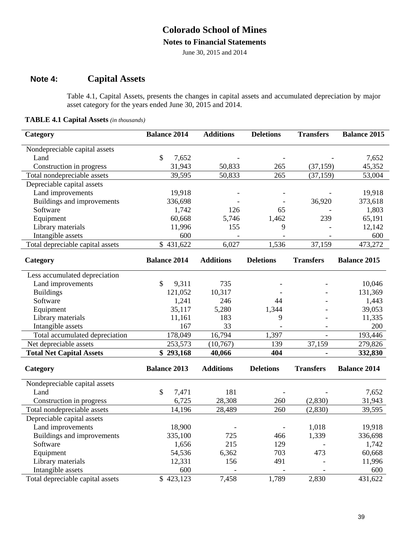## **Notes to Financial Statements**

June 30, 2015 and 2014

## **Note 4: Capital Assets**

Table 4.1, Capital Assets, presents the changes in capital assets and accumulated depreciation by major asset category for the years ended June 30, 2015 and 2014.

## **TABLE 4.1 Capital Assets** *(in thousands)*

| Category                         | <b>Balance 2014</b> | <b>Additions</b> | <b>Deletions</b> | <b>Transfers</b> | <b>Balance 2015</b> |
|----------------------------------|---------------------|------------------|------------------|------------------|---------------------|
| Nondepreciable capital assets    |                     |                  |                  |                  |                     |
| Land                             | \$<br>7,652         |                  |                  |                  | 7,652               |
| Construction in progress         | 31,943              | 50,833           | 265              | (37, 159)        | 45,352              |
| Total nondepreciable assets      | 39,595              | 50,833           | 265              | (37, 159)        | 53,004              |
| Depreciable capital assets       |                     |                  |                  |                  |                     |
| Land improvements                | 19,918              |                  |                  |                  | 19,918              |
| Buildings and improvements       | 336,698             |                  |                  | 36,920           | 373,618             |
| Software                         | 1,742               | 126              | 65               |                  | 1,803               |
| Equipment                        | 60,668              | 5,746            | 1,462            | 239              | 65,191              |
| Library materials                | 11,996              | 155              | 9                |                  | 12,142              |
| Intangible assets                | 600                 |                  |                  |                  | 600                 |
| Total depreciable capital assets | \$431,622           | 6,027            | 1,536            | 37,159           | 473,272             |
| Category                         | <b>Balance 2014</b> | <b>Additions</b> | <b>Deletions</b> | <b>Transfers</b> | <b>Balance 2015</b> |
| Less accumulated depreciation    |                     |                  |                  |                  |                     |
| Land improvements                | \$<br>9,311         | 735              |                  |                  | 10,046              |
| <b>Buildings</b>                 | 121,052             | 10,317           |                  |                  | 131,369             |
| Software                         | 1,241               | 246              | 44               |                  | 1,443               |
| Equipment                        | 35,117              | 5,280            | 1,344            |                  | 39,053              |
| Library materials                | 11,161              | 183              | 9                |                  | 11,335              |
| Intangible assets                | 167                 | 33               |                  |                  | 200                 |
| Total accumulated depreciation   | 178,049             | 16,794           | 1,397            |                  | 193,446             |
| Net depreciable assets           | 253,573             | (10,767)         | 139              | 37,159           | 279,826             |
| <b>Total Net Capital Assets</b>  | \$293,168           | 40,066           | 404              |                  | 332,830             |
| Category                         | <b>Balance 2013</b> | <b>Additions</b> | <b>Deletions</b> | <b>Transfers</b> | <b>Balance 2014</b> |
| Nondepreciable capital assets    |                     |                  |                  |                  |                     |
| Land                             | \$<br>7,471         | 181              |                  |                  | 7,652               |
| Construction in progress         | 6,725               | 28,308           | 260              | (2,830)          | 31,943              |
| Total nondepreciable assets      | 14,196              | 28,489           | 260              | (2,830)          | 39,595              |
| Depreciable capital assets       |                     |                  |                  |                  |                     |
| Land improvements                | 18,900              |                  |                  | 1,018            | 19,918              |
| Buildings and improvements       | 335,100             | 725              | 466              | 1,339            | 336,698             |
| Software                         | 1,656               | 215              | 129              |                  | 1,742               |
| Equipment                        | 54,536              | 6,362            | 703              | 473              | 60,668              |
| Library materials                | 12,331              | 156              | 491              |                  | 11,996              |
| Intangible assets                | 600                 |                  |                  |                  | 600                 |
| Total depreciable capital assets | \$423,123           | 7,458            | 1,789            | 2,830            | 431,622             |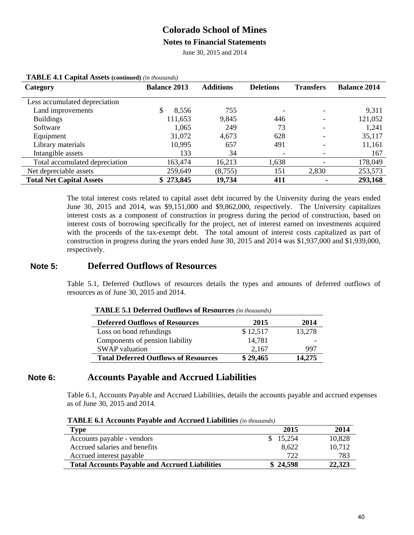## **Notes to Financial Statements**

June 30, 2015 and 2014

| Category                        | <b>Balance 2013</b> | <b>Additions</b> | <b>Deletions</b> | <b>Transfers</b> | <b>Balance 2014</b> |
|---------------------------------|---------------------|------------------|------------------|------------------|---------------------|
| Less accumulated depreciation   |                     |                  |                  |                  |                     |
| Land improvements               | S<br>8,556          | 755              |                  |                  | 9,311               |
| <b>Buildings</b>                | 111,653             | 9,845            | 446              |                  | 121,052             |
| Software                        | 1,065               | 249              | 73               |                  | 1,241               |
| Equipment                       | 31,072              | 4,673            | 628              |                  | 35,117              |
| Library materials               | 10,995              | 657              | 491              |                  | 11,161              |
| Intangible assets               | 133                 | 34               |                  |                  | 167                 |
| Total accumulated depreciation  | 163,474             | 16,213           | 1,638            |                  | 178,049             |
| Net depreciable assets          | 259,649             | (8,755)          | 151              | 2,830            | 253,573             |
| <b>Total Net Capital Assets</b> | \$273,845           | 19,734           | 411              |                  | 293,168             |

#### **TABLE 4.1 Capital Assets (continued)** *(in thousands)*

The total interest costs related to capital asset debt incurred by the University during the years ended June 30, 2015 and 2014, was \$9,151,000 and \$9,862,000, respectively. The University capitalizes interest costs as a component of construction in progress during the period of construction, based on interest costs of borrowing specifically for the project, net of interest earned on investments acquired with the proceeds of the tax-exempt debt. The total amount of interest costs capitalized as part of construction in progress during the years ended June 30, 2015 and 2014 was \$1,937,000 and \$1,939,000, respectively.

## **Note 5: Deferred Outflows of Resources**

Table 5.1, Deferred Outflows of resources details the types and amounts of deferred outflows of resources as of June 30, 2015 and 2014.

| <b>Deferred Outflows of Resources</b>       | 2015     | 2014   |
|---------------------------------------------|----------|--------|
| Loss on bond refundings                     | \$12,517 | 13,278 |
| Components of pension liability             | 14,781   |        |
| <b>SWAP</b> valuation                       | 2.167    | 997    |
| <b>Total Deferred Outflows of Resources</b> | \$29,465 | 14.275 |

#### **TABLE 5.1 Deferred Outflows of Resources** *(in thousands)*

## **Note 6: Accounts Payable and Accrued Liabilities**

Table 6.1, Accounts Payable and Accrued Liabilities, details the accounts payable and accrued expenses as of June 30, 2015 and 2014.

| <b>Trible 6.1 Accounts I ayable and Acci acd Liabinues</b> (in mousumas) |          |        |  |  |
|--------------------------------------------------------------------------|----------|--------|--|--|
| Type                                                                     | 2015     | 2014   |  |  |
| Accounts payable - vendors                                               | \$15,254 | 10,828 |  |  |
| Accrued salaries and benefits                                            | 8.622    | 10,712 |  |  |
| Accrued interest payable                                                 | 722      | 783    |  |  |
| <b>Total Accounts Payable and Accrued Liabilities</b>                    | \$24,598 | 22,323 |  |  |

**TABLE 6.1 Accounts Payable and Accrued Liabilities** *(in thousands)*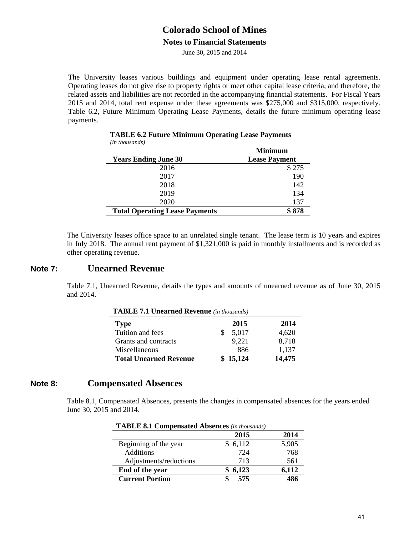June 30, 2015 and 2014

The University leases various buildings and equipment under operating lease rental agreements. Operating leases do not give rise to property rights or meet other capital lease criteria, and therefore, the related assets and liabilities are not recorded in the accompanying financial statements. For Fiscal Years 2015 and 2014, total rent expense under these agreements was \$275,000 and \$315,000, respectively. Table 6.2, Future Minimum Operating Lease Payments, details the future minimum operating lease payments.

| <i>u uwasanas</i>                     |                      |
|---------------------------------------|----------------------|
|                                       | <b>Minimum</b>       |
| <b>Years Ending June 30</b>           | <b>Lease Payment</b> |
| 2016                                  | \$275                |
| 2017                                  | 190                  |
| 2018                                  | 142                  |
| 2019                                  | 134                  |
| 2020                                  | 137                  |
| <b>Total Operating Lease Payments</b> | \$ 878               |

#### **TABLE 6.2 Future Minimum Operating Lease Payments**  *(in thousands)*

The University leases office space to an unrelated single tenant. The lease term is 10 years and expires in July 2018. The annual rent payment of \$1,321,000 is paid in monthly installments and is recorded as other operating revenue.

## **Note 7: Unearned Revenue**

Table 7.1, Unearned Revenue, details the types and amounts of unearned revenue as of June 30, 2015 and 2014.

| Type                          | 2015   | 2014   |
|-------------------------------|--------|--------|
| Tuition and fees              | 5,017  | 4.620  |
| Grants and contracts          | 9.221  | 8,718  |
| Miscellaneous                 | 886    | 1.137  |
| <b>Total Unearned Revenue</b> | 15.124 | 14.475 |
|                               |        |        |

**TABLE 7.1 Unearned Revenue** *(in thousands)*

## **Note 8: Compensated Absences**

Table 8.1, Compensated Absences, presents the changes in compensated absences for the years ended June 30, 2015 and 2014.

| <b>TABLE 8.1 Compensated Absences</b> (in thousands) |       |       |  |  |  |
|------------------------------------------------------|-------|-------|--|--|--|
|                                                      | 2015  | 2014  |  |  |  |
| Beginning of the year                                | 6,112 | 5,905 |  |  |  |
| Additions                                            | 724   | 768   |  |  |  |
| Adjustments/reductions                               | 713   | 561   |  |  |  |
| End of the year                                      | 6,123 | 6,112 |  |  |  |
| <b>Current Portion</b>                               | 575   | 486   |  |  |  |

| <b>TABLE 8.1 Compensated Absences</b> (in thousands) |  |
|------------------------------------------------------|--|
|                                                      |  |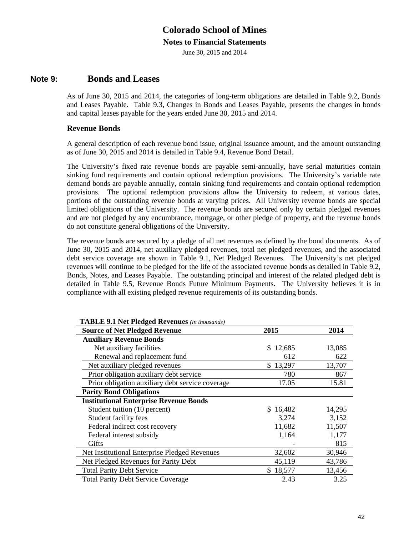#### **Notes to Financial Statements**

June 30, 2015 and 2014

## **Note 9: Bonds and Leases**

As of June 30, 2015 and 2014, the categories of long-term obligations are detailed in Table 9.2, Bonds and Leases Payable. Table 9.3, Changes in Bonds and Leases Payable, presents the changes in bonds and capital leases payable for the years ended June 30, 2015 and 2014.

## **Revenue Bonds**

A general description of each revenue bond issue, original issuance amount, and the amount outstanding as of June 30, 2015 and 2014 is detailed in Table 9.4, Revenue Bond Detail.

The University's fixed rate revenue bonds are payable semi-annually, have serial maturities contain sinking fund requirements and contain optional redemption provisions. The University's variable rate demand bonds are payable annually, contain sinking fund requirements and contain optional redemption provisions. The optional redemption provisions allow the University to redeem, at various dates, portions of the outstanding revenue bonds at varying prices. All University revenue bonds are special limited obligations of the University. The revenue bonds are secured only by certain pledged revenues and are not pledged by any encumbrance, mortgage, or other pledge of property, and the revenue bonds do not constitute general obligations of the University.

The revenue bonds are secured by a pledge of all net revenues as defined by the bond documents. As of June 30, 2015 and 2014, net auxiliary pledged revenues, total net pledged revenues, and the associated debt service coverage are shown in Table 9.1, Net Pledged Revenues. The University's net pledged revenues will continue to be pledged for the life of the associated revenue bonds as detailed in Table 9.2, Bonds, Notes, and Leases Payable. The outstanding principal and interest of the related pledged debt is detailed in Table 9.5, Revenue Bonds Future Minimum Payments. The University believes it is in compliance with all existing pledged revenue requirements of its outstanding bonds.

| <b>Source of Net Pledged Revenue</b>             | 2015         | 2014   |
|--------------------------------------------------|--------------|--------|
| <b>Auxiliary Revenue Bonds</b>                   |              |        |
| Net auxiliary facilities                         | \$12,685     | 13,085 |
| Renewal and replacement fund                     | 612          | 622    |
| Net auxiliary pledged revenues                   | 13,297<br>S. | 13,707 |
| Prior obligation auxiliary debt service          | 780          | 867    |
| Prior obligation auxiliary debt service coverage | 17.05        | 15.81  |
| <b>Parity Bond Obligations</b>                   |              |        |
| <b>Institutional Enterprise Revenue Bonds</b>    |              |        |
| Student tuition (10 percent)                     | \$16,482     | 14,295 |
| Student facility fees                            | 3,274        | 3,152  |
| Federal indirect cost recovery                   | 11,682       | 11,507 |
| Federal interest subsidy                         | 1,164        | 1,177  |
| Gifts                                            |              | 815    |
| Net Institutional Enterprise Pledged Revenues    | 32,602       | 30,946 |
| Net Pledged Revenues for Parity Debt             | 45,119       | 43,786 |
| <b>Total Parity Debt Service</b>                 | \$18,577     | 13,456 |
| <b>Total Parity Debt Service Coverage</b>        | 2.43         | 3.25   |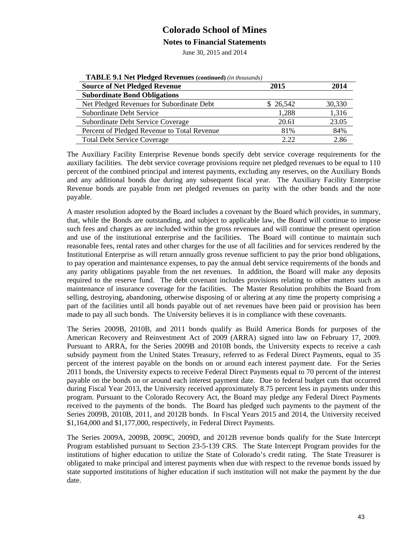#### **Notes to Financial Statements**

June 30, 2015 and 2014

| <b>Source of Net Pledged Revenue</b>        | 2015     | 2014   |
|---------------------------------------------|----------|--------|
| <b>Subordinate Bond Obligations</b>         |          |        |
| Net Pledged Revenues for Subordinate Debt   | \$26,542 | 30,330 |
| <b>Subordinate Debt Service</b>             | 1,288    | 1,316  |
| Subordinate Debt Service Coverage           | 20.61    | 23.05  |
| Percent of Pledged Revenue to Total Revenue | 81%      | 84%    |
| <b>Total Debt Service Coverage</b>          | 2.22     | 2.86   |

**TABLE 9.1 Net Pledged Revenues (continued)** *(in thousands)*

The Auxiliary Facility Enterprise Revenue bonds specify debt service coverage requirements for the auxiliary facilities. The debt service coverage provisions require net pledged revenues to be equal to 110 percent of the combined principal and interest payments, excluding any reserves, on the Auxiliary Bonds and any additional bonds due during any subsequent fiscal year. The Auxiliary Facility Enterprise Revenue bonds are payable from net pledged revenues on parity with the other bonds and the note payable.

A master resolution adopted by the Board includes a covenant by the Board which provides, in summary, that, while the Bonds are outstanding, and subject to applicable law, the Board will continue to impose such fees and charges as are included within the gross revenues and will continue the present operation and use of the institutional enterprise and the facilities. The Board will continue to maintain such reasonable fees, rental rates and other charges for the use of all facilities and for services rendered by the Institutional Enterprise as will return annually gross revenue sufficient to pay the prior bond obligations, to pay operation and maintenance expenses, to pay the annual debt service requirements of the bonds and any parity obligations payable from the net revenues. In addition, the Board will make any deposits required to the reserve fund. The debt covenant includes provisions relating to other matters such as maintenance of insurance coverage for the facilities. The Master Resolution prohibits the Board from selling, destroying, abandoning, otherwise disposing of or altering at any time the property comprising a part of the facilities until all bonds payable out of net revenues have been paid or provision has been made to pay all such bonds. The University believes it is in compliance with these covenants.

The Series 2009B, 2010B, and 2011 bonds qualify as Build America Bonds for purposes of the American Recovery and Reinvestment Act of 2009 (ARRA) signed into law on February 17, 2009. Pursuant to ARRA, for the Series 2009B and 2010B bonds, the University expects to receive a cash subsidy payment from the United States Treasury, referred to as Federal Direct Payments, equal to 35 percent of the interest payable on the bonds on or around each interest payment date. For the Series 2011 bonds, the University expects to receive Federal Direct Payments equal to 70 percent of the interest payable on the bonds on or around each interest payment date. Due to federal budget cuts that occurred during Fiscal Year 2013, the University received approximately 8.75 percent less in payments under this program. Pursuant to the Colorado Recovery Act, the Board may pledge any Federal Direct Payments received to the payments of the bonds. The Board has pledged such payments to the payment of the Series 2009B, 2010B, 2011, and 2012B bonds. In Fiscal Years 2015 and 2014, the University received \$1,164,000 and \$1,177,000, respectively, in Federal Direct Payments.

The Series 2009A, 2009B, 2009C, 2009D, and 2012B revenue bonds qualify for the State Intercept Program established pursuant to Section 23-5-139 CRS. The State Intercept Program provides for the institutions of higher education to utilize the State of Colorado's credit rating. The State Treasurer is obligated to make principal and interest payments when due with respect to the revenue bonds issued by state supported institutions of higher education if such institution will not make the payment by the due date.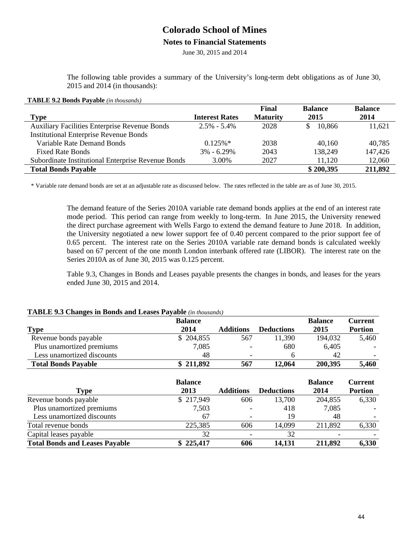#### **Notes to Financial Statements**

June 30, 2015 and 2014

The following table provides a summary of the University's long-term debt obligations as of June 30, 2015 and 2014 (in thousands):

|                                                      |                       | Final           | <b>Balance</b> | <b>Balance</b> |
|------------------------------------------------------|-----------------------|-----------------|----------------|----------------|
| <b>Type</b>                                          | <b>Interest Rates</b> | <b>Maturity</b> | 2015           | 2014           |
| <b>Auxiliary Facilities Enterprise Revenue Bonds</b> | $2.5\% - 5.4\%$       | 2028            | 10.866<br>S.   | 11,621         |
| <b>Institutional Enterprise Revenue Bonds</b>        |                       |                 |                |                |
| Variable Rate Demand Bonds                           | $0.125\%*$            | 2038            | 40,160         | 40,785         |
| <b>Fixed Rate Bonds</b>                              | $3\% - 6.29\%$        | 2043            | 138,249        | 147,426        |
| Subordinate Institutional Enterprise Revenue Bonds   | 3.00%                 | 2027            | 11.120         | 12,060         |
| <b>Total Bonds Payable</b>                           |                       |                 | \$200,395      | 211,892        |

#### **TABLE 9.2 Bonds Payable** *(in thousands)*

\* Variable rate demand bonds are set at an adjustable rate as discussed below. The rates reflected in the table are as of June 30, 2015.

The demand feature of the Series 2010A variable rate demand bonds applies at the end of an interest rate mode period. This period can range from weekly to long-term. In June 2015, the University renewed the direct purchase agreement with Wells Fargo to extend the demand feature to June 2018. In addition, the University negotiated a new lower support fee of 0.40 percent compared to the prior support fee of 0.65 percent. The interest rate on the Series 2010A variable rate demand bonds is calculated weekly based on 67 percent of the one month London interbank offered rate (LIBOR). The interest rate on the Series 2010A as of June 30, 2015 was 0.125 percent.

Table 9.3, Changes in Bonds and Leases payable presents the changes in bonds, and leases for the years ended June 30, 2015 and 2014.

#### **TABLE 9.3 Changes in Bonds and Leases Payable** *(in thousands)*

|                            | <b>Balance</b> |                          |                   | <b>Balance</b> | Current        |
|----------------------------|----------------|--------------------------|-------------------|----------------|----------------|
| <b>Type</b>                | 2014           | <b>Additions</b>         | <b>Deductions</b> | 2015           | <b>Portion</b> |
| Revenue bonds payable      | \$204,855      | 567                      | 11,390            | 194,032        | 5,460          |
| Plus unamortized premiums  | 7,085          | $\overline{\phantom{a}}$ | 680               | 6,405          |                |
| Less unamortized discounts | 48             | $\overline{\phantom{a}}$ |                   | 42             |                |
| <b>Total Bonds Payable</b> | \$211,892      | 567                      | 12,064            | 200,395        | 5,460          |

| Type                                  | <b>Balance</b><br>2013 | <b>Additions</b> | <b>Deductions</b> | <b>Balance</b><br>2014 | <b>Current</b><br><b>Portion</b> |
|---------------------------------------|------------------------|------------------|-------------------|------------------------|----------------------------------|
| Revenue bonds payable                 | \$217,949              | 606              | 13,700            | 204,855                | 6,330                            |
| Plus unamortized premiums             | 7,503                  |                  | 418               | 7,085                  |                                  |
| Less unamortized discounts            | 67                     |                  | 19                | 48                     |                                  |
| Total revenue bonds                   | 225,385                | 606              | 14,099            | 211,892                | 6,330                            |
| Capital leases payable                | 32                     |                  | 32                |                        |                                  |
| <b>Total Bonds and Leases Payable</b> | \$225,417              | 606              | 14,131            | 211,892                | 6,330                            |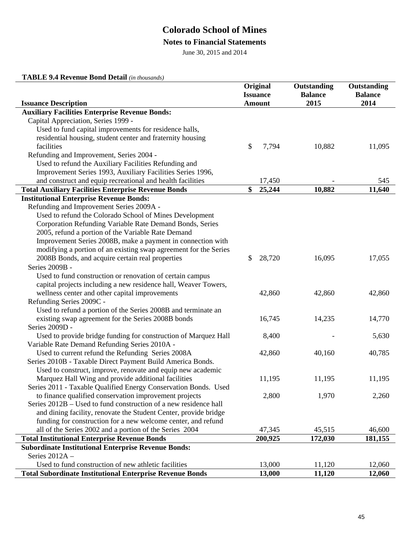## **Notes to Financial Statements**

June 30, 2015 and 2014

## **TABLE 9.4 Revenue Bond Detail** *(in thousands)*

|                                                                                                                   | Original<br><b>Issuance</b> |         | Outstanding<br><b>Balance</b> | Outstanding<br><b>Balance</b> |  |
|-------------------------------------------------------------------------------------------------------------------|-----------------------------|---------|-------------------------------|-------------------------------|--|
| <b>Issuance Description</b>                                                                                       | <b>Amount</b>               |         | 2015                          | 2014                          |  |
| <b>Auxiliary Facilities Enterprise Revenue Bonds:</b>                                                             |                             |         |                               |                               |  |
| Capital Appreciation, Series 1999 -                                                                               |                             |         |                               |                               |  |
| Used to fund capital improvements for residence halls,                                                            |                             |         |                               |                               |  |
| residential housing, student center and fraternity housing                                                        |                             |         |                               |                               |  |
| facilities                                                                                                        | \$                          | 7,794   | 10,882                        | 11,095                        |  |
| Refunding and Improvement, Series 2004 -                                                                          |                             |         |                               |                               |  |
| Used to refund the Auxiliary Facilities Refunding and                                                             |                             |         |                               |                               |  |
| Improvement Series 1993, Auxiliary Facilities Series 1996,                                                        |                             |         |                               |                               |  |
| and construct and equip recreational and health facilities                                                        |                             | 17,450  |                               | 545                           |  |
| <b>Total Auxiliary Facilities Enterprise Revenue Bonds</b>                                                        | \$                          | 25,244  | 10,882                        | 11,640                        |  |
| <b>Institutional Enterprise Revenue Bonds:</b>                                                                    |                             |         |                               |                               |  |
| Refunding and Improvement Series 2009A -                                                                          |                             |         |                               |                               |  |
| Used to refund the Colorado School of Mines Development                                                           |                             |         |                               |                               |  |
| Corporation Refunding Variable Rate Demand Bonds, Series                                                          |                             |         |                               |                               |  |
| 2005, refund a portion of the Variable Rate Demand                                                                |                             |         |                               |                               |  |
| Improvement Series 2008B, make a payment in connection with                                                       |                             |         |                               |                               |  |
| modifying a portion of an existing swap agreement for the Series                                                  |                             |         |                               |                               |  |
| 2008B Bonds, and acquire certain real properties                                                                  | \$                          | 28,720  | 16,095                        | 17,055                        |  |
| Series 2009B -                                                                                                    |                             |         |                               |                               |  |
| Used to fund construction or renovation of certain campus                                                         |                             |         |                               |                               |  |
| capital projects including a new residence hall, Weaver Towers,                                                   |                             |         |                               |                               |  |
| wellness center and other capital improvements                                                                    |                             | 42,860  | 42,860                        | 42,860                        |  |
| Refunding Series 2009C -                                                                                          |                             |         |                               |                               |  |
| Used to refund a portion of the Series 2008B and terminate an                                                     |                             |         |                               |                               |  |
| existing swap agreement for the Series 2008B bonds                                                                |                             | 16,745  | 14,235                        | 14,770                        |  |
| Series 2009D -                                                                                                    |                             |         |                               |                               |  |
| Used to provide bridge funding for construction of Marquez Hall                                                   |                             | 8,400   |                               | 5,630                         |  |
| Variable Rate Demand Refunding Series 2010A -                                                                     |                             |         |                               |                               |  |
| Used to current refund the Refunding Series 2008A                                                                 |                             | 42,860  | 40,160                        | 40,785                        |  |
| Series 2010B - Taxable Direct Payment Build America Bonds.                                                        |                             |         |                               |                               |  |
| Used to construct, improve, renovate and equip new academic                                                       |                             |         |                               |                               |  |
| Marquez Hall Wing and provide additional facilities                                                               |                             | 11,195  | 11,195                        | 11,195                        |  |
| Series 2011 - Taxable Qualified Energy Conservation Bonds. Used                                                   |                             |         |                               |                               |  |
| to finance qualified conservation improvement projects                                                            |                             | 2,800   | 1,970                         | 2,260                         |  |
| Series 2012B - Used to fund construction of a new residence hall                                                  |                             |         |                               |                               |  |
| and dining facility, renovate the Student Center, provide bridge                                                  |                             |         |                               |                               |  |
| funding for construction for a new welcome center, and refund                                                     |                             |         |                               |                               |  |
| all of the Series 2002 and a portion of the Series 2004                                                           |                             | 47,345  | 45,515                        | 46,600                        |  |
| <b>Total Institutional Enterprise Revenue Bonds</b><br><b>Subordinate Institutional Enterprise Revenue Bonds:</b> |                             | 200,925 | 172,030                       | 181,155                       |  |
| Series 2012A -                                                                                                    |                             |         |                               |                               |  |
| Used to fund construction of new athletic facilities                                                              |                             | 13,000  | 11,120                        | 12,060                        |  |
|                                                                                                                   |                             | 13,000  | 11,120                        | 12,060                        |  |
| <b>Total Subordinate Institutional Enterprise Revenue Bonds</b>                                                   |                             |         |                               |                               |  |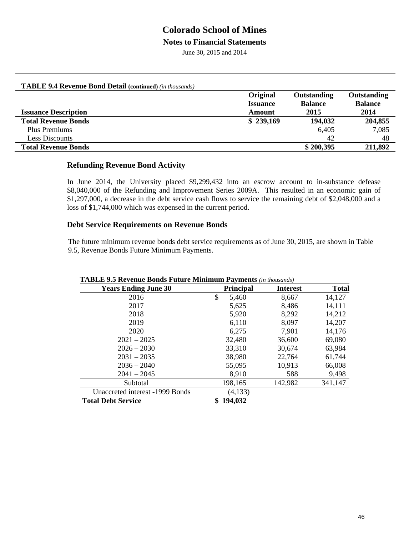#### **Notes to Financial Statements**

June 30, 2015 and 2014

#### **TABLE 9.4 Revenue Bond Detail (continued)** *(in thousands)*

|                             | Original        | Outstanding    | Outstanding    |
|-----------------------------|-----------------|----------------|----------------|
|                             | <b>Issuance</b> | <b>Balance</b> | <b>Balance</b> |
| <b>Issuance Description</b> | Amount          | 2015           | 2014           |
| <b>Total Revenue Bonds</b>  | \$239,169       | 194,032        | 204,855        |
| Plus Premiums               |                 | 6,405          | 7,085          |
| Less Discounts              |                 | 42             | 48             |
| <b>Total Revenue Bonds</b>  |                 | \$200,395      | 211,892        |

#### **Refunding Revenue Bond Activity**

In June 2014, the University placed \$9,299,432 into an escrow account to in-substance defease \$8,040,000 of the Refunding and Improvement Series 2009A. This resulted in an economic gain of \$1,297,000, a decrease in the debt service cash flows to service the remaining debt of \$2,048,000 and a loss of \$1,744,000 which was expensed in the current period.

#### **Debt Service Requirements on Revenue Bonds**

The future minimum revenue bonds debt service requirements as of June 30, 2015, are shown in Table 9.5, Revenue Bonds Future Minimum Payments.

| <b>TABLE 9.5 Revenue Bonds Future Minimum Payments</b> (in thousands) |                  |                 |              |  |  |  |
|-----------------------------------------------------------------------|------------------|-----------------|--------------|--|--|--|
| <b>Years Ending June 30</b>                                           | <b>Principal</b> | <b>Interest</b> | <b>Total</b> |  |  |  |
| 2016                                                                  | \$<br>5,460      | 8,667           | 14,127       |  |  |  |
| 2017                                                                  | 5,625            | 8,486           | 14,111       |  |  |  |
| 2018                                                                  | 5,920            | 8,292           | 14,212       |  |  |  |
| 2019                                                                  | 6,110            | 8,097           | 14,207       |  |  |  |
| 2020                                                                  | 6,275            | 7,901           | 14,176       |  |  |  |
| $2021 - 2025$                                                         | 32,480           | 36,600          | 69,080       |  |  |  |
| $2026 - 2030$                                                         | 33,310           | 30,674          | 63,984       |  |  |  |
| $2031 - 2035$                                                         | 38,980           | 22,764          | 61,744       |  |  |  |
| $2036 - 2040$                                                         | 55,095           | 10,913          | 66,008       |  |  |  |
| $2041 - 2045$                                                         | 8,910            | 588             | 9,498        |  |  |  |
| Subtotal                                                              | 198,165          | 142,982         | 341,147      |  |  |  |
| Unaccreted interest -1999 Bonds                                       | (4,133)          |                 |              |  |  |  |
| <b>Total Debt Service</b>                                             | 194,032          |                 |              |  |  |  |

#### **TABLE 9.5 Revenue Bonds Future Minimum Payments** *(in thousands)*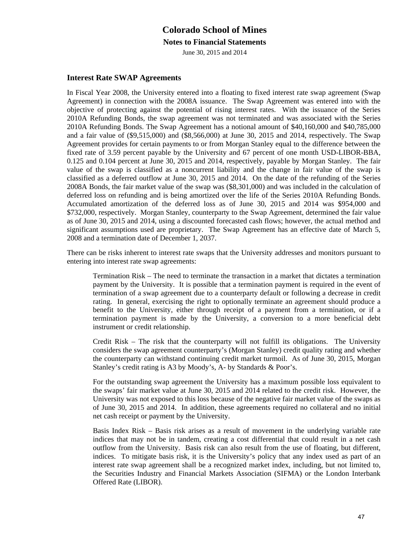#### **Notes to Financial Statements**

June 30, 2015 and 2014

#### **Interest Rate SWAP Agreements**

In Fiscal Year 2008, the University entered into a floating to fixed interest rate swap agreement (Swap Agreement) in connection with the 2008A issuance. The Swap Agreement was entered into with the objective of protecting against the potential of rising interest rates. With the issuance of the Series 2010A Refunding Bonds, the swap agreement was not terminated and was associated with the Series 2010A Refunding Bonds. The Swap Agreement has a notional amount of \$40,160,000 and \$40,785,000 and a fair value of (\$9,515,000) and (\$8,566,000) at June 30, 2015 and 2014, respectively. The Swap Agreement provides for certain payments to or from Morgan Stanley equal to the difference between the fixed rate of 3.59 percent payable by the University and 67 percent of one month USD-LIBOR-BBA, 0.125 and 0.104 percent at June 30, 2015 and 2014, respectively, payable by Morgan Stanley. The fair value of the swap is classified as a noncurrent liability and the change in fair value of the swap is classified as a deferred outflow at June 30, 2015 and 2014. On the date of the refunding of the Series 2008A Bonds, the fair market value of the swap was (\$8,301,000) and was included in the calculation of deferred loss on refunding and is being amortized over the life of the Series 2010A Refunding Bonds. Accumulated amortization of the deferred loss as of June 30, 2015 and 2014 was \$954,000 and \$732,000, respectively. Morgan Stanley, counterparty to the Swap Agreement, determined the fair value as of June 30, 2015 and 2014, using a discounted forecasted cash flows; however, the actual method and significant assumptions used are proprietary. The Swap Agreement has an effective date of March 5, 2008 and a termination date of December 1, 2037.

There can be risks inherent to interest rate swaps that the University addresses and monitors pursuant to entering into interest rate swap agreements:

Termination Risk – The need to terminate the transaction in a market that dictates a termination payment by the University. It is possible that a termination payment is required in the event of termination of a swap agreement due to a counterparty default or following a decrease in credit rating. In general, exercising the right to optionally terminate an agreement should produce a benefit to the University, either through receipt of a payment from a termination, or if a termination payment is made by the University, a conversion to a more beneficial debt instrument or credit relationship.

Credit Risk – The risk that the counterparty will not fulfill its obligations. The University considers the swap agreement counterparty's (Morgan Stanley) credit quality rating and whether the counterparty can withstand continuing credit market turmoil. As of June 30, 2015, Morgan Stanley's credit rating is A3 by Moody's, A- by Standards & Poor's.

For the outstanding swap agreement the University has a maximum possible loss equivalent to the swaps' fair market value at June 30, 2015 and 2014 related to the credit risk. However, the University was not exposed to this loss because of the negative fair market value of the swaps as of June 30, 2015 and 2014. In addition, these agreements required no collateral and no initial net cash receipt or payment by the University.

Basis Index Risk – Basis risk arises as a result of movement in the underlying variable rate indices that may not be in tandem, creating a cost differential that could result in a net cash outflow from the University. Basis risk can also result from the use of floating, but different, indices. To mitigate basis risk, it is the University's policy that any index used as part of an interest rate swap agreement shall be a recognized market index, including, but not limited to, the Securities Industry and Financial Markets Association (SIFMA) or the London Interbank Offered Rate (LIBOR).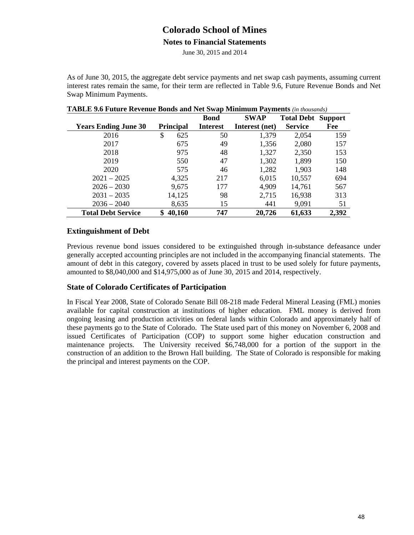## **Notes to Financial Statements**

June 30, 2015 and 2014

As of June 30, 2015, the aggregate debt service payments and net swap cash payments, assuming current interest rates remain the same, for their term are reflected in Table 9.6, Future Revenue Bonds and Net Swap Minimum Payments.

| <b>TADLE 7.0 Future Revenue Donus and Net Swap Minimum 1 avinents</b> (in mousanas) |                  |                                                                   |                |                |       |  |
|-------------------------------------------------------------------------------------|------------------|-------------------------------------------------------------------|----------------|----------------|-------|--|
|                                                                                     |                  | <b>SWAP</b><br><b>Total Debt</b><br><b>Bond</b><br><b>Support</b> |                |                |       |  |
| <b>Years Ending June 30</b>                                                         | <b>Principal</b> | <b>Interest</b>                                                   | Interest (net) | <b>Service</b> | Fee   |  |
| 2016                                                                                | \$<br>625        | 50                                                                | 1,379          | 2,054          | 159   |  |
| 2017                                                                                | 675              | 49                                                                | 1,356          | 2,080          | 157   |  |
| 2018                                                                                | 975              | 48                                                                | 1,327          | 2,350          | 153   |  |
| 2019                                                                                | 550              | 47                                                                | 1,302          | 1,899          | 150   |  |
| 2020                                                                                | 575              | 46                                                                | 1,282          | 1,903          | 148   |  |
| $2021 - 2025$                                                                       | 4,325            | 217                                                               | 6,015          | 10,557         | 694   |  |
| $2026 - 2030$                                                                       | 9,675            | 177                                                               | 4,909          | 14,761         | 567   |  |
| $2031 - 2035$                                                                       | 14,125           | 98                                                                | 2,715          | 16,938         | 313   |  |
| $2036 - 2040$                                                                       | 8,635            | 15                                                                | 441            | 9,091          | 51    |  |
| <b>Total Debt Service</b>                                                           | 40,160           | 747                                                               | 20,726         | 61,633         | 2,392 |  |

## **TABLE 9.6 Future Revenue Bonds and Net Swap Minimum Payments** *(in thousands)*

#### **Extinguishment of Debt**

Previous revenue bond issues considered to be extinguished through in-substance defeasance under generally accepted accounting principles are not included in the accompanying financial statements. The amount of debt in this category, covered by assets placed in trust to be used solely for future payments, amounted to \$8,040,000 and \$14,975,000 as of June 30, 2015 and 2014, respectively.

#### **State of Colorado Certificates of Participation**

In Fiscal Year 2008, State of Colorado Senate Bill 08-218 made Federal Mineral Leasing (FML) monies available for capital construction at institutions of higher education. FML money is derived from ongoing leasing and production activities on federal lands within Colorado and approximately half of these payments go to the State of Colorado. The State used part of this money on November 6, 2008 and issued Certificates of Participation (COP) to support some higher education construction and maintenance projects. The University received \$6,748,000 for a portion of the support in the construction of an addition to the Brown Hall building. The State of Colorado is responsible for making the principal and interest payments on the COP.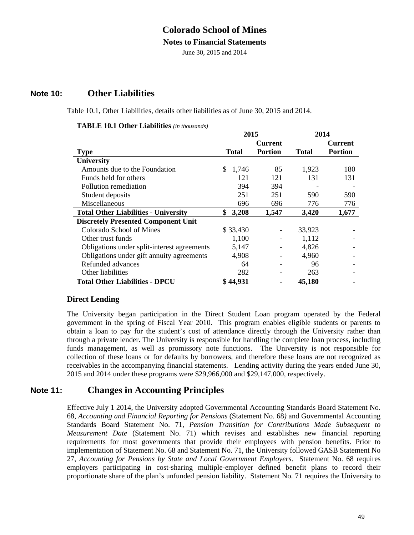#### **Notes to Financial Statements**

June 30, 2015 and 2014

## **Note 10: Other Liabilities**

Table 10.1, Other Liabilities, details other liabilities as of June 30, 2015 and 2014.

| <b>TABLE 10.1 Other Liabilities</b> (in thousands) |
|----------------------------------------------------|
|                                                    |

|                                             | 2015         |                | 2014   |                |
|---------------------------------------------|--------------|----------------|--------|----------------|
|                                             |              | <b>Current</b> |        | <b>Current</b> |
| <b>Type</b>                                 | <b>Total</b> | <b>Portion</b> | Total  | <b>Portion</b> |
| <b>University</b>                           |              |                |        |                |
| Amounts due to the Foundation               | 1,746<br>S   | 85             | 1,923  | 180            |
| Funds held for others                       | 121          | 121            | 131    | 131            |
| Pollution remediation                       | 394          | 394            |        |                |
| Student deposits                            | 251          | 251            | 590    | 590            |
| Miscellaneous                               | 696          | 696            | 776    | 776            |
| <b>Total Other Liabilities - University</b> | 3,208        | 1,547          | 3,420  | 1,677          |
| <b>Discretely Presented Component Unit</b>  |              |                |        |                |
| Colorado School of Mines                    | \$33,430     |                | 33,923 |                |
| Other trust funds                           | 1,100        |                | 1,112  |                |
| Obligations under split-interest agreements | 5,147        | -              | 4,826  |                |
| Obligations under gift annuity agreements   | 4,908        |                | 4,960  |                |
| Refunded advances                           | 64           |                | 96     |                |
| Other liabilities                           | 282          |                | 263    |                |
| <b>Total Other Liabilities - DPCU</b>       | \$44,931     |                | 45,180 |                |

## **Direct Lending**

The University began participation in the Direct Student Loan program operated by the Federal government in the spring of Fiscal Year 2010. This program enables eligible students or parents to obtain a loan to pay for the student's cost of attendance directly through the University rather than through a private lender. The University is responsible for handling the complete loan process, including funds management, as well as promissory note functions. The University is not responsible for collection of these loans or for defaults by borrowers, and therefore these loans are not recognized as receivables in the accompanying financial statements. Lending activity during the years ended June 30, 2015 and 2014 under these programs were \$29,966,000 and \$29,147,000, respectively.

## **Note 11: Changes in Accounting Principles**

Effective July 1 2014, the University adopted Governmental Accounting Standards Board Statement No. 68, *Accounting and Financial Reporting for Pensions* (Statement No. 68*)* and Governmental Accounting Standards Board Statement No. 71*, Pension Transition for Contributions Made Subsequent to Measurement Date* (Statement No. 71) which revises and establishes new financial reporting requirements for most governments that provide their employees with pension benefits. Prior to implementation of Statement No. 68 and Statement No. 71, the University followed GASB Statement No 27, *Accounting for Pensions by State and Local Government Employers*. Statement No. 68 requires employers participating in cost-sharing multiple-employer defined benefit plans to record their proportionate share of the plan's unfunded pension liability. Statement No. 71 requires the University to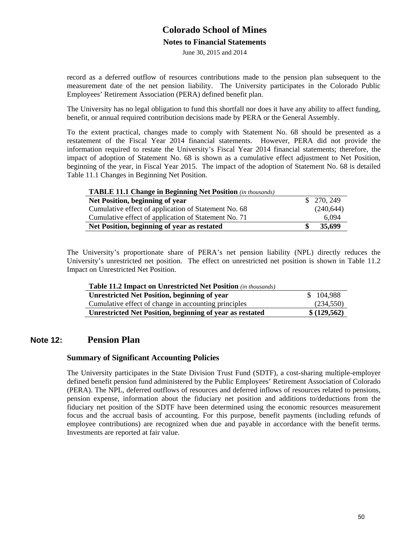June 30, 2015 and 2014

record as a deferred outflow of resources contributions made to the pension plan subsequent to the measurement date of the net pension liability. The University participates in the Colorado Public Employees' Retirement Association (PERA) defined benefit plan.

The University has no legal obligation to fund this shortfall nor does it have any ability to affect funding, benefit, or annual required contribution decisions made by PERA or the General Assembly.

To the extent practical, changes made to comply with Statement No. 68 should be presented as a restatement of the Fiscal Year 2014 financial statements. However, PERA did not provide the information required to restate the University's Fiscal Year 2014 financial statements; therefore, the impact of adoption of Statement No. 68 is shown as a cumulative effect adjustment to Net Position, beginning of the year, in Fiscal Year 2015. The impact of the adoption of Statement No. 68 is detailed Table 11.1 Changes in Beginning Net Position.

| <b>TABLE 11.1 Change in Beginning Net Position</b> (in thousands) |  |            |  |
|-------------------------------------------------------------------|--|------------|--|
| Net Position, beginning of year                                   |  | \$270, 249 |  |
| Cumulative effect of application of Statement No. 68              |  | (240, 644) |  |
| Cumulative effect of application of Statement No. 71              |  | 6,094      |  |
| Net Position, beginning of year as restated                       |  | 35,699     |  |

The University's proportionate share of PERA's net pension liability (NPL) directly reduces the University's unrestricted net position. The effect on unrestricted net position is shown in Table 11.2 Impact on Unrestricted Net Position.

**Table 11.2 Impact on Unrestricted Net Position** *(in thousands)*

| <b>Unrestricted Net Position, beginning of year</b>      | \$104,988   |
|----------------------------------------------------------|-------------|
| Cumulative effect of change in accounting principles     | (234, 550)  |
| Unrestricted Net Position, beginning of year as restated | \$(129,562) |

## **Note 12: Pension Plan**

#### **Summary of Significant Accounting Policies**

The University participates in the State Division Trust Fund (SDTF), a cost-sharing multiple-employer defined benefit pension fund administered by the Public Employees' Retirement Association of Colorado (PERA). The NPL, deferred outflows of resources and deferred inflows of resources related to pensions, pension expense, information about the fiduciary net position and additions to/deductions from the fiduciary net position of the SDTF have been determined using the economic resources measurement focus and the accrual basis of accounting. For this purpose, benefit payments (including refunds of employee contributions) are recognized when due and payable in accordance with the benefit terms. Investments are reported at fair value.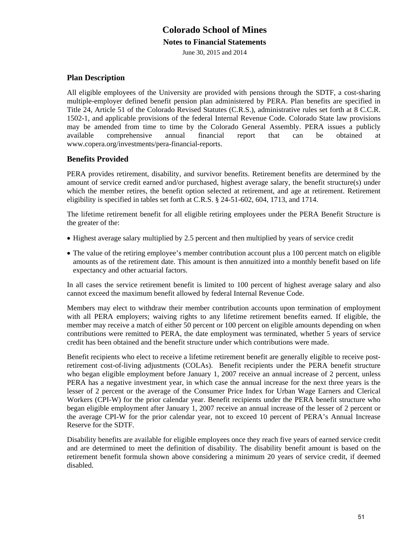## **Notes to Financial Statements**

June 30, 2015 and 2014

## **Plan Description**

All eligible employees of the University are provided with pensions through the SDTF, a cost-sharing multiple-employer defined benefit pension plan administered by PERA. Plan benefits are specified in Title 24, Article 51 of the Colorado Revised Statutes (C.R.S.), administrative rules set forth at 8 C.C.R. 1502-1, and applicable provisions of the federal Internal Revenue Code. Colorado State law provisions may be amended from time to time by the Colorado General Assembly. PERA issues a publicly available comprehensive annual financial report that can be obtained at www.copera.org/investments/pera-financial-reports.

## **Benefits Provided**

PERA provides retirement, disability, and survivor benefits. Retirement benefits are determined by the amount of service credit earned and/or purchased, highest average salary, the benefit structure(s) under which the member retires, the benefit option selected at retirement, and age at retirement. Retirement eligibility is specified in tables set forth at C.R.S. § 24-51-602, 604, 1713, and 1714.

The lifetime retirement benefit for all eligible retiring employees under the PERA Benefit Structure is the greater of the:

- Highest average salary multiplied by 2.5 percent and then multiplied by years of service credit
- The value of the retiring employee's member contribution account plus a 100 percent match on eligible amounts as of the retirement date. This amount is then annuitized into a monthly benefit based on life expectancy and other actuarial factors.

In all cases the service retirement benefit is limited to 100 percent of highest average salary and also cannot exceed the maximum benefit allowed by federal Internal Revenue Code.

Members may elect to withdraw their member contribution accounts upon termination of employment with all PERA employers; waiving rights to any lifetime retirement benefits earned. If eligible, the member may receive a match of either 50 percent or 100 percent on eligible amounts depending on when contributions were remitted to PERA, the date employment was terminated, whether 5 years of service credit has been obtained and the benefit structure under which contributions were made.

Benefit recipients who elect to receive a lifetime retirement benefit are generally eligible to receive postretirement cost-of-living adjustments (COLAs). Benefit recipients under the PERA benefit structure who began eligible employment before January 1, 2007 receive an annual increase of 2 percent, unless PERA has a negative investment year, in which case the annual increase for the next three years is the lesser of 2 percent or the average of the Consumer Price Index for Urban Wage Earners and Clerical Workers (CPI-W) for the prior calendar year. Benefit recipients under the PERA benefit structure who began eligible employment after January 1, 2007 receive an annual increase of the lesser of 2 percent or the average CPI-W for the prior calendar year, not to exceed 10 percent of PERA's Annual Increase Reserve for the SDTF.

Disability benefits are available for eligible employees once they reach five years of earned service credit and are determined to meet the definition of disability. The disability benefit amount is based on the retirement benefit formula shown above considering a minimum 20 years of service credit, if deemed disabled.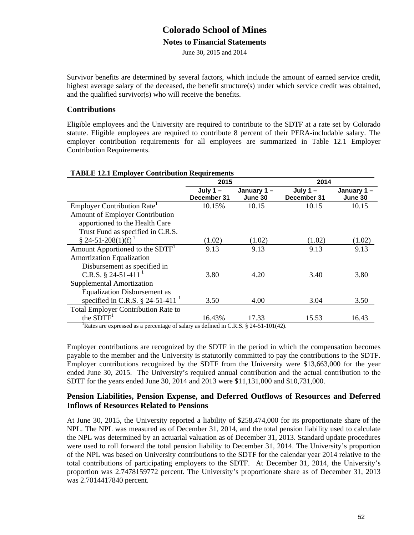June 30, 2015 and 2014

Survivor benefits are determined by several factors, which include the amount of earned service credit, highest average salary of the deceased, the benefit structure(s) under which service credit was obtained, and the qualified survivor(s) who will receive the benefits.

## **Contributions**

Eligible employees and the University are required to contribute to the SDTF at a rate set by Colorado statute. Eligible employees are required to contribute 8 percent of their PERA-includable salary. The employer contribution requirements for all employees are summarized in Table 12.1 Employer Contribution Requirements.

| TADLE 12.1 Employer Contribution Requirements |                                                                                                  |                       |                           |                       |  |  |
|-----------------------------------------------|--------------------------------------------------------------------------------------------------|-----------------------|---------------------------|-----------------------|--|--|
|                                               | 2015                                                                                             |                       | 2014                      |                       |  |  |
|                                               | July $1 -$<br>December 31                                                                        | January 1-<br>June 30 | July 1 $-$<br>December 31 | January 1-<br>June 30 |  |  |
| Employer Contribution Rate                    | 10.15%                                                                                           | 10.15                 | 10.15                     | 10.15                 |  |  |
| Amount of Employer Contribution               |                                                                                                  |                       |                           |                       |  |  |
| apportioned to the Health Care                |                                                                                                  |                       |                           |                       |  |  |
| Trust Fund as specified in C.R.S.             |                                                                                                  |                       |                           |                       |  |  |
| $$24-51-208(1)(f)1$                           | (1.02)                                                                                           | (1.02)                | (1.02)                    | (1.02)                |  |  |
| Amount Apportioned to the SDTF <sup>1</sup>   | 9.13                                                                                             | 9.13                  | 9.13                      | 9.13                  |  |  |
| <b>Amortization Equalization</b>              |                                                                                                  |                       |                           |                       |  |  |
| Disbursement as specified in                  |                                                                                                  |                       |                           |                       |  |  |
| C.R.S. § 24-51-411 <sup>1</sup>               | 3.80                                                                                             | 4.20                  | 3.40                      | 3.80                  |  |  |
| Supplemental Amortization                     |                                                                                                  |                       |                           |                       |  |  |
| <b>Equalization Disbursement as</b>           |                                                                                                  |                       |                           |                       |  |  |
| specified in C.R.S. § 24-51-411 <sup>1</sup>  | 3.50                                                                                             | 4.00                  | 3.04                      | 3.50                  |  |  |
| <b>Total Employer Contribution Rate to</b>    |                                                                                                  |                       |                           |                       |  |  |
| the $SDTF1$                                   | 16.43%                                                                                           | 17.33                 | 15.53                     | 16.43                 |  |  |
|                                               | <sup>1</sup> Rates are expressed as a percentage of salary as defined in C.R.S. § 24-51-101(42). |                       |                           |                       |  |  |

#### **TABLE 12.1 Employer Contribution Requirements**

Employer contributions are recognized by the SDTF in the period in which the compensation becomes payable to the member and the University is statutorily committed to pay the contributions to the SDTF. Employer contributions recognized by the SDTF from the University were \$13,663,000 for the year ended June 30, 2015. The University's required annual contribution and the actual contribution to the SDTF for the years ended June 30, 2014 and 2013 were \$11,131,000 and \$10,731,000.

## **Pension Liabilities, Pension Expense, and Deferred Outflows of Resources and Deferred Inflows of Resources Related to Pensions**

At June 30, 2015, the University reported a liability of \$258,474,000 for its proportionate share of the NPL. The NPL was measured as of December 31, 2014, and the total pension liability used to calculate the NPL was determined by an actuarial valuation as of December 31, 2013. Standard update procedures were used to roll forward the total pension liability to December 31, 2014. The University's proportion of the NPL was based on University contributions to the SDTF for the calendar year 2014 relative to the total contributions of participating employers to the SDTF. At December 31, 2014, the University's proportion was 2.7478159772 percent. The University's proportionate share as of December 31, 2013 was 2.7014417840 percent.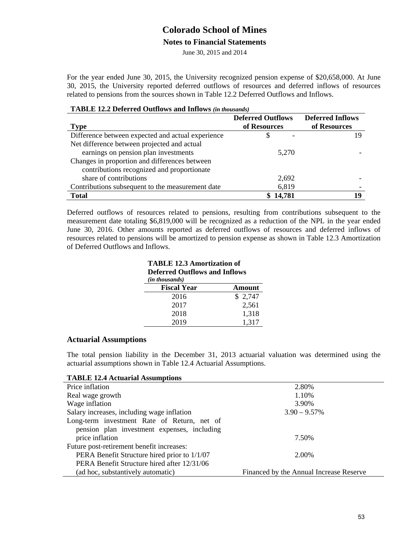June 30, 2015 and 2014

For the year ended June 30, 2015, the University recognized pension expense of \$20,658,000. At June 30, 2015, the University reported deferred outflows of resources and deferred inflows of resources related to pensions from the sources shown in Table 12.2 Deferred Outflows and Inflows.

#### **TABLE 12.2 Deferred Outflows and Inflows** *(in thousands)*

|                                                   | <b>Deferred Outflows</b> | <b>Deferred Inflows</b> |
|---------------------------------------------------|--------------------------|-------------------------|
| <b>Type</b>                                       | of Resources             | of Resources            |
| Difference between expected and actual experience | S                        | 10,                     |
| Net difference between projected and actual       |                          |                         |
| earnings on pension plan investments              | 5,270                    |                         |
| Changes in proportion and differences between     |                          |                         |
| contributions recognized and proportionate        |                          |                         |
| share of contributions                            | 2,692                    |                         |
| Contributions subsequent to the measurement date  | 6,819                    |                         |
| <b>Total</b>                                      | 14,781                   | 1 Q                     |

Deferred outflows of resources related to pensions, resulting from contributions subsequent to the measurement date totaling \$6,819,000 will be recognized as a reduction of the NPL in the year ended June 30, 2016. Other amounts reported as deferred outflows of resources and deferred inflows of resources related to pensions will be amortized to pension expense as shown in Table 12.3 Amortization of Deferred Outflows and Inflows.

| <b>TABLE 12.3 Amortization of</b><br><b>Deferred Outflows and Inflows</b> |         |  |  |  |
|---------------------------------------------------------------------------|---------|--|--|--|
| ( <i>in thousands</i> )                                                   |         |  |  |  |
| <b>Fiscal Year</b>                                                        | Amount  |  |  |  |
| 2016                                                                      | \$2,747 |  |  |  |
| 2017                                                                      | 2,561   |  |  |  |
| 2018                                                                      | 1,318   |  |  |  |
| 2019                                                                      | 1,317   |  |  |  |

#### **Actuarial Assumptions**

The total pension liability in the December 31, 2013 actuarial valuation was determined using the actuarial assumptions shown in Table 12.4 Actuarial Assumptions.

#### **TABLE 12.4 Actuarial Assumptions**

| Price inflation                              | 2.80%                                   |
|----------------------------------------------|-----------------------------------------|
| Real wage growth                             | 1.10%                                   |
| Wage inflation                               | 3.90%                                   |
| Salary increases, including wage inflation   | $3.90 - 9.57\%$                         |
| Long-term investment Rate of Return, net of  |                                         |
| pension plan investment expenses, including  |                                         |
| price inflation                              | 7.50%                                   |
| Future post-retirement benefit increases:    |                                         |
| PERA Benefit Structure hired prior to 1/1/07 | 2.00%                                   |
| PERA Benefit Structure hired after 12/31/06  |                                         |
| (ad hoc, substantively automatic)            | Financed by the Annual Increase Reserve |
|                                              |                                         |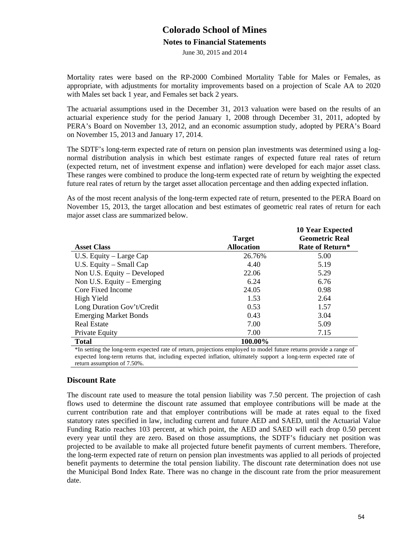June 30, 2015 and 2014

Mortality rates were based on the RP-2000 Combined Mortality Table for Males or Females, as appropriate, with adjustments for mortality improvements based on a projection of Scale AA to 2020 with Males set back 1 year, and Females set back 2 years.

The actuarial assumptions used in the December 31, 2013 valuation were based on the results of an actuarial experience study for the period January 1, 2008 through December 31, 2011, adopted by PERA's Board on November 13, 2012, and an economic assumption study, adopted by PERA's Board on November 15, 2013 and January 17, 2014.

The SDTF's long-term expected rate of return on pension plan investments was determined using a lognormal distribution analysis in which best estimate ranges of expected future real rates of return (expected return, net of investment expense and inflation) were developed for each major asset class. These ranges were combined to produce the long-term expected rate of return by weighting the expected future real rates of return by the target asset allocation percentage and then adding expected inflation.

As of the most recent analysis of the long-term expected rate of return, presented to the PERA Board on November 15, 2013, the target allocation and best estimates of geometric real rates of return for each major asset class are summarized below.

|                              |                   | <b>10 Year Expected</b> |
|------------------------------|-------------------|-------------------------|
|                              | <b>Target</b>     | <b>Geometric Real</b>   |
| <b>Asset Class</b>           | <b>Allocation</b> | Rate of Return*         |
| U.S. Equity $-$ Large Cap    | 26.76%            | 5.00                    |
| U.S. Equity $-$ Small Cap    | 4.40              | 5.19                    |
| Non U.S. Equity – Developed  | 22.06             | 5.29                    |
| Non U.S. Equity – Emerging   | 6.24              | 6.76                    |
| Core Fixed Income            | 24.05             | 0.98                    |
| High Yield                   | 1.53              | 2.64                    |
| Long Duration Gov't/Credit   | 0.53              | 1.57                    |
| <b>Emerging Market Bonds</b> | 0.43              | 3.04                    |
| <b>Real Estate</b>           | 7.00              | 5.09                    |
| Private Equity               | 7.00              | 7.15                    |
| <b>Total</b>                 | 100.00%           |                         |

\*In setting the long-term expected rate of return, projections employed to model future returns provide a range of expected long-term returns that, including expected inflation, ultimately support a long-term expected rate of return assumption of 7.50%.

## **Discount Rate**

The discount rate used to measure the total pension liability was 7.50 percent. The projection of cash flows used to determine the discount rate assumed that employee contributions will be made at the current contribution rate and that employer contributions will be made at rates equal to the fixed statutory rates specified in law, including current and future AED and SAED, until the Actuarial Value Funding Ratio reaches 103 percent, at which point, the AED and SAED will each drop 0.50 percent every year until they are zero. Based on those assumptions, the SDTF's fiduciary net position was projected to be available to make all projected future benefit payments of current members. Therefore, the long-term expected rate of return on pension plan investments was applied to all periods of projected benefit payments to determine the total pension liability. The discount rate determination does not use the Municipal Bond Index Rate. There was no change in the discount rate from the prior measurement date.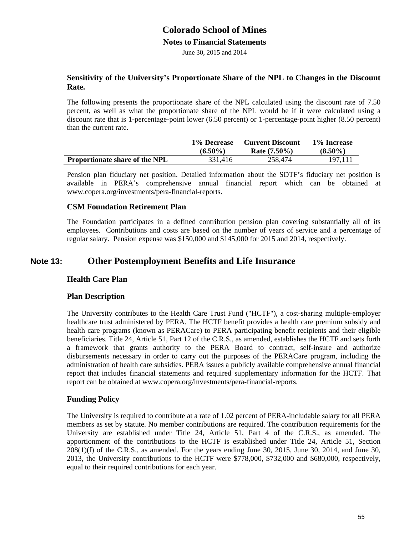#### **Notes to Financial Statements**

June 30, 2015 and 2014

## **Sensitivity of the University's Proportionate Share of the NPL to Changes in the Discount Rate.**

The following presents the proportionate share of the NPL calculated using the discount rate of 7.50 percent, as well as what the proportionate share of the NPL would be if it were calculated using a discount rate that is 1-percentage-point lower (6.50 percent) or 1-percentage-point higher (8.50 percent) than the current rate.

|                                       | 1% Decrease | <b>Current Discount</b> | 1% Increase |
|---------------------------------------|-------------|-------------------------|-------------|
|                                       | $(6.50\%)$  | Rate $(7.50\%)$         | $(8.50\%)$  |
| <b>Proportionate share of the NPL</b> | 331.416     | 258,474                 | 197.111     |

Pension plan fiduciary net position. Detailed information about the SDTF's fiduciary net position is available in PERA's comprehensive annual financial report which can be obtained at www.copera.org/investments/pera-financial-reports.

#### **CSM Foundation Retirement Plan**

The Foundation participates in a defined contribution pension plan covering substantially all of its employees. Contributions and costs are based on the number of years of service and a percentage of regular salary. Pension expense was \$150,000 and \$145,000 for 2015 and 2014, respectively.

## **Note 13: Other Postemployment Benefits and Life Insurance**

## **Health Care Plan**

## **Plan Description**

The University contributes to the Health Care Trust Fund ("HCTF"), a cost-sharing multiple-employer healthcare trust administered by PERA. The HCTF benefit provides a health care premium subsidy and health care programs (known as PERACare) to PERA participating benefit recipients and their eligible beneficiaries. Title 24, Article 51, Part 12 of the C.R.S., as amended, establishes the HCTF and sets forth a framework that grants authority to the PERA Board to contract, self-insure and authorize disbursements necessary in order to carry out the purposes of the PERACare program, including the administration of health care subsidies. PERA issues a publicly available comprehensive annual financial report that includes financial statements and required supplementary information for the HCTF. That report can be obtained at www.copera.org/investments/pera-financial-reports.

## **Funding Policy**

The University is required to contribute at a rate of 1.02 percent of PERA-includable salary for all PERA members as set by statute. No member contributions are required. The contribution requirements for the University are established under Title 24, Article 51, Part 4 of the C.R.S., as amended. The apportionment of the contributions to the HCTF is established under Title 24, Article 51, Section 208(1)(f) of the C.R.S., as amended. For the years ending June 30, 2015, June 30, 2014, and June 30, 2013, the University contributions to the HCTF were \$778,000, \$732,000 and \$680,000, respectively, equal to their required contributions for each year.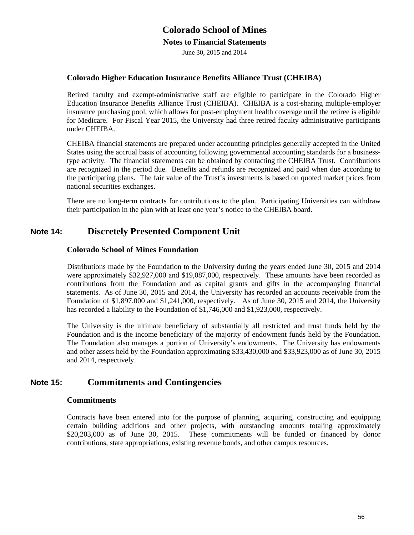#### **Notes to Financial Statements**

June 30, 2015 and 2014

## **Colorado Higher Education Insurance Benefits Alliance Trust (CHEIBA)**

Retired faculty and exempt-administrative staff are eligible to participate in the Colorado Higher Education Insurance Benefits Alliance Trust (CHEIBA). CHEIBA is a cost-sharing multiple-employer insurance purchasing pool, which allows for post-employment health coverage until the retiree is eligible for Medicare. For Fiscal Year 2015, the University had three retired faculty administrative participants under CHEIBA.

CHEIBA financial statements are prepared under accounting principles generally accepted in the United States using the accrual basis of accounting following governmental accounting standards for a businesstype activity. The financial statements can be obtained by contacting the CHEIBA Trust. Contributions are recognized in the period due. Benefits and refunds are recognized and paid when due according to the participating plans. The fair value of the Trust's investments is based on quoted market prices from national securities exchanges.

There are no long-term contracts for contributions to the plan. Participating Universities can withdraw their participation in the plan with at least one year's notice to the CHEIBA board.

## **Note 14: Discretely Presented Component Unit**

## **Colorado School of Mines Foundation**

Distributions made by the Foundation to the University during the years ended June 30, 2015 and 2014 were approximately \$32,927,000 and \$19,087,000, respectively. These amounts have been recorded as contributions from the Foundation and as capital grants and gifts in the accompanying financial statements. As of June 30, 2015 and 2014, the University has recorded an accounts receivable from the Foundation of \$1,897,000 and \$1,241,000, respectively. As of June 30, 2015 and 2014, the University has recorded a liability to the Foundation of \$1,746,000 and \$1,923,000, respectively.

The University is the ultimate beneficiary of substantially all restricted and trust funds held by the Foundation and is the income beneficiary of the majority of endowment funds held by the Foundation. The Foundation also manages a portion of University's endowments. The University has endowments and other assets held by the Foundation approximating \$33,430,000 and \$33,923,000 as of June 30, 2015 and 2014, respectively.

## **Note 15: Commitments and Contingencies**

#### **Commitments**

Contracts have been entered into for the purpose of planning, acquiring, constructing and equipping certain building additions and other projects, with outstanding amounts totaling approximately \$20,203,000 as of June 30, 2015. These commitments will be funded or financed by donor contributions, state appropriations, existing revenue bonds, and other campus resources.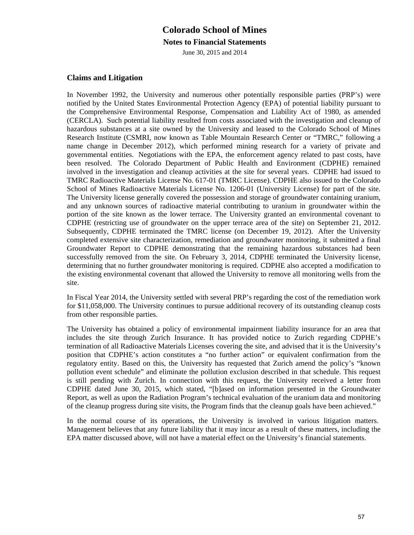## **Notes to Financial Statements**

June 30, 2015 and 2014

## **Claims and Litigation**

In November 1992, the University and numerous other potentially responsible parties (PRP's) were notified by the United States Environmental Protection Agency (EPA) of potential liability pursuant to the Comprehensive Environmental Response, Compensation and Liability Act of 1980, as amended (CERCLA). Such potential liability resulted from costs associated with the investigation and cleanup of hazardous substances at a site owned by the University and leased to the Colorado School of Mines Research Institute (CSMRI, now known as Table Mountain Research Center or "TMRC," following a name change in December 2012), which performed mining research for a variety of private and governmental entities. Negotiations with the EPA, the enforcement agency related to past costs, have been resolved. The Colorado Department of Public Health and Environment (CDPHE) remained involved in the investigation and cleanup activities at the site for several years. CDPHE had issued to TMRC Radioactive Materials License No. 617-01 (TMRC License). CDPHE also issued to the Colorado School of Mines Radioactive Materials License No. 1206-01 (University License) for part of the site. The University license generally covered the possession and storage of groundwater containing uranium, and any unknown sources of radioactive material contributing to uranium in groundwater within the portion of the site known as the lower terrace. The University granted an environmental covenant to CDPHE (restricting use of groundwater on the upper terrace area of the site) on September 21, 2012. Subsequently, CDPHE terminated the TMRC license (on December 19, 2012). After the University completed extensive site characterization, remediation and groundwater monitoring, it submitted a final Groundwater Report to CDPHE demonstrating that the remaining hazardous substances had been successfully removed from the site. On February 3, 2014, CDPHE terminated the University license, determining that no further groundwater monitoring is required. CDPHE also accepted a modification to the existing environmental covenant that allowed the University to remove all monitoring wells from the site.

In Fiscal Year 2014, the University settled with several PRP's regarding the cost of the remediation work for \$11,058,000. The University continues to pursue additional recovery of its outstanding cleanup costs from other responsible parties.

The University has obtained a policy of environmental impairment liability insurance for an area that includes the site through Zurich Insurance. It has provided notice to Zurich regarding CDPHE's termination of all Radioactive Materials Licenses covering the site, and advised that it is the University's position that CDPHE's action constitutes a "no further action" or equivalent confirmation from the regulatory entity. Based on this, the University has requested that Zurich amend the policy's "known pollution event schedule" and eliminate the pollution exclusion described in that schedule. This request is still pending with Zurich. In connection with this request, the University received a letter from CDPHE dated June 30, 2015, which stated, "[b]ased on information presented in the Groundwater Report, as well as upon the Radiation Program's technical evaluation of the uranium data and monitoring of the cleanup progress during site visits, the Program finds that the cleanup goals have been achieved."

In the normal course of its operations, the University is involved in various litigation matters. Management believes that any future liability that it may incur as a result of these matters, including the EPA matter discussed above, will not have a material effect on the University's financial statements.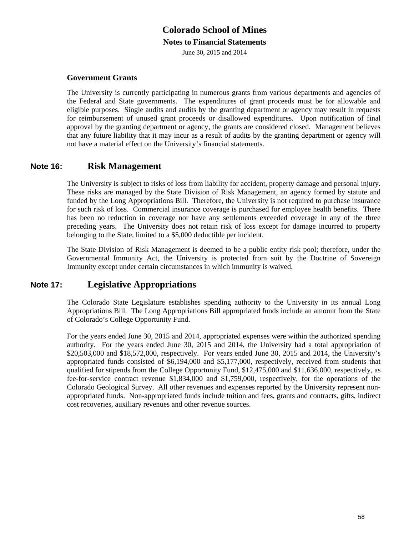June 30, 2015 and 2014

## **Government Grants**

The University is currently participating in numerous grants from various departments and agencies of the Federal and State governments. The expenditures of grant proceeds must be for allowable and eligible purposes. Single audits and audits by the granting department or agency may result in requests for reimbursement of unused grant proceeds or disallowed expenditures. Upon notification of final approval by the granting department or agency, the grants are considered closed. Management believes that any future liability that it may incur as a result of audits by the granting department or agency will not have a material effect on the University's financial statements.

## **Note 16: Risk Management**

The University is subject to risks of loss from liability for accident, property damage and personal injury. These risks are managed by the State Division of Risk Management, an agency formed by statute and funded by the Long Appropriations Bill. Therefore, the University is not required to purchase insurance for such risk of loss. Commercial insurance coverage is purchased for employee health benefits. There has been no reduction in coverage nor have any settlements exceeded coverage in any of the three preceding years. The University does not retain risk of loss except for damage incurred to property belonging to the State, limited to a \$5,000 deductible per incident.

The State Division of Risk Management is deemed to be a public entity risk pool; therefore, under the Governmental Immunity Act, the University is protected from suit by the Doctrine of Sovereign Immunity except under certain circumstances in which immunity is waived.

## **Note 17: Legislative Appropriations**

The Colorado State Legislature establishes spending authority to the University in its annual Long Appropriations Bill. The Long Appropriations Bill appropriated funds include an amount from the State of Colorado's College Opportunity Fund.

For the years ended June 30, 2015 and 2014, appropriated expenses were within the authorized spending authority. For the years ended June 30, 2015 and 2014, the University had a total appropriation of \$20,503,000 and \$18,572,000, respectively. For years ended June 30, 2015 and 2014, the University's appropriated funds consisted of \$6,194,000 and \$5,177,000, respectively, received from students that qualified for stipends from the College Opportunity Fund, \$12,475,000 and \$11,636,000, respectively, as fee-for-service contract revenue \$1,834,000 and \$1,759,000, respectively, for the operations of the Colorado Geological Survey. All other revenues and expenses reported by the University represent nonappropriated funds. Non-appropriated funds include tuition and fees, grants and contracts, gifts, indirect cost recoveries, auxiliary revenues and other revenue sources.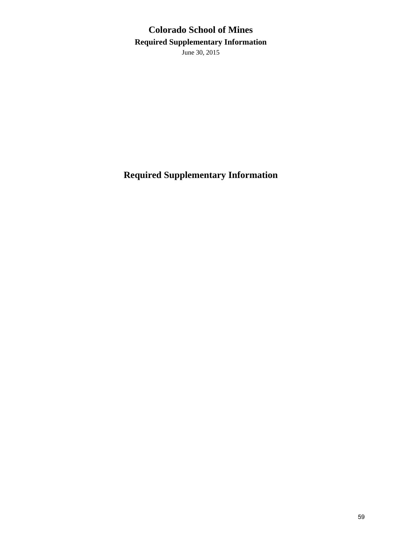## **Colorado School of Mines Required Supplementary Information**

June 30, 2015

**Required Supplementary Information**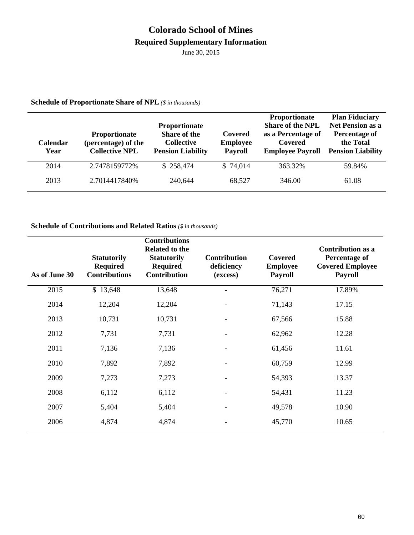## **Colorado School of Mines Required Supplementary Information**

June 30, 2015

## **Schedule of Proportionate Share of NPL** *(\$ in thousands)*

| <b>Calendar</b><br>Year | <b>Proportionate</b><br>(percentage) of the<br><b>Collective NPL</b> | <b>Proportionate</b><br><b>Share of the</b><br><b>Collective</b><br><b>Pension Liability</b> | Covered<br><b>Employee</b><br><b>Payroll</b> | <b>Proportionate</b><br><b>Share of the NPL</b><br>as a Percentage of<br>Covered<br><b>Employee Payroll</b> | <b>Plan Fiduciary</b><br><b>Net Pension as a</b><br>Percentage of<br>the Total<br><b>Pension Liability</b> |
|-------------------------|----------------------------------------------------------------------|----------------------------------------------------------------------------------------------|----------------------------------------------|-------------------------------------------------------------------------------------------------------------|------------------------------------------------------------------------------------------------------------|
| 2014                    | 2.7478159772%                                                        | \$258,474                                                                                    | \$74,014                                     | 363.32%                                                                                                     | 59.84%                                                                                                     |
| 2013                    | 2.7014417840%                                                        | 240,644                                                                                      | 68,527                                       | 346.00                                                                                                      | 61.08                                                                                                      |

## **Schedule of Contributions and Related Ratios** *(\$ in thousands)*

| As of June 30 | <b>Statutorily</b><br><b>Required</b><br><b>Contributions</b> | <b>Contributions</b><br><b>Related to the</b><br><b>Statutorily</b><br><b>Required</b><br><b>Contribution</b> | <b>Contribution</b><br>deficiency<br>(excess) | Covered<br><b>Employee</b><br><b>Payroll</b> | <b>Contribution as a</b><br>Percentage of<br><b>Covered Employee</b><br><b>Payroll</b> |
|---------------|---------------------------------------------------------------|---------------------------------------------------------------------------------------------------------------|-----------------------------------------------|----------------------------------------------|----------------------------------------------------------------------------------------|
| 2015          | \$13,648                                                      | 13,648                                                                                                        |                                               | 76,271                                       | 17.89%                                                                                 |
| 2014          | 12,204                                                        | 12,204                                                                                                        |                                               | 71,143                                       | 17.15                                                                                  |
| 2013          | 10,731                                                        | 10,731                                                                                                        |                                               | 67,566                                       | 15.88                                                                                  |
| 2012          | 7,731                                                         | 7,731                                                                                                         |                                               | 62,962                                       | 12.28                                                                                  |
| 2011          | 7,136                                                         | 7,136                                                                                                         |                                               | 61,456                                       | 11.61                                                                                  |
| 2010          | 7,892                                                         | 7,892                                                                                                         |                                               | 60,759                                       | 12.99                                                                                  |
| 2009          | 7,273                                                         | 7,273                                                                                                         |                                               | 54,393                                       | 13.37                                                                                  |
| 2008          | 6,112                                                         | 6,112                                                                                                         |                                               | 54,431                                       | 11.23                                                                                  |
| 2007          | 5,404                                                         | 5,404                                                                                                         |                                               | 49,578                                       | 10.90                                                                                  |
| 2006          | 4,874                                                         | 4,874                                                                                                         |                                               | 45,770                                       | 10.65                                                                                  |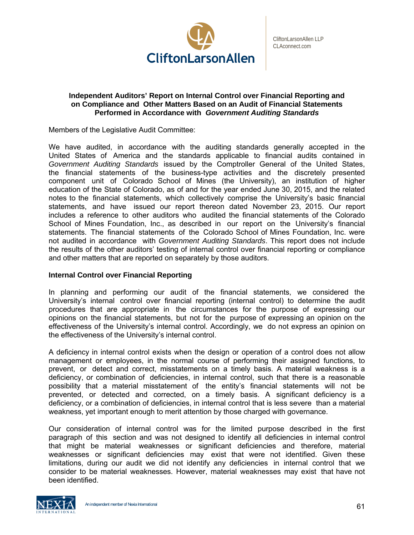

#### **Independent Auditors' Report on Internal Control over Financial Reporting and on Compliance and Other Matters Based on an Audit of Financial Statements Performed in Accordance with** *Government Auditing Standards*

Members of the Legislative Audit Committee:

We have audited, in accordance with the auditing standards generally accepted in the United States of America and the standards applicable to financial audits contained in *Government Auditing Standards* issued by the Comptroller General of the United States, the financial statements of the business-type activities and the discretely presented component unit of Colorado School of Mines (the University), an institution of higher education of the State of Colorado, as of and for the year ended June 30, 2015, and the related notes to the financial statements, which collectively comprise the University's basic financial statements, and have issued our report thereon dated November 23, 2015. Our report includes a reference to other auditors who audited the financial statements of the Colorado School of Mines Foundation, Inc., as described in our report on the University's financial statements. The financial statements of the Colorado School of Mines Foundation, Inc. were not audited in accordance with *Government Auditing Standards*. This report does not include the results of the other auditors' testing of internal control over financial reporting or compliance and other matters that are reported on separately by those auditors.

## **Internal Control over Financial Reporting**

In planning and performing our audit of the financial statements, we considered the University's internal control over financial reporting (internal control) to determine the audit procedures that are appropriate in the circumstances for the purpose of expressing our opinions on the financial statements, but not for the purpose of expressing an opinion on the effectiveness of the University's internal control. Accordingly, we do not express an opinion on the effectiveness of the University's internal control.

A deficiency in internal control exists when the design or operation of a control does not allow management or employees, in the normal course of performing their assigned functions, to prevent, or detect and correct, misstatements on a timely basis. A material weakness is a deficiency, or combination of deficiencies, in internal control, such that there is a reasonable possibility that a material misstatement of the entity's financial statements will not be prevented, or detected and corrected, on a timely basis. A significant deficiency is a deficiency, or a combination of deficiencies, in internal control that is less severe than a material weakness, yet important enough to merit attention by those charged with governance.

Our consideration of internal control was for the limited purpose described in the first paragraph of this section and was not designed to identify all deficiencies in internal control that might be material weaknesses or significant deficiencies and therefore, material weaknesses or significant deficiencies may exist that were not identified. Given these limitations, during our audit we did not identify any deficiencies in internal control that we consider to be material weaknesses. However, material weaknesses may exist that have not been identified.

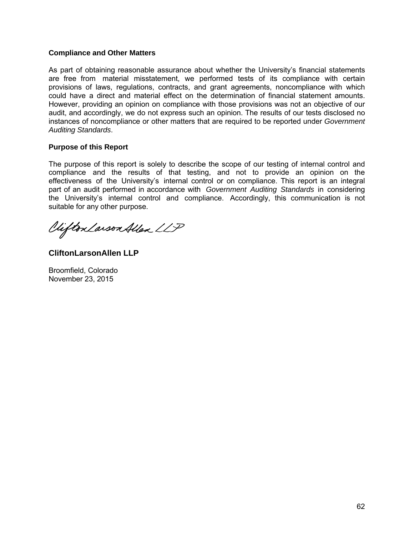#### **Compliance and Other Matters**

As part of obtaining reasonable assurance about whether the University's financial statements are free from material misstatement, we performed tests of its compliance with certain provisions of laws, regulations, contracts, and grant agreements, noncompliance with which could have a direct and material effect on the determination of financial statement amounts. However, providing an opinion on compliance with those provisions was not an objective of our audit, and accordingly, we do not express such an opinion. The results of our tests disclosed no instances of noncompliance or other matters that are required to be reported under *Government Auditing Standards*.

#### **Purpose of this Report**

The purpose of this report is solely to describe the scope of our testing of internal control and compliance and the results of that testing, and not to provide an opinion on the effectiveness of the University's internal control or on compliance. This report is an integral part of an audit performed in accordance with *Government Auditing Standards* in considering the University's internal control and compliance. Accordingly, this communication is not suitable for any other purpose.

Viifton Larson Allen LLP

**CliftonLarsonAllen LLP** 

Broomfield, Colorado November 23, 2015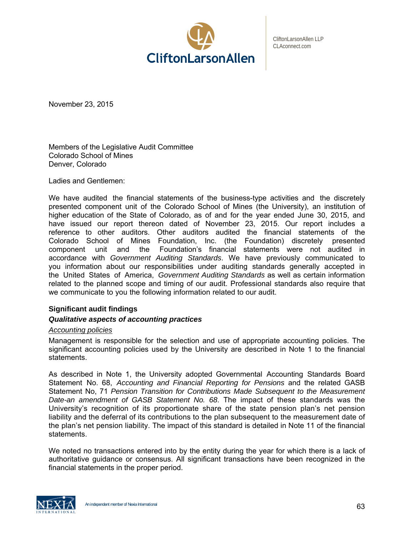

CliftonLarsonAllen LLP CLAconnect.com

November 23, 2015

Members of the Legislative Audit Committee Colorado School of Mines Denver, Colorado

Ladies and Gentlemen:

We have audited the financial statements of the business-type activities and the discretely presented component unit of the Colorado School of Mines (the University), an institution of higher education of the State of Colorado, as of and for the year ended June 30, 2015, and have issued our report thereon dated of November 23, 2015. Our report includes a reference to other auditors. Other auditors audited the financial statements of the Colorado School of Mines Foundation, Inc. (the Foundation) discretely presented component unit and the Foundation's financial statements were not audited in accordance with *Government Auditing Standards*. We have previously communicated to you information about our responsibilities under auditing standards generally accepted in the United States of America, *Government Auditing Standards* as well as certain information related to the planned scope and timing of our audit. Professional standards also require that we communicate to you the following information related to our audit.

## **Significant audit findings**

## *Qualitative aspects of accounting practices*

## *Accounting policies*

Management is responsible for the selection and use of appropriate accounting policies. The significant accounting policies used by the University are described in Note 1 to the financial statements.

As described in Note 1, the University adopted Governmental Accounting Standards Board Statement No. 68, *Accounting and Financial Reporting for Pensions* and the related GASB Statement No, 71 *Pension Transition for Contributions Made Subsequent to the Measurement Date-an amendment of GASB Statement No. 68*. The impact of these standards was the University's recognition of its proportionate share of the state pension plan's net pension liability and the deferral of its contributions to the plan subsequent to the measurement date of the plan's net pension liability. The impact of this standard is detailed in Note 11 of the financial statements.

We noted no transactions entered into by the entity during the year for which there is a lack of authoritative guidance or consensus. All significant transactions have been recognized in the financial statements in the proper period.

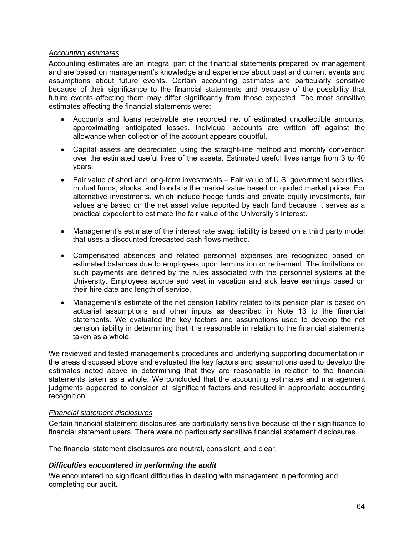#### *Accounting estimates*

Accounting estimates are an integral part of the financial statements prepared by management and are based on management's knowledge and experience about past and current events and assumptions about future events. Certain accounting estimates are particularly sensitive because of their significance to the financial statements and because of the possibility that future events affecting them may differ significantly from those expected. The most sensitive estimates affecting the financial statements were:

- Accounts and loans receivable are recorded net of estimated uncollectible amounts, approximating anticipated losses. Individual accounts are written off against the allowance when collection of the account appears doubtful.
- Capital assets are depreciated using the straight-line method and monthly convention over the estimated useful lives of the assets. Estimated useful lives range from 3 to 40 years.
- Fair value of short and long-term investments Fair value of U.S. government securities, mutual funds, stocks, and bonds is the market value based on quoted market prices. For alternative investments, which include hedge funds and private equity investments, fair values are based on the net asset value reported by each fund because it serves as a practical expedient to estimate the fair value of the University's interest.
- Management's estimate of the interest rate swap liability is based on a third party model that uses a discounted forecasted cash flows method.
- Compensated absences and related personnel expenses are recognized based on estimated balances due to employees upon termination or retirement. The limitations on such payments are defined by the rules associated with the personnel systems at the University. Employees accrue and vest in vacation and sick leave earnings based on their hire date and length of service.
- Management's estimate of the net pension liability related to its pension plan is based on actuarial assumptions and other inputs as described in Note 13 to the financial statements. We evaluated the key factors and assumptions used to develop the net pension liability in determining that it is reasonable in relation to the financial statements taken as a whole.

We reviewed and tested management's procedures and underlying supporting documentation in the areas discussed above and evaluated the key factors and assumptions used to develop the estimates noted above in determining that they are reasonable in relation to the financial statements taken as a whole. We concluded that the accounting estimates and management judgments appeared to consider all significant factors and resulted in appropriate accounting recognition.

## *Financial statement disclosures*

Certain financial statement disclosures are particularly sensitive because of their significance to financial statement users. There were no particularly sensitive financial statement disclosures.

The financial statement disclosures are neutral, consistent, and clear.

## *Difficulties encountered in performing the audit*

We encountered no significant difficulties in dealing with management in performing and completing our audit.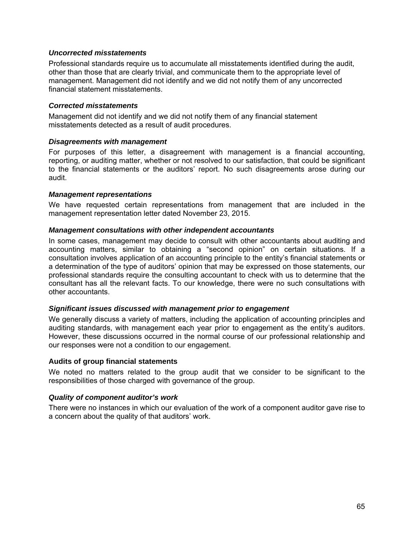#### *Uncorrected misstatements*

Professional standards require us to accumulate all misstatements identified during the audit, other than those that are clearly trivial, and communicate them to the appropriate level of management. Management did not identify and we did not notify them of any uncorrected financial statement misstatements.

#### *Corrected misstatements*

Management did not identify and we did not notify them of any financial statement misstatements detected as a result of audit procedures.

#### *Disagreements with management*

For purposes of this letter, a disagreement with management is a financial accounting, reporting, or auditing matter, whether or not resolved to our satisfaction, that could be significant to the financial statements or the auditors' report. No such disagreements arose during our audit.

#### *Management representations*

We have requested certain representations from management that are included in the management representation letter dated November 23, 2015.

#### *Management consultations with other independent accountants*

In some cases, management may decide to consult with other accountants about auditing and accounting matters, similar to obtaining a "second opinion" on certain situations. If a consultation involves application of an accounting principle to the entity's financial statements or a determination of the type of auditors' opinion that may be expressed on those statements, our professional standards require the consulting accountant to check with us to determine that the consultant has all the relevant facts. To our knowledge, there were no such consultations with other accountants.

## *Significant issues discussed with management prior to engagement*

We generally discuss a variety of matters, including the application of accounting principles and auditing standards, with management each year prior to engagement as the entity's auditors. However, these discussions occurred in the normal course of our professional relationship and our responses were not a condition to our engagement.

#### **Audits of group financial statements**

We noted no matters related to the group audit that we consider to be significant to the responsibilities of those charged with governance of the group.

## *Quality of component auditor's work*

There were no instances in which our evaluation of the work of a component auditor gave rise to a concern about the quality of that auditors' work.